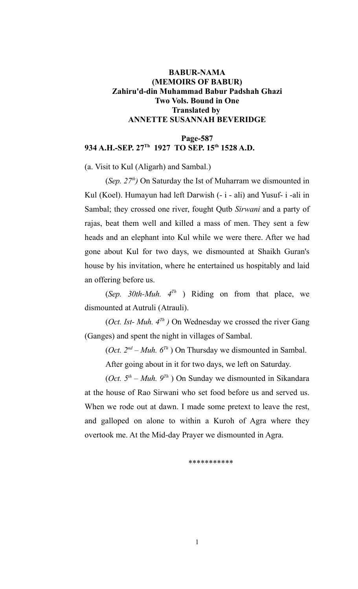# **BABUR-NAMA (MEMOIRS OF BABUR) Zahiru'd-din Muhammad Babur Padshah Ghazi Two Vols. Bound in One Translated by ANNETTE SUSANNAH BEVERIDGE**

# **Page-587 934 A.H.-SEP. 27Th 1927 TO SEP. 15th 1528 A.D.**

(a. Visit to Kul (Aligarh) and Sambal.)

(*Sep. 27th)* On Saturday the Ist of Muharram we dismounted in Kul (Koel). Humayun had left Darwish (- i - ali) and Yusuf- i -ali in Sambal; they crossed one river, fought Qutb *Sirwani* and a party of rajas, beat them well and killed a mass of men. They sent a few heads and an elephant into Kul while we were there. After we had gone about Kul for two days, we dismounted at Shaikh Guran's house by his invitation, where he entertained us hospitably and laid an offering before us.

(*Sep. 30th-Muh. 4Th* ) Riding on from that place, we dismounted at Autruli (Atrauli).

(*Oct. Ist- Muh. 4Th )* On Wednesday we crossed the river Gang (Ganges) and spent the night in villages of Sambal.

(*Oct.*  $2^{nd}$  – *Muh.*  $6^{Th}$ ) On Thursday we dismounted in Sambal.

After going about in it for two days, we left on Saturday.

(*Oct.*  $5<sup>th</sup> - Muh$ .  $9<sup>Th</sup>$ ) On Sunday we dismounted in Sikandara at the house of Rao Sirwani who set food before us and served us. When we rode out at dawn. I made some pretext to leave the rest, and galloped on alone to within a Kuroh of Agra where they overtook me. At the Mid-day Prayer we dismounted in Agra.

\*\*\*\*\*\*\*\*\*\*\*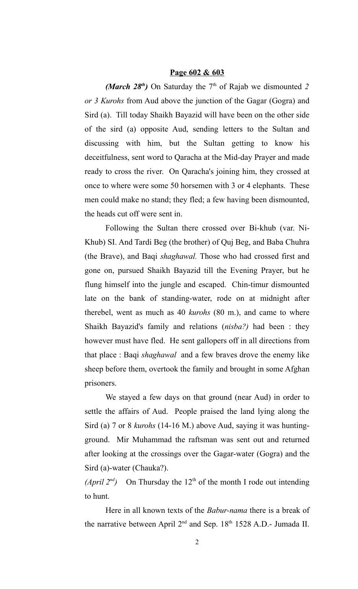#### **Page 602 & 603**

*(March 28<sup>th</sup>)* On Saturday the  $7<sup>th</sup>$  of Rajab we dismounted 2 *or 3 Kurohs* from Aud above the junction of the Gagar (Gogra) and Sird (a). Till today Shaikh Bayazid will have been on the other side of the sird (a) opposite Aud, sending letters to the Sultan and discussing with him, but the Sultan getting to know his deceitfulness, sent word to Qaracha at the Mid-day Prayer and made ready to cross the river. On Qaracha's joining him, they crossed at once to where were some 50 horsemen with 3 or 4 elephants. These men could make no stand; they fled; a few having been dismounted, the heads cut off were sent in.

Following the Sultan there crossed over Bi-khub (var. Ni-Khub) SI. And Tardi Beg (the brother) of Quj Beg, and Baba Chuhra (the Brave), and Baqi *shaghawal.* Those who had crossed first and gone on, pursued Shaikh Bayazid till the Evening Prayer, but he flung himself into the jungle and escaped. Chin-timur dismounted late on the bank of standing-water, rode on at midnight after therebel, went as much as 40 *kurohs* (80 m.), and came to where Shaikh Bayazid's family and relations (*nisba?)* had been : they however must have fled. He sent gallopers off in all directions from that place : Baqi *shaghawal* and a few braves drove the enemy like sheep before them, overtook the family and brought in some Afghan prisoners.

We stayed a few days on that ground (near Aud) in order to settle the affairs of Aud. People praised the land lying along the Sird (a) 7 or 8 *kurohs* (14-16 M.) above Aud, saying it was huntingground. Mir Muhammad the raftsman was sent out and returned after looking at the crossings over the Gagar-water (Gogra) and the Sird (a)-water (Chauka?).

*(April 2<sup>nd</sup>)* On Thursday the 12<sup>th</sup> of the month I rode out intending to hunt.

Here in all known texts of the *Babur-nama* there is a break of the narrative between April  $2<sup>nd</sup>$  and Sep. 18<sup>th</sup> 1528 A.D.- Jumada II.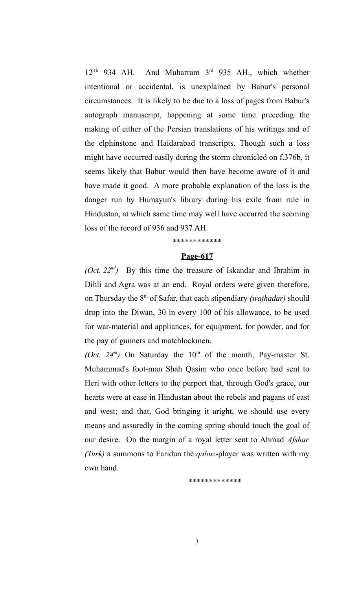$12^{Th}$  934 AH. And Muharram  $3^{rd}$  935 AH., which whether intentional or accidental, is unexplained by Babur's personal circumstances. It is likely to be due to a loss of pages from Babur's autograph manuscript, happening at some time preceding the making of either of the Persian translations of his writings and of the elphinstone and Haidarabad transcripts. Though such a loss might have occurred easily during the storm chronicled on f.376b, it seems likely that Babur would then have become aware of it and have made it good. A more probable explanation of the loss is the danger run by Humayun's library during his exile from rule in Hindustan, at which same time may well have occurred the seeming loss of the record of 936 and 937 AH.

\*\*\*\*\*\*\*\*\*\*\*\*

# **Page-617**

*(Oct. 22nd)* By this time the treasure of Iskandar and Ibrahim in Dihli and Agra was at an end. Royal orders were given therefore, on Thursday the 8th of Safar, that each stipendiary *(wajhadar)* should drop into the Diwan, 30 in every 100 of his allowance, to be used for war-material and appliances, for equipment, for powder, and for the pay of gunners and matchlockmen.

*(Oct. 24<sup>th</sup>)* On Saturday the  $10<sup>th</sup>$  of the month, Pay-master St. Muhammad's foot-man Shah Qasim who once before had sent to Heri with other letters to the purport that, through God's grace, our hearts were at ease in Hindustan about the rebels and pagans of east and west; and that, God bringing it aright, we should use every means and assuredly in the coming spring should touch the goal of our desire. On the margin of a royal letter sent to Ahmad *Afshar (Turk)* a summons to Faridun the *qabuz-*player was written with my own hand.

\*\*\*\*\*\*\*\*\*\*\*\*\*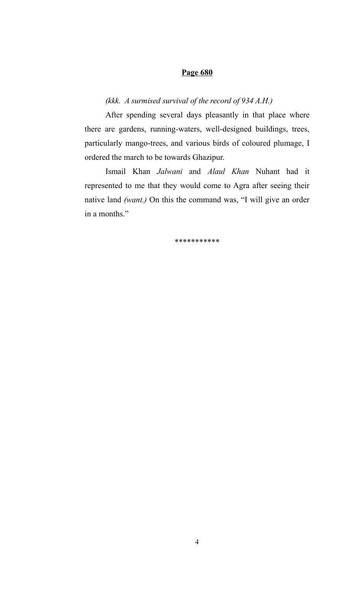# **Page 680**

# *(kkk. A surmised survival of the record of 934 A.H.)*

After spending several days pleasantly in that place where there are gardens, running-waters, well-designed buildings, trees, particularly mango-trees, and various birds of coloured plumage, I ordered the march to be towards Ghazipur.

Ismail Khan *Jalwani* and *Alaul Khan* Nuhant had it represented to me that they would come to Agra after seeing their native land *(want.)* On this the command was, "I will give an order in a months."

\*\*\*\*\*\*\*\*\*\*\*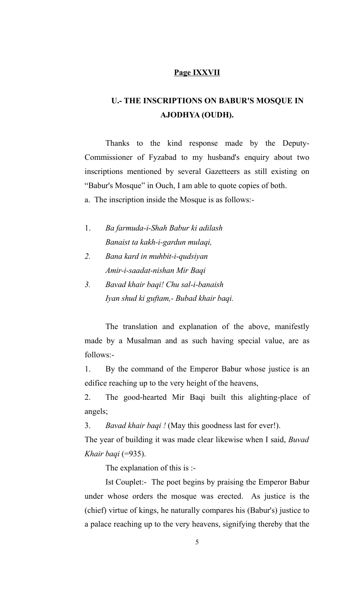# **Page IXXVII**

# **U.- THE INSCRIPTIONS ON BABUR'S MOSQUE IN AJODHYA (OUDH).**

Thanks to the kind response made by the Deputy-Commissioner of Fyzabad to my husband's enquiry about two inscriptions mentioned by several Gazetteers as still existing on "Babur's Mosque" in Ouch, I am able to quote copies of both.

a. The inscription inside the Mosque is as follows:-

- 1. *Ba farmuda-i-Shah Babur ki adilash Banaist ta kakh-i-gardun mulaqi,*
- *2. Bana kard in muhbit-i-qudsiyan Amir-i-saadat-nishan Mir Baqi*
- *3. Bavad khair baqi! Chu sal-i-banaish Iyan shud ki guftam,- Bubad khair baqi.*

The translation and explanation of the above, manifestly made by a Musalman and as such having special value, are as follows:-

1. By the command of the Emperor Babur whose justice is an edifice reaching up to the very height of the heavens,

2. The good-hearted Mir Baqi built this alighting-place of angels;

3. *Bavad khair baqi !* (May this goodness last for ever!).

The year of building it was made clear likewise when I said, *Buvad Khair baqi* (=935).

The explanation of this is :-

Ist Couplet:- The poet begins by praising the Emperor Babur under whose orders the mosque was erected. As justice is the (chief) virtue of kings, he naturally compares his (Babur's) justice to a palace reaching up to the very heavens, signifying thereby that the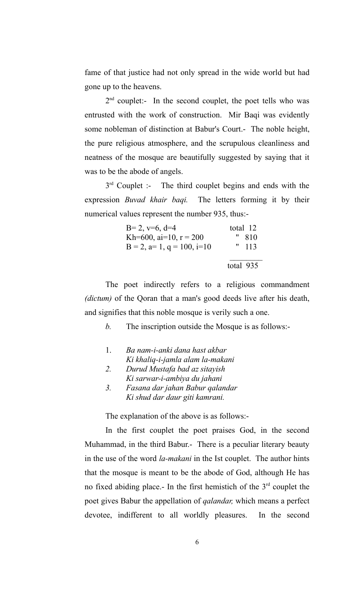fame of that justice had not only spread in the wide world but had gone up to the heavens.

 $2<sup>nd</sup>$  couplet:- In the second couplet, the poet tells who was entrusted with the work of construction. Mir Baqi was evidently some nobleman of distinction at Babur's Court.- The noble height, the pure religious atmosphere, and the scrupulous cleanliness and neatness of the mosque are beautifully suggested by saying that it was to be the abode of angels.

3<sup>rd</sup> Couplet :- The third couplet begins and ends with the expression *Buvad khair baqi.* The letters forming it by their numerical values represent the number 935, thus:-

| $B=2, v=6, d=4$                       | total 12  |
|---------------------------------------|-----------|
| Kh=600, ai=10, $r = 200$              | " 810     |
| $B = 2$ , $a= 1$ , $q = 100$ , $i=10$ | " 113     |
|                                       |           |
|                                       | total 935 |

The poet indirectly refers to a religious commandment *(dictum)* of the Qoran that a man's good deeds live after his death, and signifies that this noble mosque is verily such a one.

*b.* The inscription outside the Mosque is as follows:-

- 1. *Ba nam-i-anki dana hast akbar Ki khaliq-i-jamla alam la-makani*
- *2. Durud Mustafa bad az sitayish Ki sarwar-i-ambiya du jahani*
- *3. Fasana dar jahan Babur qalandar Ki shud dar daur giti kamrani.*

The explanation of the above is as follows:-

In the first couplet the poet praises God, in the second Muhammad, in the third Babur.- There is a peculiar literary beauty in the use of the word *la-makani* in the Ist couplet. The author hints that the mosque is meant to be the abode of God, although He has no fixed abiding place.- In the first hemistich of the  $3<sup>rd</sup>$  couplet the poet gives Babur the appellation of *qalandar,* which means a perfect devotee, indifferent to all worldly pleasures. In the second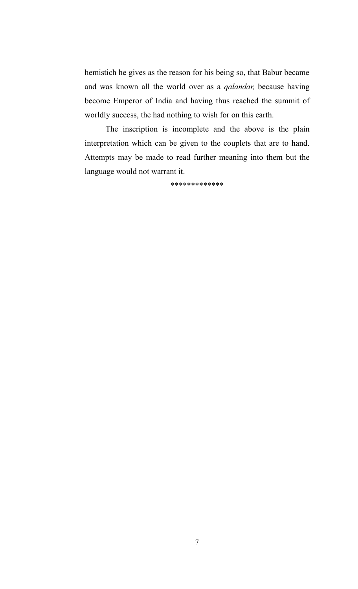hemistich he gives as the reason for his being so, that Babur became and was known all the world over as a *qalandar,* because having become Emperor of India and having thus reached the summit of worldly success, the had nothing to wish for on this earth.

The inscription is incomplete and the above is the plain interpretation which can be given to the couplets that are to hand. Attempts may be made to read further meaning into them but the language would not warrant it.

\*\*\*\*\*\*\*\*\*\*\*\*\*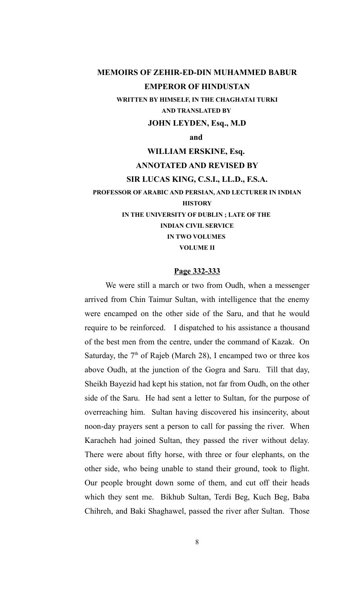# **MEMOIRS OF ZEHIR-ED-DIN MUHAMMED BABUR EMPEROR OF HINDUSTAN**

**WRITTEN BY HIMSELF, IN THE CHAGHATAI TURKI AND TRANSLATED BY** 

**JOHN LEYDEN, Esq., M.D**

**and** 

**WILLIAM ERSKINE, Esq.** 

# **ANNOTATED AND REVISED BY**

#### **SIR LUCAS KING, C.S.I., LL.D., F.S.A.**

**PROFESSOR OF ARABIC AND PERSIAN, AND LECTURER IN INDIAN HISTORY IN THE UNIVERSITY OF DUBLIN ; LATE OF THE INDIAN CIVIL SERVICE IN TWO VOLUMES VOLUME II**

#### **Page 332-333**

We were still a march or two from Oudh, when a messenger arrived from Chin Taimur Sultan, with intelligence that the enemy were encamped on the other side of the Saru, and that he would require to be reinforced. I dispatched to his assistance a thousand of the best men from the centre, under the command of Kazak. On Saturday, the  $7<sup>th</sup>$  of Rajeb (March 28), I encamped two or three kos above Oudh, at the junction of the Gogra and Saru. Till that day, Sheikh Bayezid had kept his station, not far from Oudh, on the other side of the Saru. He had sent a letter to Sultan, for the purpose of overreaching him. Sultan having discovered his insincerity, about noon-day prayers sent a person to call for passing the river. When Karacheh had joined Sultan, they passed the river without delay. There were about fifty horse, with three or four elephants, on the other side, who being unable to stand their ground, took to flight. Our people brought down some of them, and cut off their heads which they sent me. Bikhub Sultan, Terdi Beg, Kuch Beg, Baba Chihreh, and Baki Shaghawel, passed the river after Sultan. Those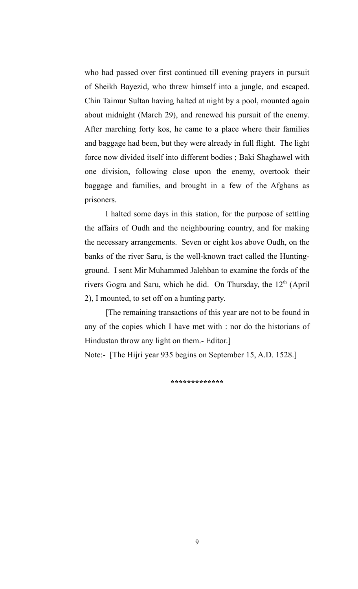who had passed over first continued till evening prayers in pursuit of Sheikh Bayezid, who threw himself into a jungle, and escaped. Chin Taimur Sultan having halted at night by a pool, mounted again about midnight (March 29), and renewed his pursuit of the enemy. After marching forty kos, he came to a place where their families and baggage had been, but they were already in full flight. The light force now divided itself into different bodies ; Baki Shaghawel with one division, following close upon the enemy, overtook their baggage and families, and brought in a few of the Afghans as prisoners.

I halted some days in this station, for the purpose of settling the affairs of Oudh and the neighbouring country, and for making the necessary arrangements. Seven or eight kos above Oudh, on the banks of the river Saru, is the well-known tract called the Huntingground. I sent Mir Muhammed Jalehban to examine the fords of the rivers Gogra and Saru, which he did. On Thursday, the  $12<sup>th</sup>$  (April 2), I mounted, to set off on a hunting party.

[The remaining transactions of this year are not to be found in any of the copies which I have met with : nor do the historians of Hindustan throw any light on them.- Editor.]

Note:- [The Hijri year 935 begins on September 15, A.D. 1528.]

**\*\*\*\*\*\*\*\*\*\*\*\*\***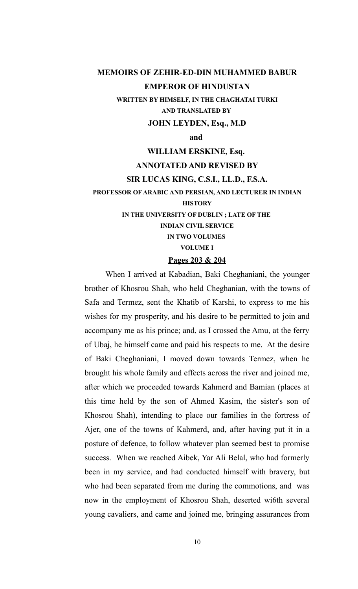# **MEMOIRS OF ZEHIR-ED-DIN MUHAMMED BABUR EMPEROR OF HINDUSTAN**

**WRITTEN BY HIMSELF, IN THE CHAGHATAI TURKI AND TRANSLATED BY** 

#### **JOHN LEYDEN, Esq., M.D**

**and** 

# **WILLIAM ERSKINE, Esq.**

# **ANNOTATED AND REVISED BY**

#### **SIR LUCAS KING, C.S.I., LL.D., F.S.A.**

**PROFESSOR OF ARABIC AND PERSIAN, AND LECTURER IN INDIAN**

# **HISTORY**

**IN THE UNIVERSITY OF DUBLIN ; LATE OF THE** 

#### **INDIAN CIVIL SERVICE**

**IN TWO VOLUMES** 

**VOLUME I**

# **Pages 203 & 204**

When I arrived at Kabadian, Baki Cheghaniani, the younger brother of Khosrou Shah, who held Cheghanian, with the towns of Safa and Termez, sent the Khatib of Karshi, to express to me his wishes for my prosperity, and his desire to be permitted to join and accompany me as his prince; and, as I crossed the Amu, at the ferry of Ubaj, he himself came and paid his respects to me. At the desire of Baki Cheghaniani, I moved down towards Termez, when he brought his whole family and effects across the river and joined me, after which we proceeded towards Kahmerd and Bamian (places at this time held by the son of Ahmed Kasim, the sister's son of Khosrou Shah), intending to place our families in the fortress of Ajer, one of the towns of Kahmerd, and, after having put it in a posture of defence, to follow whatever plan seemed best to promise success. When we reached Aibek, Yar Ali Belal, who had formerly been in my service, and had conducted himself with bravery, but who had been separated from me during the commotions, and was now in the employment of Khosrou Shah, deserted wi6th several young cavaliers, and came and joined me, bringing assurances from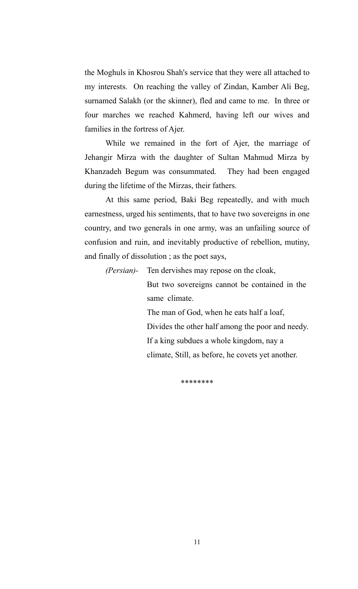the Moghuls in Khosrou Shah's service that they were all attached to my interests. On reaching the valley of Zindan, Kamber Ali Beg, surnamed Salakh (or the skinner), fled and came to me. In three or four marches we reached Kahmerd, having left our wives and families in the fortress of Ajer.

While we remained in the fort of Ajer, the marriage of Jehangir Mirza with the daughter of Sultan Mahmud Mirza by Khanzadeh Begum was consummated. They had been engaged during the lifetime of the Mirzas, their fathers.

At this same period, Baki Beg repeatedly, and with much earnestness, urged his sentiments, that to have two sovereigns in one country, and two generals in one army, was an unfailing source of confusion and ruin, and inevitably productive of rebellion, mutiny, and finally of dissolution ; as the poet says,

*(Persian)-* Ten dervishes may repose on the cloak,

But two sovereigns cannot be contained in the same climate.

The man of God, when he eats half a loaf, Divides the other half among the poor and needy. If a king subdues a whole kingdom, nay a climate, Still, as before, he covets yet another.

\*\*\*\*\*\*\*\*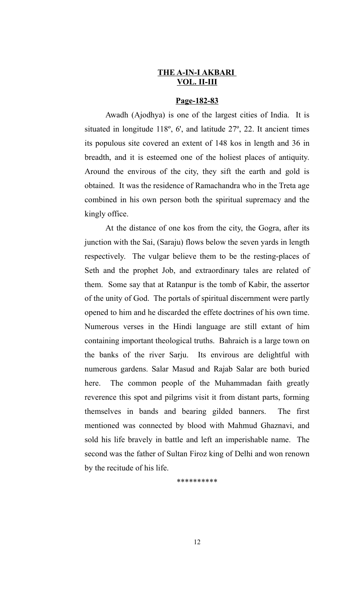#### **THE A-IN-I AKBARI VOL. II-III**

# **Page-182-83**

Awadh (Ajodhya) is one of the largest cities of India. It is situated in longitude 118º, 6', and latitude 27º, 22. It ancient times its populous site covered an extent of 148 kos in length and 36 in breadth, and it is esteemed one of the holiest places of antiquity. Around the envirous of the city, they sift the earth and gold is obtained. It was the residence of Ramachandra who in the Treta age combined in his own person both the spiritual supremacy and the kingly office.

At the distance of one kos from the city, the Gogra, after its junction with the Sai, (Saraju) flows below the seven yards in length respectively. The vulgar believe them to be the resting-places of Seth and the prophet Job, and extraordinary tales are related of them. Some say that at Ratanpur is the tomb of Kabir, the assertor of the unity of God. The portals of spiritual discernment were partly opened to him and he discarded the effete doctrines of his own time. Numerous verses in the Hindi language are still extant of him containing important theological truths. Bahraich is a large town on the banks of the river Sarju. Its envirous are delightful with numerous gardens. Salar Masud and Rajab Salar are both buried here. The common people of the Muhammadan faith greatly reverence this spot and pilgrims visit it from distant parts, forming themselves in bands and bearing gilded banners. The first mentioned was connected by blood with Mahmud Ghaznavi, and sold his life bravely in battle and left an imperishable name. The second was the father of Sultan Firoz king of Delhi and won renown by the recitude of his life.

\*\*\*\*\*\*\*\*\*\*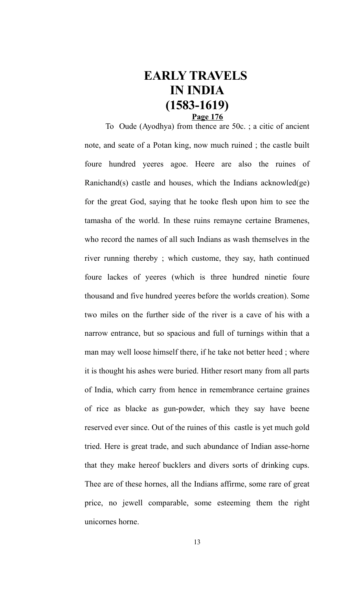# **EARLY TRAVELS IN INDIA (1583-1619) Page 176**

To Oude (Ayodhya) from thence are 50c. ; a citic of ancient note, and seate of a Potan king, now much ruined ; the castle built foure hundred yeeres agoe. Heere are also the ruines of Ranichand(s) castle and houses, which the Indians acknowled(ge) for the great God, saying that he tooke flesh upon him to see the tamasha of the world. In these ruins remayne certaine Bramenes, who record the names of all such Indians as wash themselves in the river running thereby ; which custome, they say, hath continued foure lackes of yeeres (which is three hundred ninetie foure thousand and five hundred yeeres before the worlds creation). Some two miles on the further side of the river is a cave of his with a narrow entrance, but so spacious and full of turnings within that a man may well loose himself there, if he take not better heed ; where it is thought his ashes were buried. Hither resort many from all parts of India, which carry from hence in remembrance certaine graines of rice as blacke as gun-powder, which they say have beene reserved ever since. Out of the ruines of this castle is yet much gold tried. Here is great trade, and such abundance of Indian asse-horne that they make hereof bucklers and divers sorts of drinking cups. Thee are of these hornes, all the Indians affirme, some rare of great price, no jewell comparable, some esteeming them the right unicornes horne.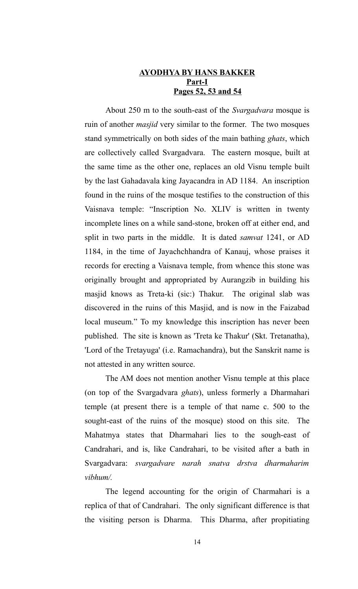# **AYODHYA BY HANS BAKKER Part-I Pages 52, 53 and 54**

About 250 m to the south-east of the *Svargadvara* mosque is ruin of another *masjid* very similar to the former. The two mosques stand symmetrically on both sides of the main bathing *ghats*, which are collectively called Svargadvara. The eastern mosque, built at the same time as the other one, replaces an old Visnu temple built by the last Gahadavala king Jayacandra in AD 1184. An inscription found in the ruins of the mosque testifies to the construction of this Vaisnava temple: "Inscription No. XLIV is written in twenty incomplete lines on a while sand-stone, broken off at either end, and split in two parts in the middle. It is dated *samvat* 1241, or AD 1184, in the time of Jayachchhandra of Kanauj, whose praises it records for erecting a Vaisnava temple, from whence this stone was originally brought and appropriated by Aurangzib in building his masjid knows as Treta-ki (sic:) Thakur. The original slab was discovered in the ruins of this Masjid, and is now in the Faizabad local museum." To my knowledge this inscription has never been published. The site is known as 'Treta ke Thakur' (Skt. Tretanatha), 'Lord of the Tretayuga' (i.e. Ramachandra), but the Sanskrit name is not attested in any written source.

The AM does not mention another Visnu temple at this place (on top of the Svargadvara *ghats*), unless formerly a Dharmahari temple (at present there is a temple of that name c. 500 to the sought-east of the ruins of the mosque) stood on this site. The Mahatmya states that Dharmahari lies to the sough-east of Candrahari, and is, like Candrahari, to be visited after a bath in Svargadvara: *svargadvare narah snatva drstva dharmaharim vibhum/.*

The legend accounting for the origin of Charmahari is a replica of that of Candrahari. The only significant difference is that the visiting person is Dharma. This Dharma, after propitiating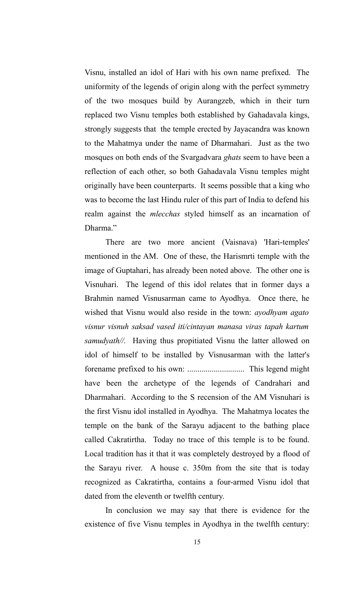Visnu, installed an idol of Hari with his own name prefixed. The uniformity of the legends of origin along with the perfect symmetry of the two mosques build by Aurangzeb, which in their turn replaced two Visnu temples both established by Gahadavala kings, strongly suggests that the temple erected by Jayacandra was known to the Mahatmya under the name of Dharmahari. Just as the two mosques on both ends of the Svargadvara *ghats* seem to have been a reflection of each other, so both Gahadavala Visnu temples might originally have been counterparts. It seems possible that a king who was to become the last Hindu ruler of this part of India to defend his realm against the *mlecchas* styled himself as an incarnation of Dharma."

There are two more ancient (Vaisnava) 'Hari-temples' mentioned in the AM. One of these, the Harismrti temple with the image of Guptahari, has already been noted above. The other one is Visnuhari. The legend of this idol relates that in former days a Brahmin named Visnusarman came to Ayodhya. Once there, he wished that Visnu would also reside in the town: *ayodhyam agato visnur visnuh saksad vased iti/cintayan manasa viras tapah kartum samudyath//.* Having thus propitiated Visnu the latter allowed on idol of himself to be installed by Visnusarman with the latter's forename prefixed to his own: ............................ This legend might have been the archetype of the legends of Candrahari and Dharmahari. According to the S recension of the AM Visnuhari is the first Visnu idol installed in Ayodhya. The Mahatmya locates the temple on the bank of the Sarayu adjacent to the bathing place called Cakratirtha. Today no trace of this temple is to be found. Local tradition has it that it was completely destroyed by a flood of the Sarayu river. A house c. 350m from the site that is today recognized as Cakratirtha, contains a four-armed Visnu idol that dated from the eleventh or twelfth century.

In conclusion we may say that there is evidence for the existence of five Visnu temples in Ayodhya in the twelfth century: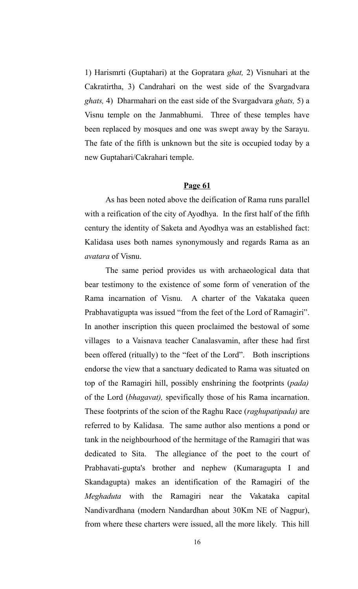1) Harismrti (Guptahari) at the Gopratara *ghat,* 2) Visnuhari at the Cakratirtha, 3) Candrahari on the west side of the Svargadvara *ghats,* 4) Dharmahari on the east side of the Svargadvara *ghats,* 5) a Visnu temple on the Janmabhumi. Three of these temples have been replaced by mosques and one was swept away by the Sarayu. The fate of the fifth is unknown but the site is occupied today by a new Guptahari/Cakrahari temple.

# **Page 61**

As has been noted above the deification of Rama runs parallel with a reification of the city of Ayodhya. In the first half of the fifth century the identity of Saketa and Ayodhya was an established fact: Kalidasa uses both names synonymously and regards Rama as an *avatara* of Visnu.

The same period provides us with archaeological data that bear testimony to the existence of some form of veneration of the Rama incarnation of Visnu. A charter of the Vakataka queen Prabhavatigupta was issued "from the feet of the Lord of Ramagiri". In another inscription this queen proclaimed the bestowal of some villages to a Vaisnava teacher Canalasvamin, after these had first been offered (ritually) to the "feet of the Lord". Both inscriptions endorse the view that a sanctuary dedicated to Rama was situated on top of the Ramagiri hill, possibly enshrining the footprints (*pada)* of the Lord (*bhagavat),* spevifically those of his Rama incarnation. These footprints of the scion of the Raghu Race (*raghupatipada)* are referred to by Kalidasa. The same author also mentions a pond or tank in the neighbourhood of the hermitage of the Ramagiri that was dedicated to Sita. The allegiance of the poet to the court of Prabhavati-gupta's brother and nephew (Kumaragupta I and Skandagupta) makes an identification of the Ramagiri of the *Meghaduta* with the Ramagiri near the Vakataka capital Nandivardhana (modern Nandardhan about 30Km NE of Nagpur), from where these charters were issued, all the more likely. This hill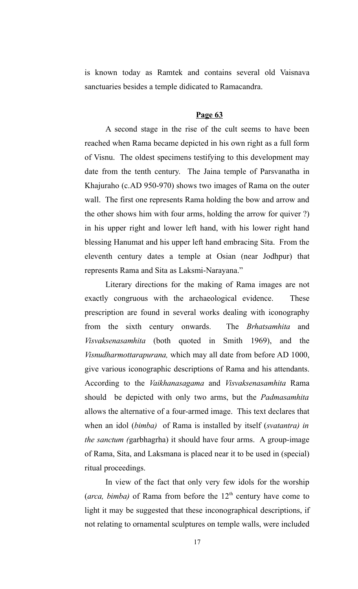is known today as Ramtek and contains several old Vaisnava sanctuaries besides a temple didicated to Ramacandra.

# **Page 63**

A second stage in the rise of the cult seems to have been reached when Rama became depicted in his own right as a full form of Visnu. The oldest specimens testifying to this development may date from the tenth century. The Jaina temple of Parsvanatha in Khajuraho (c.AD 950-970) shows two images of Rama on the outer wall. The first one represents Rama holding the bow and arrow and the other shows him with four arms, holding the arrow for quiver ?) in his upper right and lower left hand, with his lower right hand blessing Hanumat and his upper left hand embracing Sita. From the eleventh century dates a temple at Osian (near Jodhpur) that represents Rama and Sita as Laksmi-Narayana."

Literary directions for the making of Rama images are not exactly congruous with the archaeological evidence. These prescription are found in several works dealing with iconography from the sixth century onwards. The *Brhatsamhita* and *Visvaksenasamhita* (both quoted in Smith 1969), and the *Visnudharmottarapurana,* which may all date from before AD 1000, give various iconographic descriptions of Rama and his attendants. According to the *Vaikhanasagama* and *Visvaksenasamhita* Rama should be depicted with only two arms, but the *Padmasamhita* allows the alternative of a four-armed image. This text declares that when an idol (*bimba)* of Rama is installed by itself (*svatantra) in the sanctum (*garbhagrha) it should have four arms. A group-image of Rama, Sita, and Laksmana is placed near it to be used in (special) ritual proceedings.

In view of the fact that only very few idols for the worship (*arca, bimba*) of Rama from before the  $12<sup>th</sup>$  century have come to light it may be suggested that these inconographical descriptions, if not relating to ornamental sculptures on temple walls, were included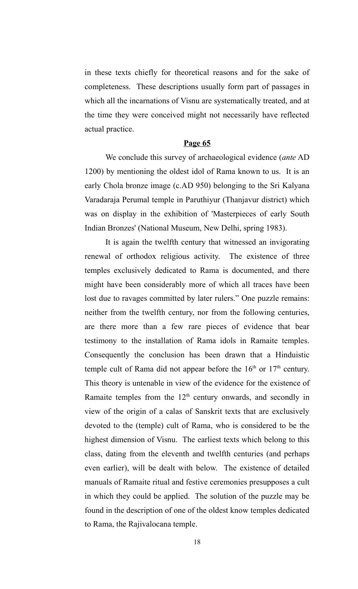in these texts chiefly for theoretical reasons and for the sake of completeness. These descriptions usually form part of passages in which all the incarnations of Visnu are systematically treated, and at the time they were conceived might not necessarily have reflected actual practice.

#### **Page 65**

We conclude this survey of archaeological evidence (*ante* AD 1200) by mentioning the oldest idol of Rama known to us. It is an early Chola bronze image (c.AD 950) belonging to the Sri Kalyana Varadaraja Perumal temple in Paruthiyur (Thanjavur district) which was on display in the exhibition of 'Masterpieces of early South Indian Bronzes' (National Museum, New Delhi, spring 1983).

It is again the twelfth century that witnessed an invigorating renewal of orthodox religious activity. The existence of three temples exclusively dedicated to Rama is documented, and there might have been considerably more of which all traces have been lost due to ravages committed by later rulers." One puzzle remains: neither from the twelfth century, nor from the following centuries, are there more than a few rare pieces of evidence that bear testimony to the installation of Rama idols in Ramaite temples. Consequently the conclusion has been drawn that a Hinduistic temple cult of Rama did not appear before the  $16<sup>th</sup>$  or  $17<sup>th</sup>$  century. This theory is untenable in view of the evidence for the existence of Ramaite temples from the 12<sup>th</sup> century onwards, and secondly in view of the origin of a calas of Sanskrit texts that are exclusively devoted to the (temple) cult of Rama, who is considered to be the highest dimension of Visnu. The earliest texts which belong to this class, dating from the eleventh and twelfth centuries (and perhaps even earlier), will be dealt with below. The existence of detailed manuals of Ramaite ritual and festive ceremonies presupposes a cult in which they could be applied. The solution of the puzzle may be found in the description of one of the oldest know temples dedicated to Rama, the Rajivalocana temple.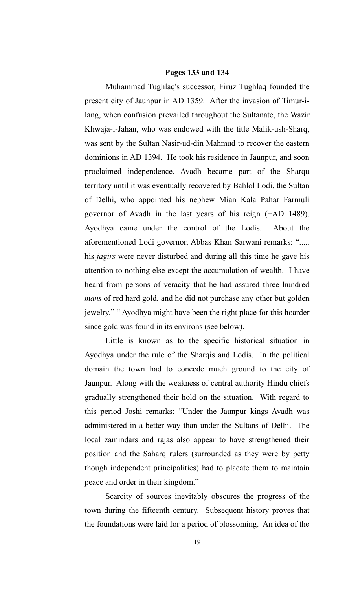#### **Pages 133 and 134**

Muhammad Tughlaq's successor, Firuz Tughlaq founded the present city of Jaunpur in AD 1359. After the invasion of Timur-ilang, when confusion prevailed throughout the Sultanate, the Wazir Khwaja-i-Jahan, who was endowed with the title Malik-ush-Sharq, was sent by the Sultan Nasir-ud-din Mahmud to recover the eastern dominions in AD 1394. He took his residence in Jaunpur, and soon proclaimed independence. Avadh became part of the Sharqu territory until it was eventually recovered by Bahlol Lodi, the Sultan of Delhi, who appointed his nephew Mian Kala Pahar Farmuli governor of Avadh in the last years of his reign (+AD 1489). Ayodhya came under the control of the Lodis. About the aforementioned Lodi governor, Abbas Khan Sarwani remarks: "..... his *jagirs* were never disturbed and during all this time he gave his attention to nothing else except the accumulation of wealth. I have heard from persons of veracity that he had assured three hundred *mans* of red hard gold, and he did not purchase any other but golden jewelry." " Ayodhya might have been the right place for this hoarder since gold was found in its environs (see below).

Little is known as to the specific historical situation in Ayodhya under the rule of the Sharqis and Lodis. In the political domain the town had to concede much ground to the city of Jaunpur. Along with the weakness of central authority Hindu chiefs gradually strengthened their hold on the situation. With regard to this period Joshi remarks: "Under the Jaunpur kings Avadh was administered in a better way than under the Sultans of Delhi. The local zamindars and rajas also appear to have strengthened their position and the Saharq rulers (surrounded as they were by petty though independent principalities) had to placate them to maintain peace and order in their kingdom."

Scarcity of sources inevitably obscures the progress of the town during the fifteenth century. Subsequent history proves that the foundations were laid for a period of blossoming. An idea of the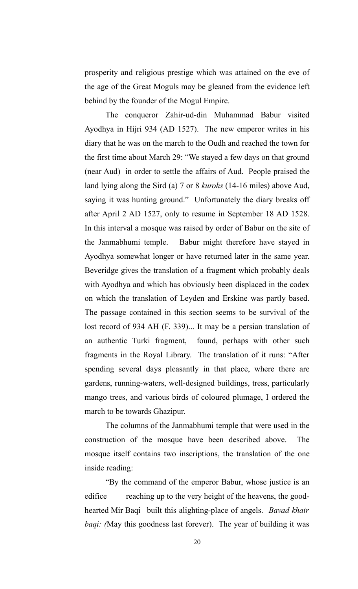prosperity and religious prestige which was attained on the eve of the age of the Great Moguls may be gleaned from the evidence left behind by the founder of the Mogul Empire.

The conqueror Zahir-ud-din Muhammad Babur visited Ayodhya in Hijri 934 (AD 1527). The new emperor writes in his diary that he was on the march to the Oudh and reached the town for the first time about March 29: "We stayed a few days on that ground (near Aud) in order to settle the affairs of Aud. People praised the land lying along the Sird (a) 7 or 8 *kurohs* (14-16 miles) above Aud, saying it was hunting ground." Unfortunately the diary breaks off after April 2 AD 1527, only to resume in September 18 AD 1528. In this interval a mosque was raised by order of Babur on the site of the Janmabhumi temple. Babur might therefore have stayed in Ayodhya somewhat longer or have returned later in the same year. Beveridge gives the translation of a fragment which probably deals with Ayodhya and which has obviously been displaced in the codex on which the translation of Leyden and Erskine was partly based. The passage contained in this section seems to be survival of the lost record of 934 AH (F. 339)... It may be a persian translation of an authentic Turki fragment, found, perhaps with other such fragments in the Royal Library. The translation of it runs: "After spending several days pleasantly in that place, where there are gardens, running-waters, well-designed buildings, tress, particularly mango trees, and various birds of coloured plumage, I ordered the march to be towards Ghazipur.

The columns of the Janmabhumi temple that were used in the construction of the mosque have been described above. The mosque itself contains two inscriptions, the translation of the one inside reading:

"By the command of the emperor Babur, whose justice is an edifice reaching up to the very height of the heavens, the goodhearted Mir Baqi built this alighting-place of angels. *Bavad khair baqi: (*May this goodness last forever). The year of building it was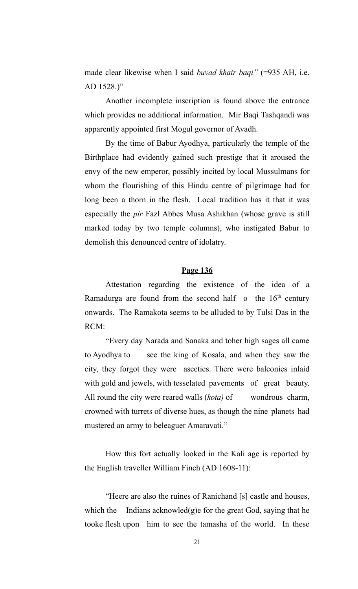made clear likewise when I said *buvad khair baqi*" (=935 AH, i.e. AD 1528.)"

Another incomplete inscription is found above the entrance which provides no additional information. Mir Baqi Tashqandi was apparently appointed first Mogul governor of Avadh.

By the time of Babur Ayodhya, particularly the temple of the Birthplace had evidently gained such prestige that it aroused the envy of the new emperor, possibly incited by local Mussulmans for whom the flourishing of this Hindu centre of pilgrimage had for long been a thorn in the flesh. Local tradition has it that it was especially the *pir* Fazl Abbes Musa Ashikhan (whose grave is still marked today by two temple columns), who instigated Babur to demolish this denounced centre of idolatry.

# **Page 136**

Attestation regarding the existence of the idea of a Ramadurga are found from the second half  $\,$  o the  $16<sup>th</sup>$  century onwards. The Ramakota seems to be alluded to by Tulsi Das in the RCM:

"Every day Narada and Sanaka and toher high sages all came to Ayodhya to see the king of Kosala, and when they saw the city, they forgot they were ascetics. There were balconies inlaid with gold and jewels, with tesselated pavements of great beauty. All round the city were reared walls (*kota)* of wondrous charm, crowned with turrets of diverse hues, as though the nine planets had mustered an army to beleaguer Amaravati."

How this fort actually looked in the Kali age is reported by the English traveller William Finch (AD 1608-11):

"Heere are also the ruines of Ranichand [s] castle and houses, which the Indians acknowled $(g)$ e for the great God, saying that he tooke flesh upon him to see the tamasha of the world. In these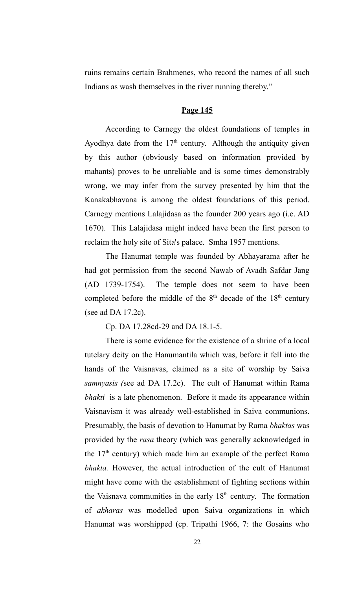ruins remains certain Brahmenes, who record the names of all such Indians as wash themselves in the river running thereby."

# **Page 145**

According to Carnegy the oldest foundations of temples in Ayodhya date from the  $17<sup>th</sup>$  century. Although the antiquity given by this author (obviously based on information provided by mahants) proves to be unreliable and is some times demonstrably wrong, we may infer from the survey presented by him that the Kanakabhavana is among the oldest foundations of this period. Carnegy mentions Lalajidasa as the founder 200 years ago (i.e. AD 1670). This Lalajidasa might indeed have been the first person to reclaim the holy site of Sita's palace. Smha 1957 mentions.

The Hanumat temple was founded by Abhayarama after he had got permission from the second Nawab of Avadh Safdar Jang (AD 1739-1754). The temple does not seem to have been completed before the middle of the  $8<sup>th</sup>$  decade of the  $18<sup>th</sup>$  century (see ad DA 17.2c).

Cp. DA 17.28cd-29 and DA 18.1-5.

There is some evidence for the existence of a shrine of a local tutelary deity on the Hanumantila which was, before it fell into the hands of the Vaisnavas, claimed as a site of worship by Saiva *samnyasis (*see ad DA 17.2c). The cult of Hanumat within Rama *bhakti* is a late phenomenon. Before it made its appearance within Vaisnavism it was already well-established in Saiva communions. Presumably, the basis of devotion to Hanumat by Rama *bhaktas* was provided by the *rasa* theory (which was generally acknowledged in the  $17<sup>th</sup>$  century) which made him an example of the perfect Rama *bhakta.* However, the actual introduction of the cult of Hanumat might have come with the establishment of fighting sections within the Vaisnava communities in the early  $18<sup>th</sup>$  century. The formation of *akharas* was modelled upon Saiva organizations in which Hanumat was worshipped (cp. Tripathi 1966, 7: the Gosains who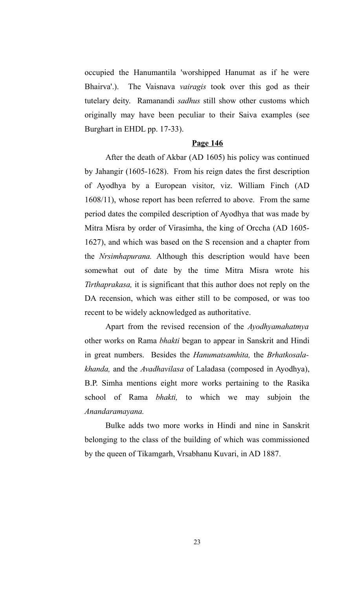occupied the Hanumantila 'worshipped Hanumat as if he were Bhairva'.). The Vaisnava *vairagis* took over this god as their tutelary deity. Ramanandi *sadhus* still show other customs which originally may have been peculiar to their Saiva examples (see Burghart in EHDL pp. 17-33).

#### **Page 146**

After the death of Akbar (AD 1605) his policy was continued by Jahangir (1605-1628). From his reign dates the first description of Ayodhya by a European visitor, viz. William Finch (AD 1608/11), whose report has been referred to above. From the same period dates the compiled description of Ayodhya that was made by Mitra Misra by order of Virasimha, the king of Orccha (AD 1605- 1627), and which was based on the S recension and a chapter from the *Nrsimhapurana.* Although this description would have been somewhat out of date by the time Mitra Misra wrote his *Tirthaprakasa,* it is significant that this author does not reply on the DA recension, which was either still to be composed, or was too recent to be widely acknowledged as authoritative.

Apart from the revised recension of the *Ayodhyamahatmya* other works on Rama *bhakti* began to appear in Sanskrit and Hindi in great numbers. Besides the *Hanumatsamhita,* the *Brhatkosalakhanda,* and the *Avadhavilasa* of Laladasa (composed in Ayodhya), B.P. Simha mentions eight more works pertaining to the Rasika school of Rama *bhakti,* to which we may subjoin the *Anandaramayana.*

Bulke adds two more works in Hindi and nine in Sanskrit belonging to the class of the building of which was commissioned by the queen of Tikamgarh, Vrsabhanu Kuvari, in AD 1887.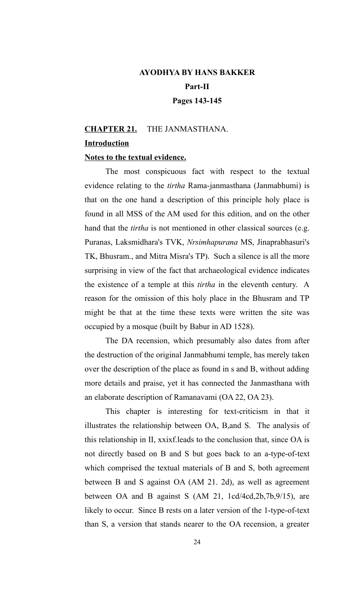# **AYODHYA BY HANS BAKKER Part-II Pages 143-145**

# **CHAPTER 21.** THE JANMASTHANA. **Introduction**

# **Notes to the textual evidence.**

The most conspicuous fact with respect to the textual evidence relating to the *tirtha* Rama-janmasthana (Janmabhumi) is that on the one hand a description of this principle holy place is found in all MSS of the AM used for this edition, and on the other hand that the *tirtha* is not mentioned in other classical sources (e.g. Puranas, Laksmidhara's TVK, *Nrsimhapurana* MS, Jinaprabhasuri's TK, Bhusram., and Mitra Misra's TP). Such a silence is all the more surprising in view of the fact that archaeological evidence indicates the existence of a temple at this *tirtha* in the eleventh century. A reason for the omission of this holy place in the Bhusram and TP might be that at the time these texts were written the site was occupied by a mosque (built by Babur in AD 1528).

The DA recension, which presumably also dates from after the destruction of the original Janmabhumi temple, has merely taken over the description of the place as found in s and B, without adding more details and praise, yet it has connected the Janmasthana with an elaborate description of Ramanavami (OA 22, OA 23).

This chapter is interesting for text-criticism in that it illustrates the relationship between OA, B,and S. The analysis of this relationship in II, xxixf.leads to the conclusion that, since OA is not directly based on B and S but goes back to an a-type-of-text which comprised the textual materials of B and S, both agreement between B and S against OA (AM 21. 2d), as well as agreement between OA and B against S (AM 21, 1cd/4cd,2b,7b,9/15), are likely to occur. Since B rests on a later version of the 1-type-of-text than S, a version that stands nearer to the OA recension, a greater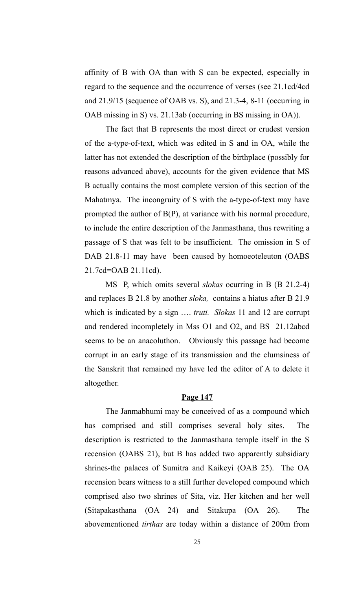affinity of B with OA than with S can be expected, especially in regard to the sequence and the occurrence of verses (see 21.1cd/4cd and 21.9/15 (sequence of OAB vs. S), and 21.3-4, 8-11 (occurring in OAB missing in S) vs. 21.13ab (occurring in BS missing in OA)).

The fact that B represents the most direct or crudest version of the a-type-of-text, which was edited in S and in OA, while the latter has not extended the description of the birthplace (possibly for reasons advanced above), accounts for the given evidence that MS B actually contains the most complete version of this section of the Mahatmya. The incongruity of S with the a-type-of-text may have prompted the author of B(P), at variance with his normal procedure, to include the entire description of the Janmasthana, thus rewriting a passage of S that was felt to be insufficient. The omission in S of DAB 21.8-11 may have been caused by homoeoteleuton (OABS 21.7cd=OAB 21.11cd).

MS P, which omits several *slokas* ocurring in B (B 21.2-4) and replaces B 21.8 by another *sloka,* contains a hiatus after B 21.9 which is indicated by a sign …. *truti. Slokas* 11 and 12 are corrupt and rendered incompletely in Mss O1 and O2, and BS 21.12abcd seems to be an anacoluthon. Obviously this passage had become corrupt in an early stage of its transmission and the clumsiness of the Sanskrit that remained my have led the editor of A to delete it altogether.

#### **Page 147**

The Janmabhumi may be conceived of as a compound which has comprised and still comprises several holy sites. The description is restricted to the Janmasthana temple itself in the S recension (OABS 21), but B has added two apparently subsidiary shrines-the palaces of Sumitra and Kaikeyi (OAB 25). The OA recension bears witness to a still further developed compound which comprised also two shrines of Sita, viz. Her kitchen and her well (Sitapakasthana (OA 24) and Sitakupa (OA 26). The abovementioned *tirthas* are today within a distance of 200m from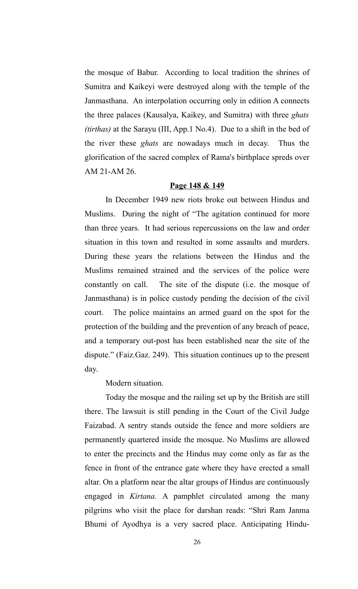the mosque of Babur. According to local tradition the shrines of Sumitra and Kaikeyi were destroyed along with the temple of the Janmasthana. An interpolation occurring only in edition A connects the three palaces (Kausalya, Kaikey, and Sumitra) with three *ghats (tirthas)* at the Sarayu (III, App.1 No.4). Due to a shift in the bed of the river these *ghats* are nowadays much in decay. Thus the glorification of the sacred complex of Rama's birthplace spreds over AM 21-AM 26.

# **Page 148 & 149**

In December 1949 new riots broke out between Hindus and Muslims. During the night of "The agitation continued for more than three years. It had serious repercussions on the law and order situation in this town and resulted in some assaults and murders. During these years the relations between the Hindus and the Muslims remained strained and the services of the police were constantly on call. The site of the dispute (i.e. the mosque of Janmasthana) is in police custody pending the decision of the civil court. The police maintains an armed guard on the spot for the protection of the building and the prevention of any breach of peace, and a temporary out-post has been established near the site of the dispute." (Faiz.Gaz. 249). This situation continues up to the present day.

# Modern situation.

Today the mosque and the railing set up by the British are still there. The lawsuit is still pending in the Court of the Civil Judge Faizabad. A sentry stands outside the fence and more soldiers are permanently quartered inside the mosque. No Muslims are allowed to enter the precincts and the Hindus may come only as far as the fence in front of the entrance gate where they have erected a small altar. On a platform near the altar groups of Hindus are continuously engaged in *Kirtana.* A pamphlet circulated among the many pilgrims who visit the place for darshan reads: "Shri Ram Janma Bhumi of Ayodhya is a very sacred place. Anticipating Hindu-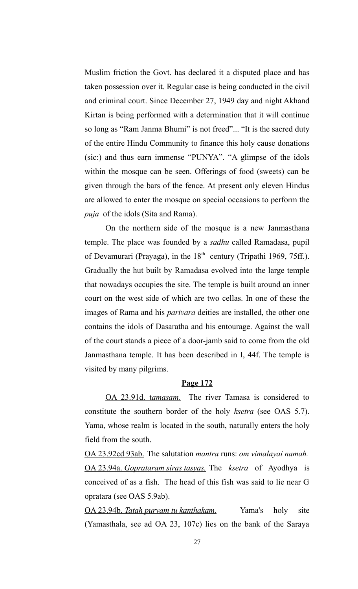Muslim friction the Govt. has declared it a disputed place and has taken possession over it. Regular case is being conducted in the civil and criminal court. Since December 27, 1949 day and night Akhand Kirtan is being performed with a determination that it will continue so long as "Ram Janma Bhumi" is not freed"... "It is the sacred duty of the entire Hindu Community to finance this holy cause donations (sic:) and thus earn immense "PUNYA". "A glimpse of the idols within the mosque can be seen. Offerings of food (sweets) can be given through the bars of the fence. At present only eleven Hindus are allowed to enter the mosque on special occasions to perform the *puja* of the idols (Sita and Rama).

On the northern side of the mosque is a new Janmasthana temple. The place was founded by a *sadhu* called Ramadasa, pupil of Devamurari (Prayaga), in the  $18<sup>th</sup>$  century (Tripathi 1969, 75ff.). Gradually the hut built by Ramadasa evolved into the large temple that nowadays occupies the site. The temple is built around an inner court on the west side of which are two cellas. In one of these the images of Rama and his *parivara* deities are installed, the other one contains the idols of Dasaratha and his entourage. Against the wall of the court stands a piece of a door-jamb said to come from the old Janmasthana temple. It has been described in I, 44f. The temple is visited by many pilgrims.

# **Page 172**

OA 23.91d. tamasam. The river Tamasa is considered to constitute the southern border of the holy *ksetra* (see OAS 5.7). Yama, whose realm is located in the south, naturally enters the holy field from the south.

OA 23.92cd 93ab. The salutation *mantra* runs: *om vimalayai namah.* OA 23.94a. *Goprataram siras tasyas.* The *ksetra* of Ayodhya is conceived of as a fish. The head of this fish was said to lie near G opratara (see OAS 5.9ab).

 OA 23.94b. *Tatah purvam tu kanthakam.* Yama's holy site (Yamasthala, see ad OA 23, 107c) lies on the bank of the Saraya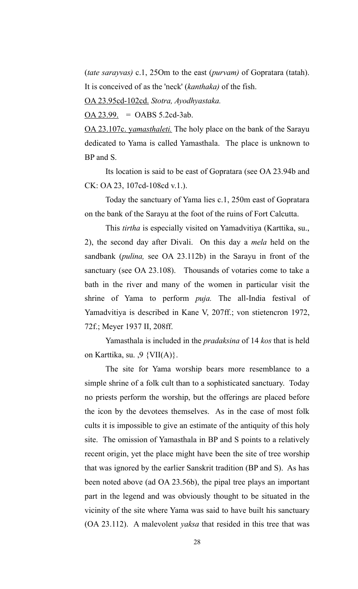(*tate sarayvas)* c.1, 25Om to the east (*purvam)* of Gopratara (tatah). It is conceived of as the 'neck' (*kanthaka)* of the fish.

OA 23.95cd-102cd. *Stotra, Ayodhyastaka.* 

 $OA 23.99. = OABS 5.2cd-3ab.$ </u>

OA 23.107c. *yamasthaleti*. The holy place on the bank of the Sarayu dedicated to Yama is called Yamasthala. The place is unknown to BP and S.

Its location is said to be east of Gopratara (see OA 23.94b and CK: OA 23, 107cd-108cd v.1.).

Today the sanctuary of Yama lies c.1, 250m east of Gopratara on the bank of the Sarayu at the foot of the ruins of Fort Calcutta.

This *tirtha* is especially visited on Yamadvitiya (Karttika, su., 2), the second day after Divali. On this day a *mela* held on the sandbank (*pulina,* see OA 23.112b) in the Sarayu in front of the sanctuary (see OA 23.108). Thousands of votaries come to take a bath in the river and many of the women in particular visit the shrine of Yama to perform *puja.* The all-India festival of Yamadvitiya is described in Kane V, 207ff.; von stietencron 1972, 72f.; Meyer 1937 II, 208ff.

Yamasthala is included in the *pradaksina* of 14 *kos* that is held on Karttika, su. ,9  $\{VII(A)\}\.$ 

The site for Yama worship bears more resemblance to a simple shrine of a folk cult than to a sophisticated sanctuary. Today no priests perform the worship, but the offerings are placed before the icon by the devotees themselves. As in the case of most folk cults it is impossible to give an estimate of the antiquity of this holy site. The omission of Yamasthala in BP and S points to a relatively recent origin, yet the place might have been the site of tree worship that was ignored by the earlier Sanskrit tradition (BP and S). As has been noted above (ad OA 23.56b), the pipal tree plays an important part in the legend and was obviously thought to be situated in the vicinity of the site where Yama was said to have built his sanctuary (OA 23.112). A malevolent *yaksa* that resided in this tree that was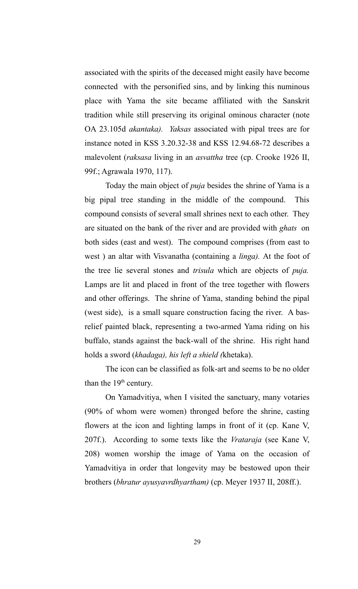associated with the spirits of the deceased might easily have become connected with the personified sins, and by linking this numinous place with Yama the site became affiliated with the Sanskrit tradition while still preserving its original ominous character (note OA 23.105d *akantaka). Yaksas* associated with pipal trees are for instance noted in KSS 3.20.32-38 and KSS 12.94.68-72 describes a malevolent (*raksasa* living in an *asvattha* tree (cp. Crooke 1926 II, 99f.; Agrawala 1970, 117).

Today the main object of *puja* besides the shrine of Yama is a big pipal tree standing in the middle of the compound. This compound consists of several small shrines next to each other. They are situated on the bank of the river and are provided with *ghats* on both sides (east and west). The compound comprises (from east to west ) an altar with Visvanatha (containing a *linga).* At the foot of the tree lie several stones and *trisula* which are objects of *puja.* Lamps are lit and placed in front of the tree together with flowers and other offerings. The shrine of Yama, standing behind the pipal (west side), is a small square construction facing the river. A basrelief painted black, representing a two-armed Yama riding on his buffalo, stands against the back-wall of the shrine. His right hand holds a sword (*khadaga), his left a shield (*khetaka).

The icon can be classified as folk-art and seems to be no older than the  $19<sup>th</sup>$  century.

On Yamadvitiya, when I visited the sanctuary, many votaries (90% of whom were women) thronged before the shrine, casting flowers at the icon and lighting lamps in front of it (cp. Kane V, 207f.). According to some texts like the *Vrataraja* (see Kane V, 208) women worship the image of Yama on the occasion of Yamadvitiya in order that longevity may be bestowed upon their brothers (*bhratur ayusyavrdhyartham)* (cp. Meyer 1937 II, 208ff.).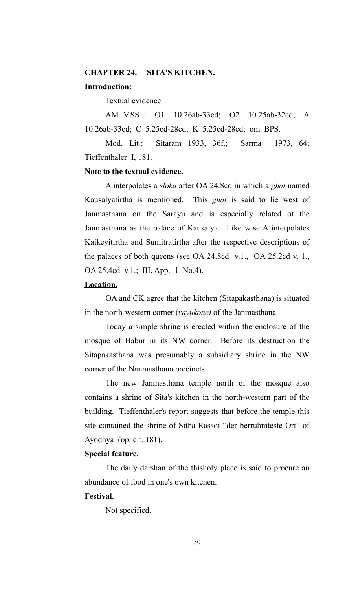# **CHAPTER 24. SITA'S KITCHEN.**

# **Introduction:**

Textual evidence.

AM MSS : O1 10.26ab-33cd; O2 10.25ab-32cd; A 10.26ab-33cd; C 5.25cd-28cd; K 5.25cd-28cd; om. BPS.

Mod. Lit.: Sitaram 1933, 36f.; Sarma 1973, 64; Tieffenthaler I, 181.

# **Note to the textual evidence.**

A interpolates a *sloka* after OA 24.8cd in which a *ghat* named Kausalyatirtha is mentioned. This *ghat* is said to lie west of Janmasthana on the Sarayu and is especially related ot the Janmasthana as the palace of Kausalya. Like wise A interpolates Kaikeyitirtha and Sumitratirtha after the respective descriptions of the palaces of both queens (see OA 24.8cd v.1., OA 25.2cd v. 1., OA 25.4cd v.1.; III, App. 1 No.4).

# **Location.**

OA and CK agree that the kitchen (Sitapakasthana) is situated in the north-western corner (*vayukone)* of the Janmasthana.

Today a simple shrine is erected within the enclosure of the mosque of Babur in its NW corner. Before its destruction the Sitapakasthana was presumably a subsidiary shrine in the NW corner of the Nanmasthana precincts.

The new Janmasthana temple north of the mosque also contains a shrine of Sita's kitchen in the north-western part of the building. Tieffenthaler's report suggests that before the temple this site contained the shrine of Sitha Rassoi "der berruhmteste Ort" of Ayodhya (op. cit. 181).

#### **Special feature.**

The daily darshan of the thisholy place is said to procure an abundance of food in one's own kitchen.

# **Festival.**

Not specified.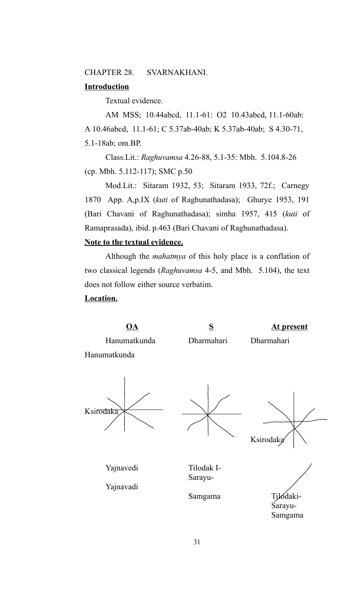CHAPTER 28. SVARNAKHANI.

# **Introduction**

Textual evidence.

AM MSS; 10.44abcd, 11.1-61: O2 10.43abcd, 11.1-60ab: A 10.46abcd, 11.1-61; C 5.37ab-40ab; K 5.37ab-40ab; S 4.30-71, 5.1-18ab; om.BP.

Class.Lit.: *Raghuvamsa* 4.26-88, 5.1-35: Mbh. 5.104.8-26 (cp. Mbh. 5.112-117); SMC p.50

Mod.Lit.: Sitaram 1932, 53; Sitaram 1933, 72f.; Carnegy 1870 App. A,p.IX (*kuti* of Raghunathadasa); Ghurye 1953, 191 (Bari Chavani of Raghunathadasa); simha 1957, 415 (*kuti* of Ramaprasada), ibid. p.463 (Bari Chavani of Raghunathadasa).

# **Note to the textual evidence.**

Although the *mahatmya* of this holy place is a conflation of two classical legends (*Raghuvamsa* 4-5, and Mbh. 5.104), the text does not follow either source verbatim.

# **Location.**

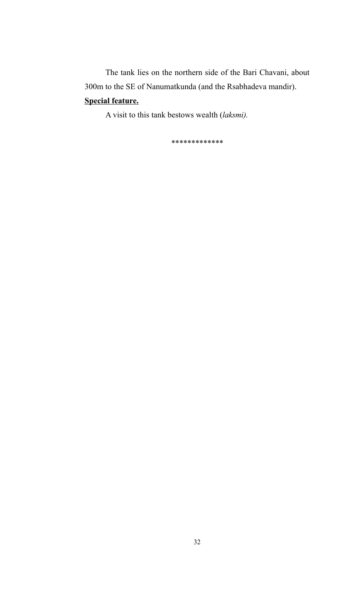The tank lies on the northern side of the Bari Chavani, about 300m to the SE of Nanumatkunda (and the Rsabhadeva mandir). **Special feature.**

A visit to this tank bestows wealth (*laksmi).* 

*\*\*\*\*\*\*\*\*\*\*\*\*\**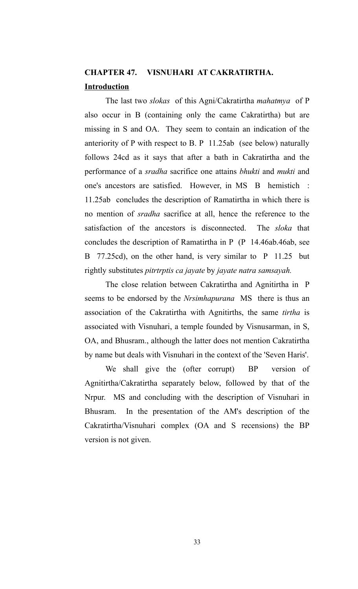# **CHAPTER 47. VISNUHARI AT CAKRATIRTHA. Introduction**

The last two *slokas* of this Agni/Cakratirtha *mahatmya* of P also occur in B (containing only the came Cakratirtha) but are missing in S and OA. They seem to contain an indication of the anteriority of P with respect to B. P 11.25ab (see below) naturally follows 24cd as it says that after a bath in Cakratirtha and the performance of a *sradha* sacrifice one attains *bhukti* and *mukti* and one's ancestors are satisfied. However, in MS B hemistich : 11.25ab concludes the description of Ramatirtha in which there is no mention of *sradha* sacrifice at all, hence the reference to the satisfaction of the ancestors is disconnected. The *sloka* that concludes the description of Ramatirtha in P (P 14.46ab.46ab, see B 77.25cd), on the other hand, is very similar to P 11.25 but rightly substitutes *pitrtrptis ca jayate* by *jayate natra samsayah.*

The close relation between Cakratirtha and Agnitirtha in P seems to be endorsed by the *Nrsimhapurana* MS there is thus an association of the Cakratirtha with Agnitirths, the same *tirtha* is associated with Visnuhari, a temple founded by Visnusarman, in S, OA, and Bhusram., although the latter does not mention Cakratirtha by name but deals with Visnuhari in the context of the 'Seven Haris'.

We shall give the (ofter corrupt) BP version of Agnitirtha/Cakratirtha separately below, followed by that of the Nrpur. MS and concluding with the description of Visnuhari in Bhusram. In the presentation of the AM's description of the Cakratirtha/Visnuhari complex (OA and S recensions) the BP version is not given.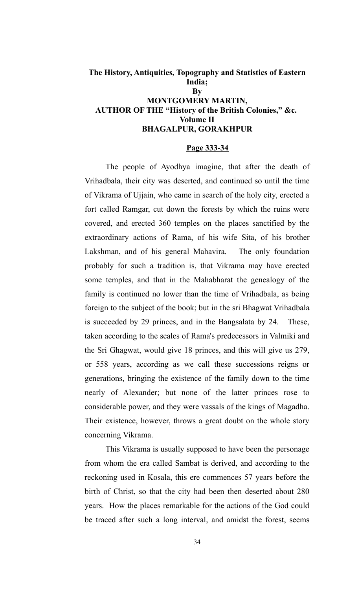# **The History, Antiquities, Topography and Statistics of Eastern India; By MONTGOMERY MARTIN, AUTHOR OF THE "History of the British Colonies," &c. Volume II BHAGALPUR, GORAKHPUR**

#### **Page 333-34**

The people of Ayodhya imagine, that after the death of Vrihadbala, their city was deserted, and continued so until the time of Vikrama of Ujjain, who came in search of the holy city, erected a fort called Ramgar, cut down the forests by which the ruins were covered, and erected 360 temples on the places sanctified by the extraordinary actions of Rama, of his wife Sita, of his brother Lakshman, and of his general Mahavira. The only foundation probably for such a tradition is, that Vikrama may have erected some temples, and that in the Mahabharat the genealogy of the family is continued no lower than the time of Vrihadbala, as being foreign to the subject of the book; but in the sri Bhagwat Vrihadbala is succeeded by 29 princes, and in the Bangsalata by 24. These, taken according to the scales of Rama's predecessors in Valmiki and the Sri Ghagwat, would give 18 princes, and this will give us 279, or 558 years, according as we call these successions reigns or generations, bringing the existence of the family down to the time nearly of Alexander; but none of the latter princes rose to considerable power, and they were vassals of the kings of Magadha. Their existence, however, throws a great doubt on the whole story concerning Vikrama.

This Vikrama is usually supposed to have been the personage from whom the era called Sambat is derived, and according to the reckoning used in Kosala, this ere commences 57 years before the birth of Christ, so that the city had been then deserted about 280 years. How the places remarkable for the actions of the God could be traced after such a long interval, and amidst the forest, seems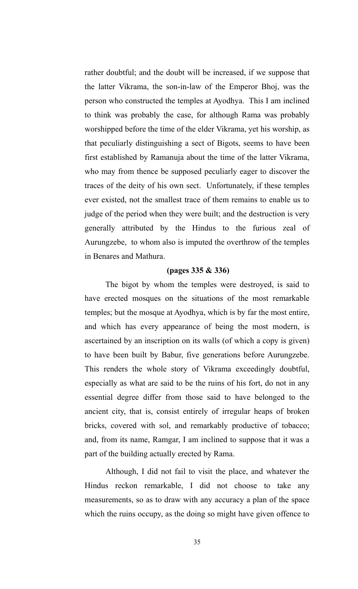rather doubtful; and the doubt will be increased, if we suppose that the latter Vikrama, the son-in-law of the Emperor Bhoj, was the person who constructed the temples at Ayodhya. This I am inclined to think was probably the case, for although Rama was probably worshipped before the time of the elder Vikrama, yet his worship, as that peculiarly distinguishing a sect of Bigots, seems to have been first established by Ramanuja about the time of the latter Vikrama, who may from thence be supposed peculiarly eager to discover the traces of the deity of his own sect. Unfortunately, if these temples ever existed, not the smallest trace of them remains to enable us to judge of the period when they were built; and the destruction is very generally attributed by the Hindus to the furious zeal of Aurungzebe, to whom also is imputed the overthrow of the temples in Benares and Mathura.

# **(pages 335 & 336)**

The bigot by whom the temples were destroyed, is said to have erected mosques on the situations of the most remarkable temples; but the mosque at Ayodhya, which is by far the most entire, and which has every appearance of being the most modern, is ascertained by an inscription on its walls (of which a copy is given) to have been built by Babur, five generations before Aurungzebe. This renders the whole story of Vikrama exceedingly doubtful, especially as what are said to be the ruins of his fort, do not in any essential degree differ from those said to have belonged to the ancient city, that is, consist entirely of irregular heaps of broken bricks, covered with sol, and remarkably productive of tobacco; and, from its name, Ramgar, I am inclined to suppose that it was a part of the building actually erected by Rama.

Although, I did not fail to visit the place, and whatever the Hindus reckon remarkable, I did not choose to take any measurements, so as to draw with any accuracy a plan of the space which the ruins occupy, as the doing so might have given offence to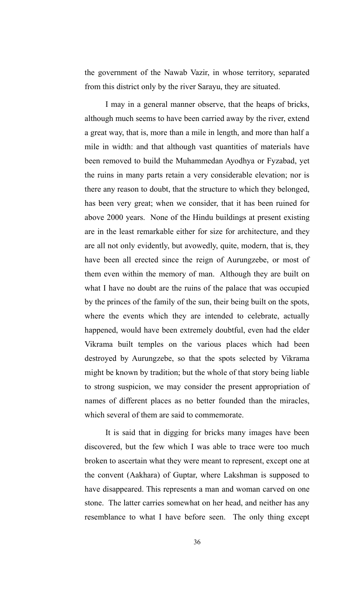the government of the Nawab Vazir, in whose territory, separated from this district only by the river Sarayu, they are situated.

I may in a general manner observe, that the heaps of bricks, although much seems to have been carried away by the river, extend a great way, that is, more than a mile in length, and more than half a mile in width: and that although vast quantities of materials have been removed to build the Muhammedan Ayodhya or Fyzabad, yet the ruins in many parts retain a very considerable elevation; nor is there any reason to doubt, that the structure to which they belonged, has been very great; when we consider, that it has been ruined for above 2000 years. None of the Hindu buildings at present existing are in the least remarkable either for size for architecture, and they are all not only evidently, but avowedly, quite, modern, that is, they have been all erected since the reign of Aurungzebe, or most of them even within the memory of man. Although they are built on what I have no doubt are the ruins of the palace that was occupied by the princes of the family of the sun, their being built on the spots, where the events which they are intended to celebrate, actually happened, would have been extremely doubtful, even had the elder Vikrama built temples on the various places which had been destroyed by Aurungzebe, so that the spots selected by Vikrama might be known by tradition; but the whole of that story being liable to strong suspicion, we may consider the present appropriation of names of different places as no better founded than the miracles, which several of them are said to commemorate.

It is said that in digging for bricks many images have been discovered, but the few which I was able to trace were too much broken to ascertain what they were meant to represent, except one at the convent (Aakhara) of Guptar, where Lakshman is supposed to have disappeared. This represents a man and woman carved on one stone. The latter carries somewhat on her head, and neither has any resemblance to what I have before seen. The only thing except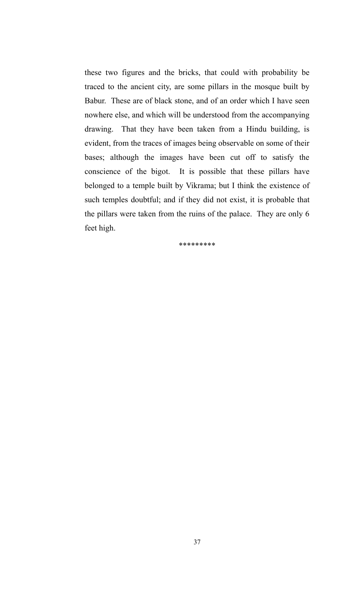these two figures and the bricks, that could with probability be traced to the ancient city, are some pillars in the mosque built by Babur. These are of black stone, and of an order which I have seen nowhere else, and which will be understood from the accompanying drawing. That they have been taken from a Hindu building, is evident, from the traces of images being observable on some of their bases; although the images have been cut off to satisfy the conscience of the bigot. It is possible that these pillars have belonged to a temple built by Vikrama; but I think the existence of such temples doubtful; and if they did not exist, it is probable that the pillars were taken from the ruins of the palace. They are only 6 feet high.

\*\*\*\*\*\*\*\*\*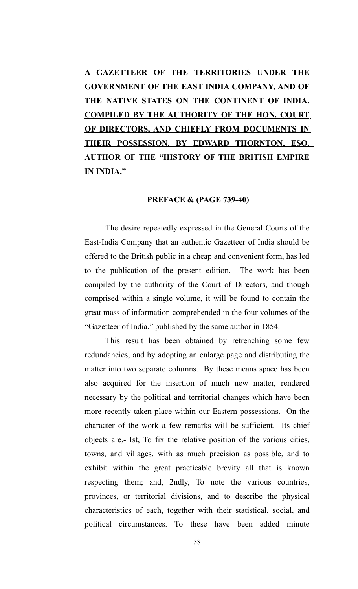**A GAZETTEER OF THE TERRITORIES UNDER THE GOVERNMENT OF THE EAST INDIA COMPANY, AND OF THE NATIVE STATES ON THE CONTINENT OF INDIA. COMPILED BY THE AUTHORITY OF THE HON. COURT OF DIRECTORS, AND CHIEFLY FROM DOCUMENTS IN THEIR POSSESSION. BY EDWARD THORNTON, ESQ. AUTHOR OF THE "HISTORY OF THE BRITISH EMPIRE IN INDIA."**

#### **PREFACE & (PAGE 739-40)**

The desire repeatedly expressed in the General Courts of the East-India Company that an authentic Gazetteer of India should be offered to the British public in a cheap and convenient form, has led to the publication of the present edition. The work has been compiled by the authority of the Court of Directors, and though comprised within a single volume, it will be found to contain the great mass of information comprehended in the four volumes of the "Gazetteer of India." published by the same author in 1854.

This result has been obtained by retrenching some few redundancies, and by adopting an enlarge page and distributing the matter into two separate columns. By these means space has been also acquired for the insertion of much new matter, rendered necessary by the political and territorial changes which have been more recently taken place within our Eastern possessions. On the character of the work a few remarks will be sufficient. Its chief objects are,- Ist, To fix the relative position of the various cities, towns, and villages, with as much precision as possible, and to exhibit within the great practicable brevity all that is known respecting them; and, 2ndly, To note the various countries, provinces, or territorial divisions, and to describe the physical characteristics of each, together with their statistical, social, and political circumstances. To these have been added minute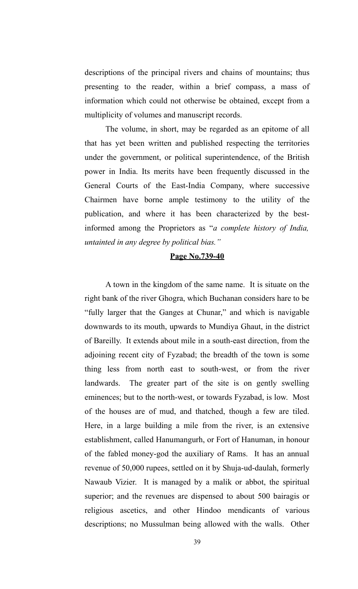descriptions of the principal rivers and chains of mountains; thus presenting to the reader, within a brief compass, a mass of information which could not otherwise be obtained, except from a multiplicity of volumes and manuscript records.

The volume, in short, may be regarded as an epitome of all that has yet been written and published respecting the territories under the government, or political superintendence, of the British power in India. Its merits have been frequently discussed in the General Courts of the East-India Company, where successive Chairmen have borne ample testimony to the utility of the publication, and where it has been characterized by the bestinformed among the Proprietors as "*a complete history of India, untainted in any degree by political bias."*

### **Page No.739-40**

A town in the kingdom of the same name. It is situate on the right bank of the river Ghogra, which Buchanan considers hare to be "fully larger that the Ganges at Chunar," and which is navigable downwards to its mouth, upwards to Mundiya Ghaut, in the district of Bareilly. It extends about mile in a south-east direction, from the adjoining recent city of Fyzabad; the breadth of the town is some thing less from north east to south-west, or from the river landwards. The greater part of the site is on gently swelling eminences; but to the north-west, or towards Fyzabad, is low. Most of the houses are of mud, and thatched, though a few are tiled. Here, in a large building a mile from the river, is an extensive establishment, called Hanumangurh, or Fort of Hanuman, in honour of the fabled money-god the auxiliary of Rams. It has an annual revenue of 50,000 rupees, settled on it by Shuja-ud-daulah, formerly Nawaub Vizier. It is managed by a malik or abbot, the spiritual superior; and the revenues are dispensed to about 500 bairagis or religious ascetics, and other Hindoo mendicants of various descriptions; no Mussulman being allowed with the walls. Other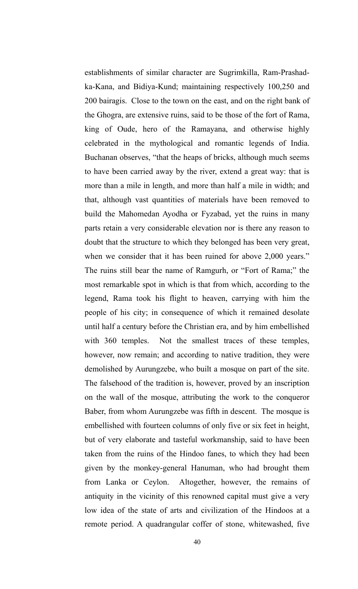establishments of similar character are Sugrimkilla, Ram-Prashadka-Kana, and Bidiya-Kund; maintaining respectively 100,250 and 200 bairagis. Close to the town on the east, and on the right bank of the Ghogra, are extensive ruins, said to be those of the fort of Rama, king of Oude, hero of the Ramayana, and otherwise highly celebrated in the mythological and romantic legends of India. Buchanan observes, "that the heaps of bricks, although much seems to have been carried away by the river, extend a great way: that is more than a mile in length, and more than half a mile in width; and that, although vast quantities of materials have been removed to build the Mahomedan Ayodha or Fyzabad, yet the ruins in many parts retain a very considerable elevation nor is there any reason to doubt that the structure to which they belonged has been very great, when we consider that it has been ruined for above 2,000 years." The ruins still bear the name of Ramgurh, or "Fort of Rama;" the most remarkable spot in which is that from which, according to the legend, Rama took his flight to heaven, carrying with him the people of his city; in consequence of which it remained desolate until half a century before the Christian era, and by him embellished with 360 temples. Not the smallest traces of these temples, however, now remain; and according to native tradition, they were demolished by Aurungzebe, who built a mosque on part of the site. The falsehood of the tradition is, however, proved by an inscription on the wall of the mosque, attributing the work to the conqueror Baber, from whom Aurungzebe was fifth in descent. The mosque is embellished with fourteen columns of only five or six feet in height, but of very elaborate and tasteful workmanship, said to have been taken from the ruins of the Hindoo fanes, to which they had been given by the monkey-general Hanuman, who had brought them from Lanka or Ceylon. Altogether, however, the remains of antiquity in the vicinity of this renowned capital must give a very low idea of the state of arts and civilization of the Hindoos at a remote period. A quadrangular coffer of stone, whitewashed, five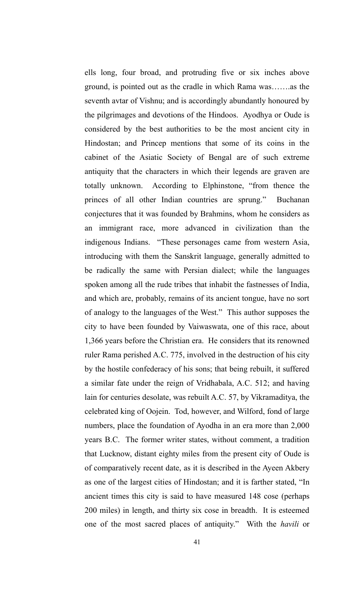ells long, four broad, and protruding five or six inches above ground, is pointed out as the cradle in which Rama was…….as the seventh avtar of Vishnu; and is accordingly abundantly honoured by the pilgrimages and devotions of the Hindoos. Ayodhya or Oude is considered by the best authorities to be the most ancient city in Hindostan; and Princep mentions that some of its coins in the cabinet of the Asiatic Society of Bengal are of such extreme antiquity that the characters in which their legends are graven are totally unknown. According to Elphinstone, "from thence the princes of all other Indian countries are sprung." Buchanan conjectures that it was founded by Brahmins, whom he considers as an immigrant race, more advanced in civilization than the indigenous Indians. "These personages came from western Asia, introducing with them the Sanskrit language, generally admitted to be radically the same with Persian dialect; while the languages spoken among all the rude tribes that inhabit the fastnesses of India, and which are, probably, remains of its ancient tongue, have no sort of analogy to the languages of the West." This author supposes the city to have been founded by Vaiwaswata, one of this race, about 1,366 years before the Christian era. He considers that its renowned ruler Rama perished A.C. 775, involved in the destruction of his city by the hostile confederacy of his sons; that being rebuilt, it suffered a similar fate under the reign of Vridhabala, A.C. 512; and having lain for centuries desolate, was rebuilt A.C. 57, by Vikramaditya, the celebrated king of Oojein. Tod, however, and Wilford, fond of large numbers, place the foundation of Ayodha in an era more than 2,000 years B.C. The former writer states, without comment, a tradition that Lucknow, distant eighty miles from the present city of Oude is of comparatively recent date, as it is described in the Ayeen Akbery as one of the largest cities of Hindostan; and it is farther stated, "In ancient times this city is said to have measured 148 cose (perhaps 200 miles) in length, and thirty six cose in breadth. It is esteemed one of the most sacred places of antiquity." With the *havili* or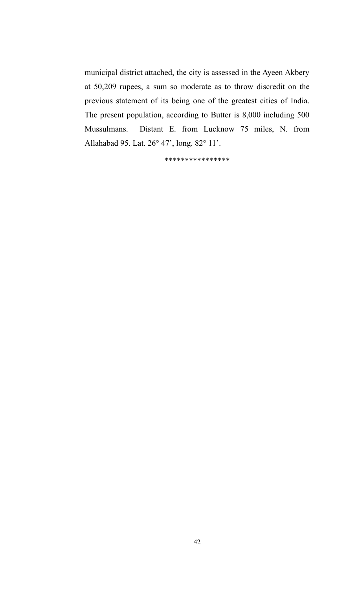municipal district attached, the city is assessed in the Ayeen Akbery at 50,209 rupees, a sum so moderate as to throw discredit on the previous statement of its being one of the greatest cities of India. The present population, according to Butter is 8,000 including 500 Mussulmans. Distant E. from Lucknow 75 miles, N. from Allahabad 95. Lat. 26° 47', long. 82° 11'.

\*\*\*\*\*\*\*\*\*\*\*\*\*\*\*\*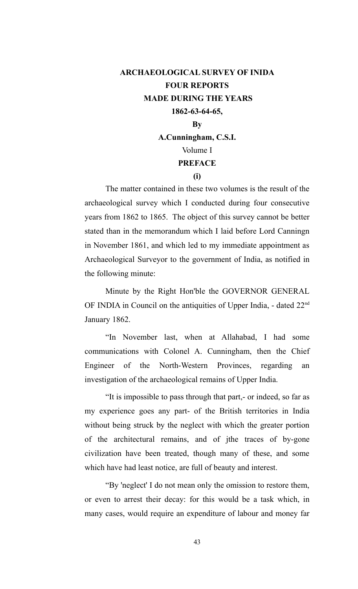# **ARCHAEOLOGICAL SURVEY OF INIDA FOUR REPORTS MADE DURING THE YEARS 1862-63-64-65, By A.Cunningham, C.S.I.** Volume I

#### **PREFACE**

#### **(i)**

The matter contained in these two volumes is the result of the archaeological survey which I conducted during four consecutive years from 1862 to 1865. The object of this survey cannot be better stated than in the memorandum which I laid before Lord Canningn in November 1861, and which led to my immediate appointment as Archaeological Surveyor to the government of India, as notified in the following minute:

Minute by the Right Hon'ble the GOVERNOR GENERAL OF INDIA in Council on the antiquities of Upper India, - dated 22<sup>nd</sup> January 1862.

"In November last, when at Allahabad, I had some communications with Colonel A. Cunningham, then the Chief Engineer of the North-Western Provinces, regarding an investigation of the archaeological remains of Upper India.

"It is impossible to pass through that part,- or indeed, so far as my experience goes any part- of the British territories in India without being struck by the neglect with which the greater portion of the architectural remains, and of jthe traces of by-gone civilization have been treated, though many of these, and some which have had least notice, are full of beauty and interest.

"By 'neglect' I do not mean only the omission to restore them, or even to arrest their decay: for this would be a task which, in many cases, would require an expenditure of labour and money far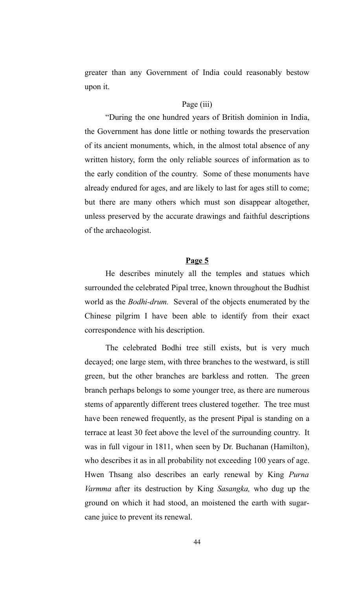greater than any Government of India could reasonably bestow upon it.

#### Page (iii)

"During the one hundred years of British dominion in India, the Government has done little or nothing towards the preservation of its ancient monuments, which, in the almost total absence of any written history, form the only reliable sources of information as to the early condition of the country. Some of these monuments have already endured for ages, and are likely to last for ages still to come; but there are many others which must son disappear altogether, unless preserved by the accurate drawings and faithful descriptions of the archaeologist.

#### **Page 5**

He describes minutely all the temples and statues which surrounded the celebrated Pipal trree, known throughout the Budhist world as the *Bodhi-drum.* Several of the objects enumerated by the Chinese pilgrim I have been able to identify from their exact correspondence with his description.

The celebrated Bodhi tree still exists, but is very much decayed; one large stem, with three branches to the westward, is still green, but the other branches are barkless and rotten. The green branch perhaps belongs to some younger tree, as there are numerous stems of apparently different trees clustered together. The tree must have been renewed frequently, as the present Pipal is standing on a terrace at least 30 feet above the level of the surrounding country. It was in full vigour in 1811, when seen by Dr. Buchanan (Hamilton), who describes it as in all probability not exceeding 100 years of age. Hwen Thsang also describes an early renewal by King *Purna Varmma* after its destruction by King *Sasangka,* who dug up the ground on which it had stood, an moistened the earth with sugarcane juice to prevent its renewal.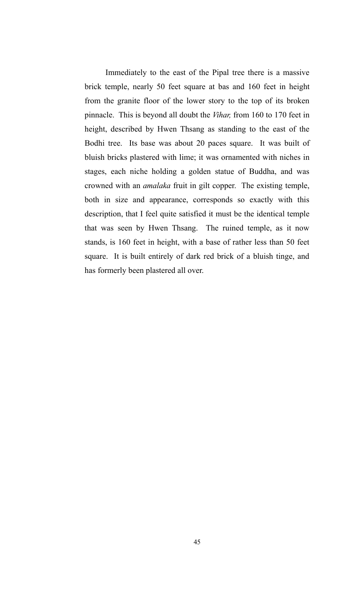Immediately to the east of the Pipal tree there is a massive brick temple, nearly 50 feet square at bas and 160 feet in height from the granite floor of the lower story to the top of its broken pinnacle. This is beyond all doubt the *Vihar,* from 160 to 170 feet in height, described by Hwen Thsang as standing to the east of the Bodhi tree. Its base was about 20 paces square. It was built of bluish bricks plastered with lime; it was ornamented with niches in stages, each niche holding a golden statue of Buddha, and was crowned with an *amalaka* fruit in gilt copper. The existing temple, both in size and appearance, corresponds so exactly with this description, that I feel quite satisfied it must be the identical temple that was seen by Hwen Thsang. The ruined temple, as it now stands, is 160 feet in height, with a base of rather less than 50 feet square. It is built entirely of dark red brick of a bluish tinge, and has formerly been plastered all over.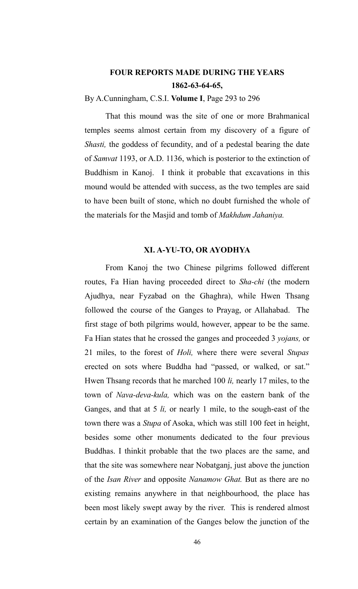## **FOUR REPORTS MADE DURING THE YEARS 1862-63-64-65,**

By A.Cunningham, C.S.I. **Volume I**, Page 293 to 296

That this mound was the site of one or more Brahmanical temples seems almost certain from my discovery of a figure of *Shasti,* the goddess of fecundity, and of a pedestal bearing the date of *Samvat* 1193, or A.D. 1136, which is posterior to the extinction of Buddhism in Kanoj. I think it probable that excavations in this mound would be attended with success, as the two temples are said to have been built of stone, which no doubt furnished the whole of the materials for the Masjid and tomb of *Makhdum Jahaniya.*

### **XI. A-YU-TO, OR AYODHYA**

From Kanoj the two Chinese pilgrims followed different routes, Fa Hian having proceeded direct to *Sha-chi* (the modern Ajudhya, near Fyzabad on the Ghaghra), while Hwen Thsang followed the course of the Ganges to Prayag, or Allahabad. The first stage of both pilgrims would, however, appear to be the same. Fa Hian states that he crossed the ganges and proceeded 3 *yojans,* or 21 miles, to the forest of *Holi,* where there were several *Stupas* erected on sots where Buddha had "passed, or walked, or sat." Hwen Thsang records that he marched 100 *li,* nearly 17 miles, to the town of *Nava-deva-kula,* which was on the eastern bank of the Ganges, and that at 5 *li,* or nearly 1 mile, to the sough-east of the town there was a *Stupa* of Asoka, which was still 100 feet in height, besides some other monuments dedicated to the four previous Buddhas. I thinkit probable that the two places are the same, and that the site was somewhere near Nobatganj, just above the junction of the *Isan River* and opposite *Nanamow Ghat.* But as there are no existing remains anywhere in that neighbourhood, the place has been most likely swept away by the river. This is rendered almost certain by an examination of the Ganges below the junction of the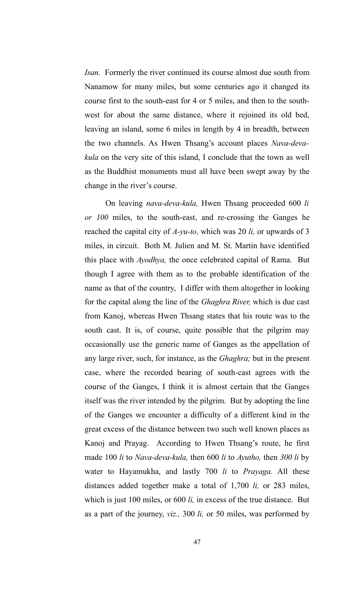*Isan.* Formerly the river continued its course almost due south from Nanamow for many miles, but some centuries ago it changed its course first to the south-east for 4 or 5 miles, and then to the southwest for about the same distance, where it rejoined its old bed, leaving an island, some 6 miles in length by 4 in breadth, between the two channels. As Hwen Thsang's account places *Nava-devakula* on the very site of this island, I conclude that the town as well as the Buddhist monuments must all have been swept away by the change in the river's course.

On leaving *nava-deva-kula,* Hwen Thsang proceeded 600 *li or 100* miles, to the south-east, and re-crossing the Ganges he reached the capital city of *A-yu-to,* which was 20 *li,* or upwards of 3 miles, in circuit. Both M. Julien and M. St. Martin have identified this place with *Ayodhya,* the once celebrated capital of Rama. But though I agree with them as to the probable identification of the name as that of the country, I differ with them altogether in looking for the capital along the line of the *Ghaghra River,* which is due cast from Kanoj, whereas Hwen Thsang states that his route was to the south cast. It is, of course, quite possible that the pilgrim may occasionally use the generic name of Ganges as the appellation of any large river, such, for instance, as the *Ghaghra;* but in the present case, where the recorded bearing of south-cast agrees with the course of the Ganges, I think it is almost certain that the Ganges itself was the river intended by the pilgrim. But by adopting the line of the Ganges we encounter a difficulty of a different kind in the great excess of the distance between two such well known places as Kanoj and Prayag. According to Hwen Thsang's route, he first made 100 *li* to *Nava-deva-kula,* then 600 *li* to *Ayutho,* then *300 li* by water to Hayamukha, and lastly 700 *li* to *Prayaga.* All these distances added together make a total of 1,700 *li,* or 283 miles, which is just 100 miles, or 600 *li,* in excess of the true distance. But as a part of the journey, *viz.,* 300 *li,* or 50 miles, was performed by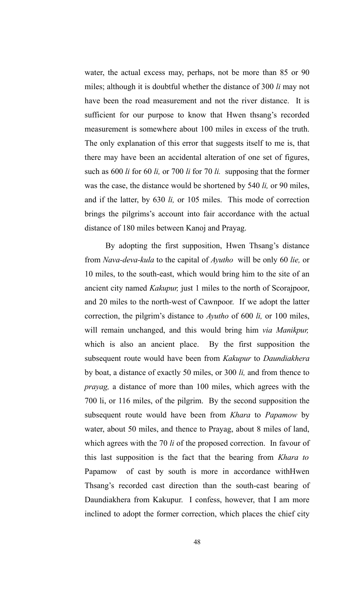water, the actual excess may, perhaps, not be more than 85 or 90 miles; although it is doubtful whether the distance of 300 *li* may not have been the road measurement and not the river distance. It is sufficient for our purpose to know that Hwen thsang's recorded measurement is somewhere about 100 miles in excess of the truth. The only explanation of this error that suggests itself to me is, that there may have been an accidental alteration of one set of figures, such as 600 *li* for 60 *li,* or 700 *li* for 70 *li.* supposing that the former was the case, the distance would be shortened by 540 *li,* or 90 miles, and if the latter, by 630 *li,* or 105 miles. This mode of correction brings the pilgrims's account into fair accordance with the actual distance of 180 miles between Kanoj and Prayag.

By adopting the first supposition, Hwen Thsang's distance from *Nava-deva-kula* to the capital of *Ayutho* will be only 60 *lie,* or 10 miles, to the south-east, which would bring him to the site of an ancient city named *Kakupur,* just 1 miles to the north of Scorajpoor, and 20 miles to the north-west of Cawnpoor. If we adopt the latter correction, the pilgrim's distance to *Ayutho* of 600 *li,* or 100 miles, will remain unchanged, and this would bring him *via Manikpur,* which is also an ancient place. By the first supposition the subsequent route would have been from *Kakupur* to *Daundiakhera* by boat, a distance of exactly 50 miles, or 300 *li,* and from thence to *prayag,* a distance of more than 100 miles, which agrees with the 700 li, or 116 miles, of the pilgrim. By the second supposition the subsequent route would have been from *Khara* to *Papamow* by water, about 50 miles, and thence to Prayag, about 8 miles of land, which agrees with the 70 *li* of the proposed correction. In favour of this last supposition is the fact that the bearing from *Khara to* Papamow of cast by south is more in accordance withHwen Thsang's recorded cast direction than the south-cast bearing of Daundiakhera from Kakupur. I confess, however, that I am more inclined to adopt the former correction, which places the chief city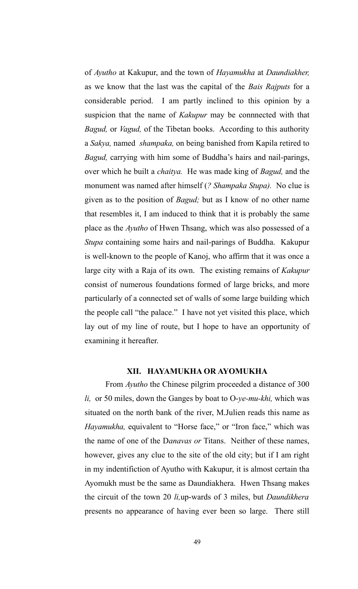of *Ayutho* at Kakupur, and the town of *Hayamukha* at *Daundiakher,* as we know that the last was the capital of the *Bais Rajputs* for a considerable period. I am partly inclined to this opinion by a suspicion that the name of *Kakupur* may be connnected with that *Bagud,* or *Vagud,* of the Tibetan books. According to this authority a *Sakya,* named *shampaka,* on being banished from Kapila retired to *Bagud,* carrying with him some of Buddha's hairs and nail-parings, over which he built a *chaitya.* He was made king of *Bagud,* and the monument was named after himself (*? Shampaka Stupa).* No clue is given as to the position of *Bagud;* but as I know of no other name that resembles it, I am induced to think that it is probably the same place as the *Ayutho* of Hwen Thsang, which was also possessed of a *Stupa* containing some hairs and nail-parings of Buddha. Kakupur is well-known to the people of Kanoj, who affirm that it was once a large city with a Raja of its own. The existing remains of *Kakupur* consist of numerous foundations formed of large bricks, and more particularly of a connected set of walls of some large building which the people call "the palace." I have not yet visited this place, which lay out of my line of route, but I hope to have an opportunity of examining it hereafter.

#### **XII. HAYAMUKHA OR AYOMUKHA**

From *Ayutho* the Chinese pilgrim proceeded a distance of 300 *li,* or 50 miles, down the Ganges by boat to O-*ye-mu-khi,* which was situated on the north bank of the river, M.Julien reads this name as *Hayamukha,* equivalent to "Horse face," or "Iron face," which was the name of one of the D*anavas or* Titans. Neither of these names, however, gives any clue to the site of the old city; but if I am right in my indentifiction of Ayutho with Kakupur, it is almost certain tha Ayomukh must be the same as Daundiakhera. Hwen Thsang makes the circuit of the town 20 *li,*up-wards of 3 miles, but *Daundikhera* presents no appearance of having ever been so large. There still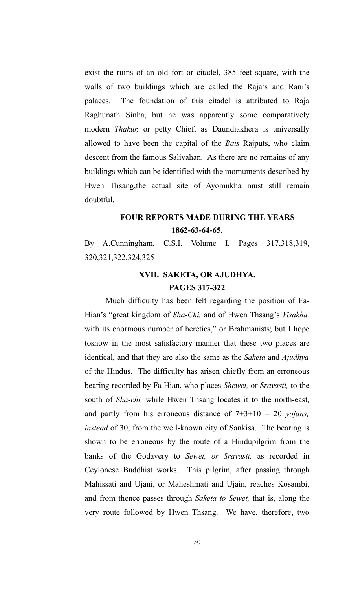exist the ruins of an old fort or citadel, 385 feet square, with the walls of two buildings which are called the Raja's and Rani's palaces. The foundation of this citadel is attributed to Raja Raghunath Sinha, but he was apparently some comparatively modern *Thakur,* or petty Chief, as Daundiakhera is universally allowed to have been the capital of the *Bais* Rajputs, who claim descent from the famous Salivahan. As there are no remains of any buildings which can be identified with the momuments described by Hwen Thsang,the actual site of Ayomukha must still remain doubtful.

# **FOUR REPORTS MADE DURING THE YEARS 1862-63-64-65,**

By A.Cunningham, C.S.I. Volume I, Pages 317,318,319, 320,321,322,324,325

## **XVII. SAKETA, OR AJUDHYA. PAGES 317-322**

Much difficulty has been felt regarding the position of Fa-Hian's "great kingdom of *Sha-Chi,* and of Hwen Thsang's *Visakha,* with its enormous number of heretics," or Brahmanists; but I hope toshow in the most satisfactory manner that these two places are identical, and that they are also the same as the *Saketa* and *Ajudhya* of the Hindus. The difficulty has arisen chiefly from an erroneous bearing recorded by Fa Hian, who places *Shewei,* or *Sravasti,* to the south of *Sha-chi,* while Hwen Thsang locates it to the north-east, and partly from his erroneous distance of 7+3+10 = 20 *yojans, instead* of 30, from the well-known city of Sankisa. The bearing is shown to be erroneous by the route of a Hindupilgrim from the banks of the Godavery to *Sewet, or Sravasti,* as recorded in Ceylonese Buddhist works. This pilgrim, after passing through Mahissati and Ujani, or Maheshmati and Ujain, reaches Kosambi, and from thence passes through *Saketa to Sewet,* that is, along the very route followed by Hwen Thsang. We have, therefore, two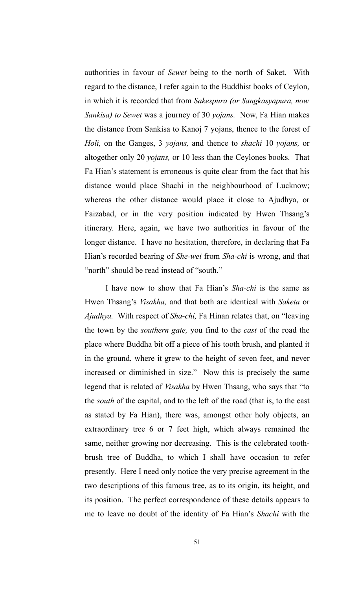authorities in favour of *Sewet* being to the north of Saket. With regard to the distance, I refer again to the Buddhist books of Ceylon, in which it is recorded that from *Sakespura (or Sangkasyapura, now Sankisa) to Sewet* was a journey of 30 *yojans.* Now, Fa Hian makes the distance from Sankisa to Kanoj 7 yojans, thence to the forest of *Holi,* on the Ganges, 3 *yojans,* and thence to *shachi* 10 *yojans,* or altogether only 20 *yojans,* or 10 less than the Ceylones books. That Fa Hian's statement is erroneous is quite clear from the fact that his distance would place Shachi in the neighbourhood of Lucknow; whereas the other distance would place it close to Ajudhya, or Faizabad, or in the very position indicated by Hwen Thsang's itinerary. Here, again, we have two authorities in favour of the longer distance. I have no hesitation, therefore, in declaring that Fa Hian's recorded bearing of *She-wei* from *Sha-chi* is wrong, and that "north" should be read instead of "south."

I have now to show that Fa Hian's *Sha-chi* is the same as Hwen Thsang's *Visakha,* and that both are identical with *Saketa* or *Ajudhya.* With respect of *Sha-chi,* Fa Hinan relates that, on "leaving the town by the *southern gate,* you find to the *cast* of the road the place where Buddha bit off a piece of his tooth brush, and planted it in the ground, where it grew to the height of seven feet, and never increased or diminished in size." Now this is precisely the same legend that is related of *Visakha* by Hwen Thsang, who says that "to the *south* of the capital, and to the left of the road (that is, to the east as stated by Fa Hian), there was, amongst other holy objects, an extraordinary tree 6 or 7 feet high, which always remained the same, neither growing nor decreasing. This is the celebrated toothbrush tree of Buddha, to which I shall have occasion to refer presently. Here I need only notice the very precise agreement in the two descriptions of this famous tree, as to its origin, its height, and its position. The perfect correspondence of these details appears to me to leave no doubt of the identity of Fa Hian's *Shachi* with the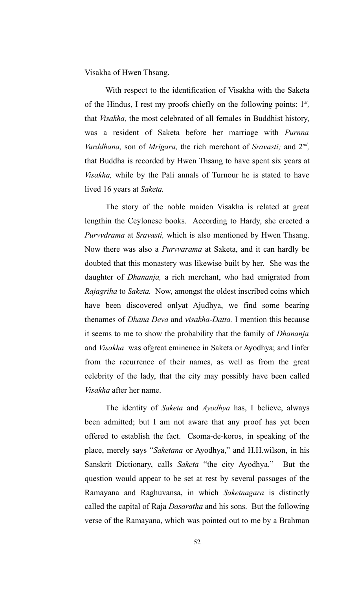Visakha of Hwen Thsang.

With respect to the identification of Visakha with the Saketa of the Hindus, I rest my proofs chiefly on the following points: 1*st ,* that *Visakha,* the most celebrated of all females in Buddhist history, was a resident of Saketa before her marriage with *Purnna Varddhana*, son of *Mrigara*, the rich merchant of *Sravasti*; and  $2^{nd}$ , that Buddha is recorded by Hwen Thsang to have spent six years at *Visakha,* while by the Pali annals of Turnour he is stated to have lived 16 years at *Saketa.*

The story of the noble maiden Visakha is related at great lengthin the Ceylonese books. According to Hardy, she erected a *Purvvdrama* at *Sravasti,* which is also mentioned by Hwen Thsang. Now there was also a *Purvvarama* at Saketa, and it can hardly be doubted that this monastery was likewise built by her. She was the daughter of *Dhananja,* a rich merchant, who had emigrated from *Rajagriha* to *Saketa.* Now, amongst the oldest inscribed coins which have been discovered onlyat Ajudhya, we find some bearing thenames of *Dhana Deva* and *visakha-Datta.* I mention this because it seems to me to show the probability that the family of *Dhananja* and *Visakha* was ofgreat eminence in Saketa or Ayodhya; and Iinfer from the recurrence of their names, as well as from the great celebrity of the lady, that the city may possibly have been called *Visakha* after her name.

The identity of *Saketa* and *Ayodhya* has, I believe, always been admitted; but I am not aware that any proof has yet been offered to establish the fact. Csoma-de-koros, in speaking of the place, merely says "*Saketana* or Ayodhya," and H.H.wilson, in his Sanskrit Dictionary, calls *Saketa* "the city Ayodhya." But the question would appear to be set at rest by several passages of the Ramayana and Raghuvansa, in which *Saketnagara* is distinctly called the capital of Raja *Dasaratha* and his sons. But the following verse of the Ramayana, which was pointed out to me by a Brahman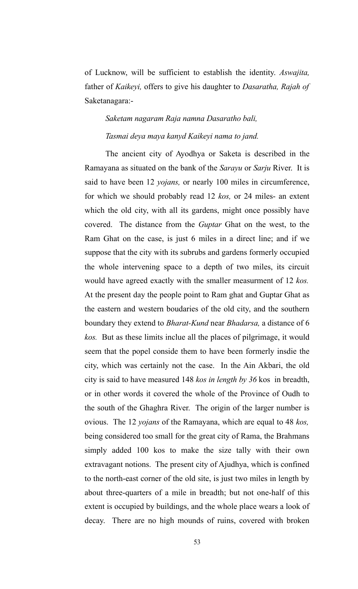of Lucknow, will be sufficient to establish the identity. *Aswajita,* father of *Kaikeyi,* offers to give his daughter to *Dasaratha, Rajah of* Saketanagara:-

# *Saketam nagaram Raja namna Dasaratho bali, Tasmai deya maya kanyd Kaikeyi nama to jand.*

The ancient city of Ayodhya or Saketa is described in the Ramayana as situated on the bank of the *Sarayu* or *Sarju* River. It is said to have been 12 *yojans,* or nearly 100 miles in circumference, for which we should probably read 12 *kos,* or 24 miles- an extent which the old city, with all its gardens, might once possibly have covered. The distance from the *Guptar* Ghat on the west, to the Ram Ghat on the case, is just 6 miles in a direct line; and if we suppose that the city with its subrubs and gardens formerly occupied the whole intervening space to a depth of two miles, its circuit would have agreed exactly with the smaller measurment of 12 *kos.* At the present day the people point to Ram ghat and Guptar Ghat as the eastern and western boudaries of the old city, and the southern boundary they extend to *Bharat-Kund* near *Bhadarsa,* a distance of 6 *kos.* But as these limits inclue all the places of pilgrimage, it would seem that the popel conside them to have been formerly insdie the city, which was certainly not the case. In the Ain Akbari, the old city is said to have measured 148 *kos in length by 36* kos in breadth, or in other words it covered the whole of the Province of Oudh to the south of the Ghaghra River. The origin of the larger number is ovious. The 12 *yojans* of the Ramayana, which are equal to 48 *kos,* being considered too small for the great city of Rama, the Brahmans simply added 100 kos to make the size tally with their own extravagant notions. The present city of Ajudhya, which is confined to the north-east corner of the old site, is just two miles in length by about three-quarters of a mile in breadth; but not one-half of this extent is occupied by buildings, and the whole place wears a look of decay. There are no high mounds of ruins, covered with broken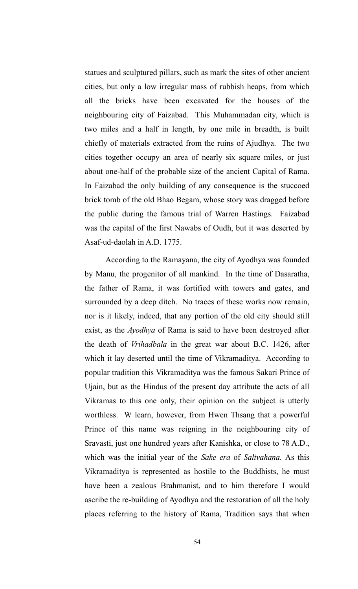statues and sculptured pillars, such as mark the sites of other ancient cities, but only a low irregular mass of rubbish heaps, from which all the bricks have been excavated for the houses of the neighbouring city of Faizabad. This Muhammadan city, which is two miles and a half in length, by one mile in breadth, is built chiefly of materials extracted from the ruins of Ajudhya. The two cities together occupy an area of nearly six square miles, or just about one-half of the probable size of the ancient Capital of Rama. In Faizabad the only building of any consequence is the stuccoed brick tomb of the old Bhao Begam, whose story was dragged before the public during the famous trial of Warren Hastings. Faizabad was the capital of the first Nawabs of Oudh, but it was deserted by Asaf-ud-daolah in A.D. 1775.

According to the Ramayana, the city of Ayodhya was founded by Manu, the progenitor of all mankind. In the time of Dasaratha, the father of Rama, it was fortified with towers and gates, and surrounded by a deep ditch. No traces of these works now remain, nor is it likely, indeed, that any portion of the old city should still exist, as the *Ayodhya* of Rama is said to have been destroyed after the death of *Vrihadbala* in the great war about B.C. 1426, after which it lay deserted until the time of Vikramaditya. According to popular tradition this Vikramaditya was the famous Sakari Prince of Ujain, but as the Hindus of the present day attribute the acts of all Vikramas to this one only, their opinion on the subject is utterly worthless. W learn, however, from Hwen Thsang that a powerful Prince of this name was reigning in the neighbouring city of Sravasti, just one hundred years after Kanishka, or close to 78 A.D., which was the initial year of the *Sake era* of *Salivahana.* As this Vikramaditya is represented as hostile to the Buddhists, he must have been a zealous Brahmanist, and to him therefore I would ascribe the re-building of Ayodhya and the restoration of all the holy places referring to the history of Rama, Tradition says that when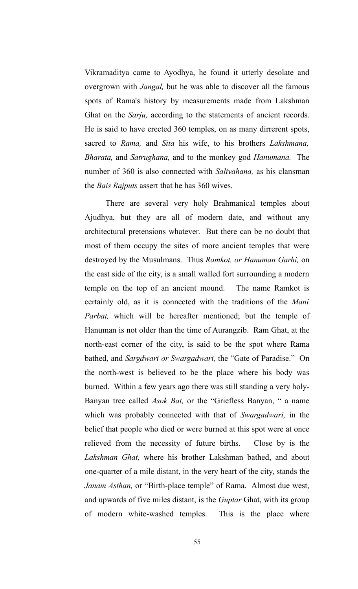Vikramaditya came to Ayodhya, he found it utterly desolate and overgrown with *Jangal,* but he was able to discover all the famous spots of Rama's history by measurements made from Lakshman Ghat on the *Sarju,* according to the statements of ancient records. He is said to have erected 360 temples, on as many dirrerent spots, sacred to *Rama,* and *Sita* his wife, to his brothers *Lakshmana, Bharata,* and *Satrughana,* and to the monkey god *Hanumana.* The number of 360 is also connected with *Salivahana,* as his clansman the *Bais Rajputs* assert that he has 360 wives.

There are several very holy Brahmanical temples about Ajudhya, but they are all of modern date, and without any architectural pretensions whatever. But there can be no doubt that most of them occupy the sites of more ancient temples that were destroyed by the Musulmans. Thus *Ramkot, or Hanuman Garhi,* on the east side of the city, is a small walled fort surrounding a modern temple on the top of an ancient mound. The name Ramkot is certainly old, as it is connected with the traditions of the *Mani Parbat,* which will be hereafter mentioned; but the temple of Hanuman is not older than the time of Aurangzib. Ram Ghat, at the north-east corner of the city, is said to be the spot where Rama bathed, and *Sargdwari or Swargadwari,* the "Gate of Paradise." On the north-west is believed to be the place where his body was burned. Within a few years ago there was still standing a very holy-Banyan tree called *Asok Bat,* or the "Griefless Banyan, " a name which was probably connected with that of *Swargadwari,* in the belief that people who died or were burned at this spot were at once relieved from the necessity of future births. Close by is the *Lakshman Ghat,* where his brother Lakshman bathed, and about one-quarter of a mile distant, in the very heart of the city, stands the *Janam Asthan,* or "Birth-place temple" of Rama. Almost due west, and upwards of five miles distant, is the *Guptar* Ghat, with its group of modern white-washed temples. This is the place where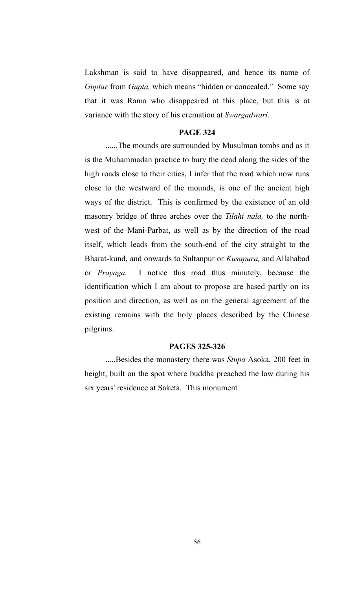Lakshman is said to have disappeared, and hence its name of *Guptar* from *Gupta,* which means "hidden or concealed." Some say that it was Rama who disappeared at this place, but this is at variance with the story of his cremation at *Swargadwari.* 

#### **PAGE 324**

......The mounds are surrounded by Musulman tombs and as it is the Muhammadan practice to bury the dead along the sides of the high roads close to their cities, I infer that the road which now runs close to the westward of the mounds, is one of the ancient high ways of the district. This is confirmed by the existence of an old masonry bridge of three arches over the *Tilahi nala,* to the northwest of the Mani-Parbat, as well as by the direction of the road itself, which leads from the south-end of the city straight to the Bharat-kund, and onwards to Sultanpur or *Kusapura,* and Allahabad or *Prayaga.* I notice this road thus minutely, because the identification which I am about to propose are based partly on its position and direction, as well as on the general agreement of the existing remains with the holy places described by the Chinese pilgrims.

#### **PAGES 325-326**

.....Besides the monastery there was *Stupa* Asoka, 200 feet in height, built on the spot where buddha preached the law during his six years' residence at Saketa. This monument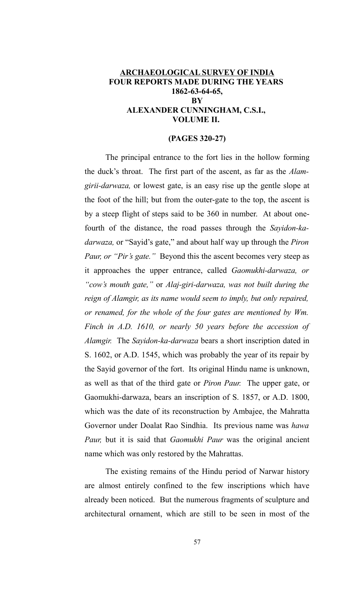### **ARCHAEOLOGICAL SURVEY OF INDIA FOUR REPORTS MADE DURING THE YEARS 1862-63-64-65, BY ALEXANDER CUNNINGHAM, C.S.I., VOLUME II.**

#### **(PAGES 320-27)**

The principal entrance to the fort lies in the hollow forming the duck's throat. The first part of the ascent, as far as the *Alamgirii-darwaza,* or lowest gate, is an easy rise up the gentle slope at the foot of the hill; but from the outer-gate to the top, the ascent is by a steep flight of steps said to be 360 in number. At about onefourth of the distance, the road passes through the *Sayidon-kadarwaza,* or "Sayid's gate," and about half way up through the *Piron Paur, or "Pir's gate."* Beyond this the ascent becomes very steep as it approaches the upper entrance, called *Gaomukhi-darwaza, or "cow's mouth gate,"* or *Alaj-giri-darwaza, was not built during the reign of Alamgir, as its name would seem to imply, but only repaired, or renamed, for the whole of the four gates are mentioned by Wm. Finch in A.D. 1610, or nearly 50 years before the accession of Alamgir.* The *Sayidon-ka-darwaza* bears a short inscription dated in S. 1602, or A.D. 1545, which was probably the year of its repair by the Sayid governor of the fort. Its original Hindu name is unknown, as well as that of the third gate or *Piron Paur.* The upper gate, or Gaomukhi-darwaza, bears an inscription of S. 1857, or A.D. 1800, which was the date of its reconstruction by Ambajee, the Mahratta Governor under Doalat Rao Sindhia. Its previous name was *hawa Paur,* but it is said that *Gaomukhi Paur* was the original ancient name which was only restored by the Mahrattas.

The existing remains of the Hindu period of Narwar history are almost entirely confined to the few inscriptions which have already been noticed. But the numerous fragments of sculpture and architectural ornament, which are still to be seen in most of the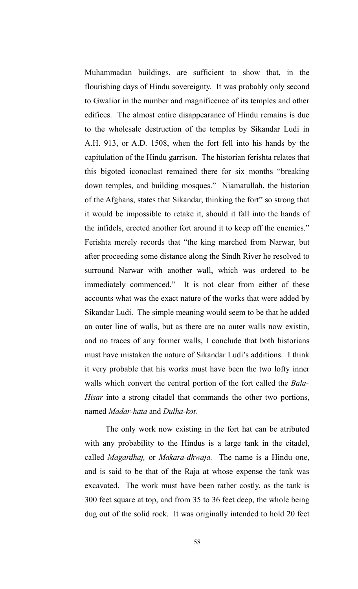Muhammadan buildings, are sufficient to show that, in the flourishing days of Hindu sovereignty. It was probably only second to Gwalior in the number and magnificence of its temples and other edifices. The almost entire disappearance of Hindu remains is due to the wholesale destruction of the temples by Sikandar Ludi in A.H. 913, or A.D. 1508, when the fort fell into his hands by the capitulation of the Hindu garrison. The historian ferishta relates that this bigoted iconoclast remained there for six months "breaking down temples, and building mosques." Niamatullah, the historian of the Afghans, states that Sikandar, thinking the fort" so strong that it would be impossible to retake it, should it fall into the hands of the infidels, erected another fort around it to keep off the enemies." Ferishta merely records that "the king marched from Narwar, but after proceeding some distance along the Sindh River he resolved to surround Narwar with another wall, which was ordered to be immediately commenced." It is not clear from either of these accounts what was the exact nature of the works that were added by Sikandar Ludi. The simple meaning would seem to be that he added an outer line of walls, but as there are no outer walls now existin, and no traces of any former walls, I conclude that both historians must have mistaken the nature of Sikandar Ludi's additions. I think it very probable that his works must have been the two lofty inner walls which convert the central portion of the fort called the *Bala-Hisar* into a strong citadel that commands the other two portions, named *Madar-hata* and *Dulha-kot.*

The only work now existing in the fort hat can be atributed with any probability to the Hindus is a large tank in the citadel, called *Magardhaj,* or *Makara-dhwaja.* The name is a Hindu one, and is said to be that of the Raja at whose expense the tank was excavated. The work must have been rather costly, as the tank is 300 feet square at top, and from 35 to 36 feet deep, the whole being dug out of the solid rock. It was originally intended to hold 20 feet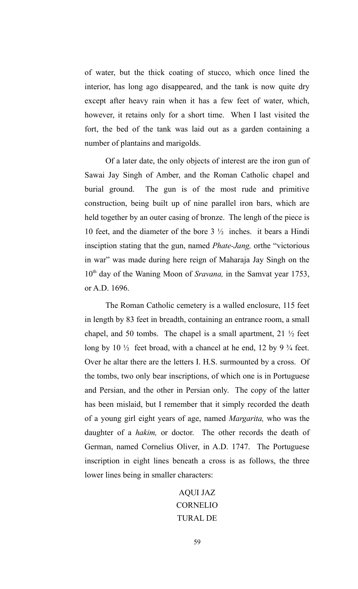of water, but the thick coating of stucco, which once lined the interior, has long ago disappeared, and the tank is now quite dry except after heavy rain when it has a few feet of water, which, however, it retains only for a short time. When I last visited the fort, the bed of the tank was laid out as a garden containing a number of plantains and marigolds.

Of a later date, the only objects of interest are the iron gun of Sawai Jay Singh of Amber, and the Roman Catholic chapel and burial ground. The gun is of the most rude and primitive construction, being built up of nine parallel iron bars, which are held together by an outer casing of bronze. The lengh of the piece is 10 feet, and the diameter of the bore 3 ½ inches. it bears a Hindi insciption stating that the gun, named *Phate-Jang,* orthe "victorious in war" was made during here reign of Maharaja Jay Singh on the 10<sup>th</sup> day of the Waning Moon of *Sravana*, in the Samvat year 1753, or A.D. 1696.

The Roman Catholic cemetery is a walled enclosure, 115 feet in length by 83 feet in breadth, containing an entrance room, a small chapel, and 50 tombs. The chapel is a small apartment,  $21 \frac{1}{2}$  feet long by  $10\frac{1}{2}$  feet broad, with a chancel at he end, 12 by 9  $\frac{3}{4}$  feet. Over he altar there are the letters I. H.S. surmounted by a cross. Of the tombs, two only bear inscriptions, of which one is in Portuguese and Persian, and the other in Persian only. The copy of the latter has been mislaid, but I remember that it simply recorded the death of a young girl eight years of age, named *Margarita,* who was the daughter of a *hakim,* or doctor. The other records the death of German, named Cornelius Oliver, in A.D. 1747. The Portuguese inscription in eight lines beneath a cross is as follows, the three lower lines being in smaller characters:

# AQUI JAZ CORNELIO TURAL DE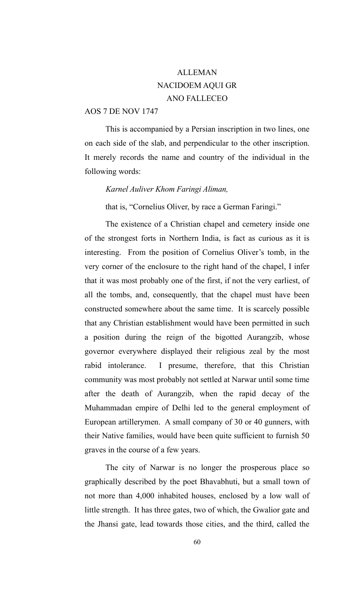# ALLEMAN NACIDOEM AQUI GR ANO FALLECEO

## AOS 7 DE NOV 1747

This is accompanied by a Persian inscription in two lines, one on each side of the slab, and perpendicular to the other inscription. It merely records the name and country of the individual in the following words:

#### *Karnel Auliver Khom Faringi Aliman,*

that is, "Cornelius Oliver, by race a German Faringi."

The existence of a Christian chapel and cemetery inside one of the strongest forts in Northern India, is fact as curious as it is interesting. From the position of Cornelius Oliver's tomb, in the very corner of the enclosure to the right hand of the chapel, I infer that it was most probably one of the first, if not the very earliest, of all the tombs, and, consequently, that the chapel must have been constructed somewhere about the same time. It is scarcely possible that any Christian establishment would have been permitted in such a position during the reign of the bigotted Aurangzib, whose governor everywhere displayed their religious zeal by the most rabid intolerance. I presume, therefore, that this Christian community was most probably not settled at Narwar until some time after the death of Aurangzib, when the rapid decay of the Muhammadan empire of Delhi led to the general employment of European artillerymen. A small company of 30 or 40 gunners, with their Native families, would have been quite sufficient to furnish 50 graves in the course of a few years.

The city of Narwar is no longer the prosperous place so graphically described by the poet Bhavabhuti, but a small town of not more than 4,000 inhabited houses, enclosed by a low wall of little strength. It has three gates, two of which, the Gwalior gate and the Jhansi gate, lead towards those cities, and the third, called the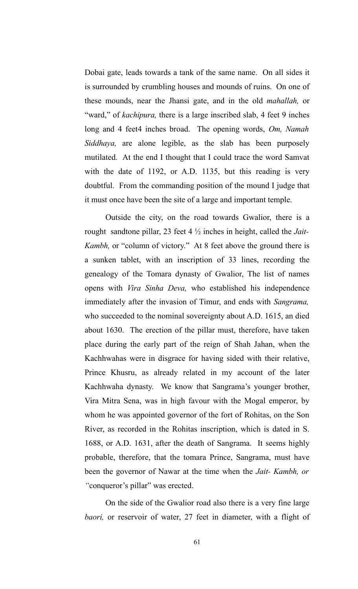Dobai gate, leads towards a tank of the same name. On all sides it is surrounded by crumbling houses and mounds of ruins. On one of these mounds, near the Jhansi gate, and in the old *mahallah,* or "ward," of *kachipura*, there is a large inscribed slab, 4 feet 9 inches long and 4 feet4 inches broad. The opening words, *Om, Namah Siddhaya,* are alone legible, as the slab has been purposely mutilated. At the end I thought that I could trace the word Samvat with the date of 1192, or A.D. 1135, but this reading is very doubtful. From the commanding position of the mound I judge that it must once have been the site of a large and important temple.

Outside the city, on the road towards Gwalior, there is a rought sandtone pillar, 23 feet 4 ½ inches in height, called the *Jait-Kambh,* or "column of victory." At 8 feet above the ground there is a sunken tablet, with an inscription of 33 lines, recording the genealogy of the Tomara dynasty of Gwalior, The list of names opens with *Vira Sinha Deva,* who established his independence immediately after the invasion of Timur, and ends with *Sangrama,* who succeeded to the nominal sovereignty about A.D. 1615, an died about 1630. The erection of the pillar must, therefore, have taken place during the early part of the reign of Shah Jahan, when the Kachhwahas were in disgrace for having sided with their relative, Prince Khusru, as already related in my account of the later Kachhwaha dynasty. We know that Sangrama's younger brother, Vira Mitra Sena, was in high favour with the Mogal emperor, by whom he was appointed governor of the fort of Rohitas, on the Son River, as recorded in the Rohitas inscription, which is dated in S. 1688, or A.D. 1631, after the death of Sangrama. It seems highly probable, therefore, that the tomara Prince, Sangrama, must have been the governor of Nawar at the time when the *Jait- Kambh, or "*conqueror's pillar" was erected.

On the side of the Gwalior road also there is a very fine large *baori,* or reservoir of water, 27 feet in diameter, with a flight of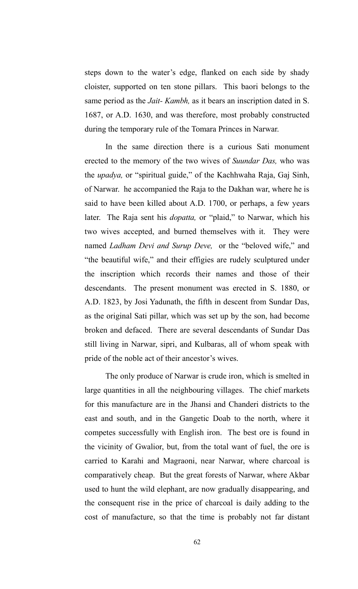steps down to the water's edge, flanked on each side by shady cloister, supported on ten stone pillars. This baori belongs to the same period as the *Jait- Kambh,* as it bears an inscription dated in S. 1687, or A.D. 1630, and was therefore, most probably constructed during the temporary rule of the Tomara Princes in Narwar.

In the same direction there is a curious Sati monument erected to the memory of the two wives of *Suundar Das,* who was the *upadya,* or "spiritual guide," of the Kachhwaha Raja, Gaj Sinh, of Narwar. he accompanied the Raja to the Dakhan war, where he is said to have been killed about A.D. 1700, or perhaps, a few years later. The Raja sent his *dopatta,* or "plaid," to Narwar, which his two wives accepted, and burned themselves with it. They were named *Ladham Devi and Surup Deve,* or the "beloved wife," and "the beautiful wife," and their effigies are rudely sculptured under the inscription which records their names and those of their descendants. The present monument was erected in S. 1880, or A.D. 1823, by Josi Yadunath, the fifth in descent from Sundar Das, as the original Sati pillar, which was set up by the son, had become broken and defaced. There are several descendants of Sundar Das still living in Narwar, sipri, and Kulbaras, all of whom speak with pride of the noble act of their ancestor's wives.

The only produce of Narwar is crude iron, which is smelted in large quantities in all the neighbouring villages. The chief markets for this manufacture are in the Jhansi and Chanderi districts to the east and south, and in the Gangetic Doab to the north, where it competes successfully with English iron. The best ore is found in the vicinity of Gwalior, but, from the total want of fuel, the ore is carried to Karahi and Magraoni, near Narwar, where charcoal is comparatively cheap. But the great forests of Narwar, where Akbar used to hunt the wild elephant, are now gradually disappearing, and the consequent rise in the price of charcoal is daily adding to the cost of manufacture, so that the time is probably not far distant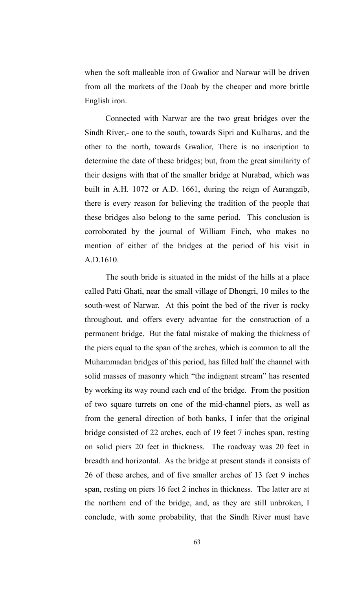when the soft malleable iron of Gwalior and Narwar will be driven from all the markets of the Doab by the cheaper and more brittle English iron.

Connected with Narwar are the two great bridges over the Sindh River,- one to the south, towards Sipri and Kulharas, and the other to the north, towards Gwalior, There is no inscription to determine the date of these bridges; but, from the great similarity of their designs with that of the smaller bridge at Nurabad, which was built in A.H. 1072 or A.D. 1661, during the reign of Aurangzib, there is every reason for believing the tradition of the people that these bridges also belong to the same period. This conclusion is corroborated by the journal of William Finch, who makes no mention of either of the bridges at the period of his visit in A.D.1610.

The south bride is situated in the midst of the hills at a place called Patti Ghati, near the small village of Dhongri, 10 miles to the south-west of Narwar. At this point the bed of the river is rocky throughout, and offers every advantae for the construction of a permanent bridge. But the fatal mistake of making the thickness of the piers equal to the span of the arches, which is common to all the Muhammadan bridges of this period, has filled half the channel with solid masses of masonry which "the indignant stream" has resented by working its way round each end of the bridge. From the position of two square turrets on one of the mid-channel piers, as well as from the general direction of both banks, I infer that the original bridge consisted of 22 arches, each of 19 feet 7 inches span, resting on solid piers 20 feet in thickness. The roadway was 20 feet in breadth and horizontal. As the bridge at present stands it consists of 26 of these arches, and of five smaller arches of 13 feet 9 inches span, resting on piers 16 feet 2 inches in thickness. The latter are at the northern end of the bridge, and, as they are still unbroken, I conclude, with some probability, that the Sindh River must have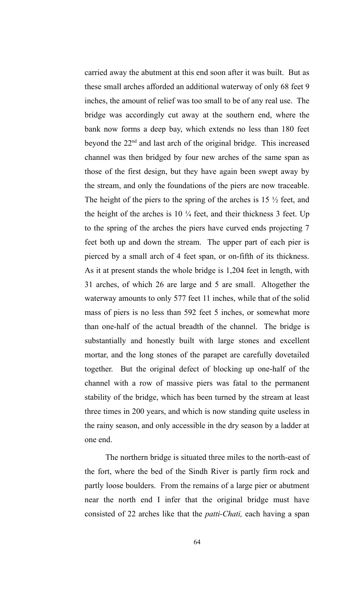carried away the abutment at this end soon after it was built. But as these small arches afforded an additional waterway of only 68 feet 9 inches, the amount of relief was too small to be of any real use. The bridge was accordingly cut away at the southern end, where the bank now forms a deep bay, which extends no less than 180 feet beyond the  $22<sup>nd</sup>$  and last arch of the original bridge. This increased channel was then bridged by four new arches of the same span as those of the first design, but they have again been swept away by the stream, and only the foundations of the piers are now traceable. The height of the piers to the spring of the arches is  $15\frac{1}{2}$  feet, and the height of the arches is  $10\frac{1}{4}$  feet, and their thickness 3 feet. Up to the spring of the arches the piers have curved ends projecting 7 feet both up and down the stream. The upper part of each pier is pierced by a small arch of 4 feet span, or on-fifth of its thickness. As it at present stands the whole bridge is 1,204 feet in length, with 31 arches, of which 26 are large and 5 are small. Altogether the waterway amounts to only 577 feet 11 inches, while that of the solid mass of piers is no less than 592 feet 5 inches, or somewhat more than one-half of the actual breadth of the channel. The bridge is substantially and honestly built with large stones and excellent mortar, and the long stones of the parapet are carefully dovetailed together. But the original defect of blocking up one-half of the channel with a row of massive piers was fatal to the permanent stability of the bridge, which has been turned by the stream at least three times in 200 years, and which is now standing quite useless in the rainy season, and only accessible in the dry season by a ladder at one end.

The northern bridge is situated three miles to the north-east of the fort, where the bed of the Sindh River is partly firm rock and partly loose boulders. From the remains of a large pier or abutment near the north end I infer that the original bridge must have consisted of 22 arches like that the *patti-Chati,* each having a span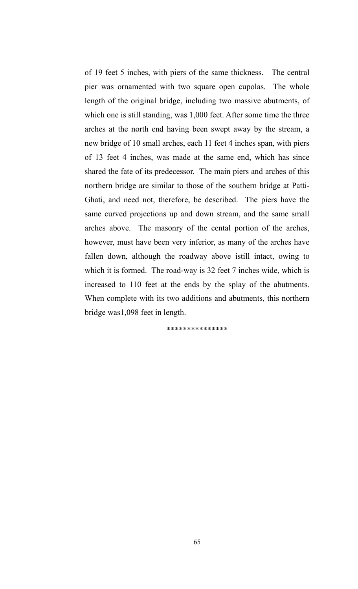of 19 feet 5 inches, with piers of the same thickness. The central pier was ornamented with two square open cupolas. The whole length of the original bridge, including two massive abutments, of which one is still standing, was 1,000 feet. After some time the three arches at the north end having been swept away by the stream, a new bridge of 10 small arches, each 11 feet 4 inches span, with piers of 13 feet 4 inches, was made at the same end, which has since shared the fate of its predecessor. The main piers and arches of this northern bridge are similar to those of the southern bridge at Patti-Ghati, and need not, therefore, be described. The piers have the same curved projections up and down stream, and the same small arches above. The masonry of the cental portion of the arches, however, must have been very inferior, as many of the arches have fallen down, although the roadway above istill intact, owing to which it is formed. The road-way is 32 feet 7 inches wide, which is increased to 110 feet at the ends by the splay of the abutments. When complete with its two additions and abutments, this northern bridge was1,098 feet in length.

\*\*\*\*\*\*\*\*\*\*\*\*\*\*\*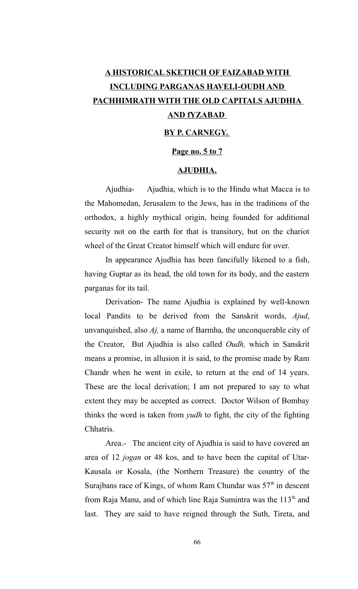# **A HISTORICAL SKETHCH OF FAIZABAD WITH INCLUDING PARGANAS HAVELI-OUDH AND PACHHIMRATH WITH THE OLD CAPITALS AJUDHIA AND fYZABAD**

### **BY P. CARNEGY.**

#### **Page no. 5 to 7**

### **AJUDHIA.**

Ajudhia- Ajudhia, which is to the Hindu what Macca is to the Mahomedan, Jerusalem to the Jews, has in the traditions of the orthodox, a highly mythical origin, being founded for additional security not on the earth for that is transitory, but on the chariot wheel of the Great Creator himself which will endure for over.

In appearance Ajudhia has been fancifully likened to a fish, having Guptar as its head, the old town for its body, and the eastern parganas for its tail.

Derivation- The name Ajudhia is explained by well-known local Pandits to be derived from the Sanskrit words, *Ajud*, unvanquished, also *Aj,* a name of Barmha, the unconquerable city of the Creator, But Ajudhia is also called *Oudh,* which in Sanskrit means a promise, in allusion it is said, to the promise made by Ram Chandr when he went in exile, to return at the end of 14 years. These are the local derivation; I am not prepared to say to what extent they may be accepted as correct. Doctor Wilson of Bombay thinks the word is taken from *yudh* to fight, the city of the fighting Chhatris.

Area.- The ancient city of Ajudhia is said to have covered an area of 12 *jogan* or 48 kos, and to have been the capital of Utar-Kausala or Kosala, (the Northern Treasure) the country of the Surajbans race of Kings, of whom Ram Chundar was  $57<sup>th</sup>$  in descent from Raja Manu, and of which line Raja Sumintra was the  $113<sup>th</sup>$  and last. They are said to have reigned through the Suth, Tireta, and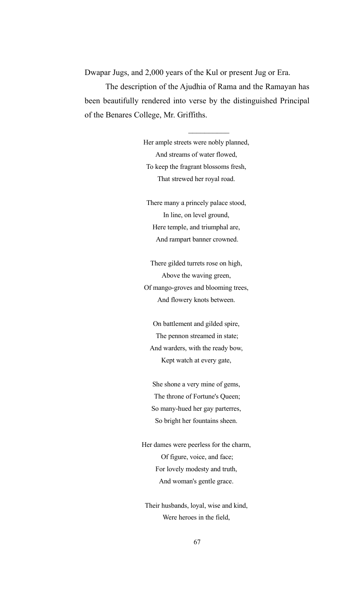Dwapar Jugs, and 2,000 years of the Kul or present Jug or Era.

The description of the Ajudhia of Rama and the Ramayan has been beautifully rendered into verse by the distinguished Principal of the Benares College, Mr. Griffiths.

> Her ample streets were nobly planned, And streams of water flowed, To keep the fragrant blossoms fresh, That strewed her royal road.

There many a princely palace stood, In line, on level ground, Here temple, and triumphal are, And rampart banner crowned.

There gilded turrets rose on high, Above the waving green, Of mango-groves and blooming trees, And flowery knots between.

On battlement and gilded spire, The pennon streamed in state; And warders, with the ready bow, Kept watch at every gate,

She shone a very mine of gems, The throne of Fortune's Queen; So many-hued her gay parterres, So bright her fountains sheen.

Her dames were peerless for the charm, Of figure, voice, and face; For lovely modesty and truth, And woman's gentle grace.

Their husbands, loyal, wise and kind, Were heroes in the field,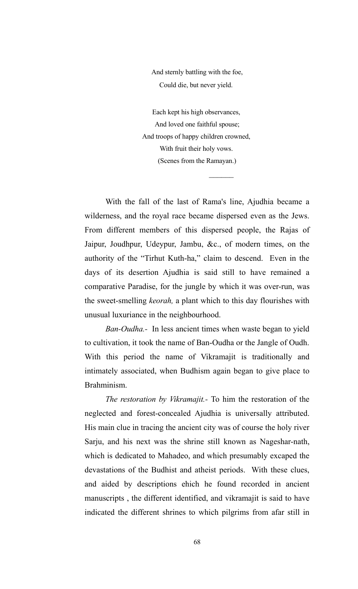And sternly battling with the foe, Could die, but never yield.

Each kept his high observances, And loved one faithful spouse; And troops of happy children crowned, With fruit their holy vows. (Scenes from the Ramayan.)

 $\frac{1}{2}$ 

With the fall of the last of Rama's line, Ajudhia became a wilderness, and the royal race became dispersed even as the Jews. From different members of this dispersed people, the Rajas of Jaipur, Joudhpur, Udeypur, Jambu, &c., of modern times, on the authority of the "Tirhut Kuth-ha," claim to descend. Even in the days of its desertion Ajudhia is said still to have remained a comparative Paradise, for the jungle by which it was over-run, was the sweet-smelling *keorah,* a plant which to this day flourishes with unusual luxuriance in the neighbourhood.

*Ban-Oudha.-* In less ancient times when waste began to yield to cultivation, it took the name of Ban-Oudha or the Jangle of Oudh. With this period the name of Vikramajit is traditionally and intimately associated, when Budhism again began to give place to Brahminism.

*The restoration by Vikramajit.-* To him the restoration of the neglected and forest-concealed Ajudhia is universally attributed. His main clue in tracing the ancient city was of course the holy river Sarju, and his next was the shrine still known as Nageshar-nath, which is dedicated to Mahadeo, and which presumably excaped the devastations of the Budhist and atheist periods. With these clues, and aided by descriptions ehich he found recorded in ancient manuscripts , the different identified, and vikramajit is said to have indicated the different shrines to which pilgrims from afar still in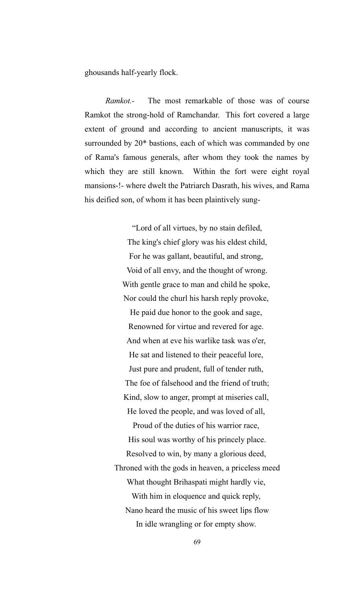ghousands half-yearly flock.

*Ramkot.-* The most remarkable of those was of course Ramkot the strong-hold of Ramchandar. This fort covered a large extent of ground and according to ancient manuscripts, it was surrounded by 20\* bastions, each of which was commanded by one of Rama's famous generals, after whom they took the names by which they are still known. Within the fort were eight royal mansions-!- where dwelt the Patriarch Dasrath, his wives, and Rama his deified son, of whom it has been plaintively sung-

> "Lord of all virtues, by no stain defiled, The king's chief glory was his eldest child, For he was gallant, beautiful, and strong, Void of all envy, and the thought of wrong. With gentle grace to man and child he spoke, Nor could the churl his harsh reply provoke, He paid due honor to the gook and sage, Renowned for virtue and revered for age. And when at eve his warlike task was o'er, He sat and listened to their peaceful lore, Just pure and prudent, full of tender ruth, The foe of falsehood and the friend of truth; Kind, slow to anger, prompt at miseries call, He loved the people, and was loved of all, Proud of the duties of his warrior race,

His soul was worthy of his princely place. Resolved to win, by many a glorious deed, Throned with the gods in heaven, a priceless meed What thought Brihaspati might hardly vie, With him in eloquence and quick reply, Nano heard the music of his sweet lips flow In idle wrangling or for empty show.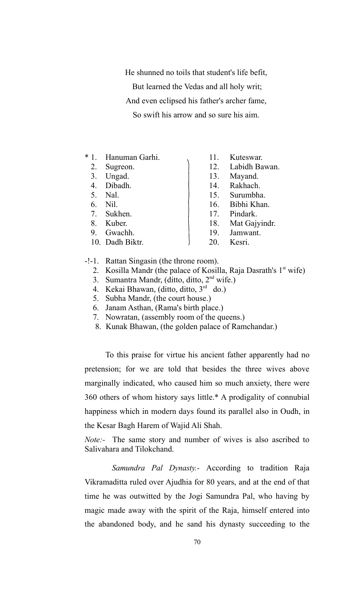He shunned no toils that student's life befit,

But learned the Vedas and all holy writ;

And even eclipsed his father's archer fame,

So swift his arrow and so sure his aim.

- \* 1. Hanuman Garhi. 11. Kuteswar.
- 
- 
- 
- 
- 
- 
- 
- 
- 10. Dadh Biktr. 20. Kesri.
- 
- 2. Sugreon. 12. Labidh Bawan.
- 3. Ungad. 13. Mayand.
- 4. Dibadh. 14. Rakhach.
- 5. Nal. 15. Surumbha.
- 6. Nil. 16. Bibhi Khan.
- 7. Sukhen. 17. Pindark.
- 8. Kuber. 18. Mat Gajyindr.
- 9. Gwachh. 19. Jamwant.
	-

#### -!-1. Rattan Singasin (the throne room).

- 2. Kosilla Mandr (the palace of Kosilla, Raja Dasrath's  $1<sup>st</sup>$  wife)
- 3. Sumantra Mandr, (ditto, ditto,  $2<sup>nd</sup>$  wife.)
- 4. Kekai Bhawan, (ditto, ditto, 3rd do.)
- 5. Subha Mandr, (the court house.)
- 6. Janam Asthan, (Rama's birth place.)
- 7. Nowratan, (assembly room of the queens.)
- 8. Kunak Bhawan, (the golden palace of Ramchandar.)

To this praise for virtue his ancient father apparently had no pretension; for we are told that besides the three wives above marginally indicated, who caused him so much anxiety, there were 360 others of whom history says little.\* A prodigality of connubial happiness which in modern days found its parallel also in Oudh, in the Kesar Bagh Harem of Wajid Ali Shah.

*Note:-* The same story and number of wives is also ascribed to Salivahara and Tilokchand.

*Samundra Pal Dynasty.-* According to tradition Raja Vikramaditta ruled over Ajudhia for 80 years, and at the end of that time he was outwitted by the Jogi Samundra Pal, who having by magic made away with the spirit of the Raja, himself entered into the abandoned body, and he sand his dynasty succeeding to the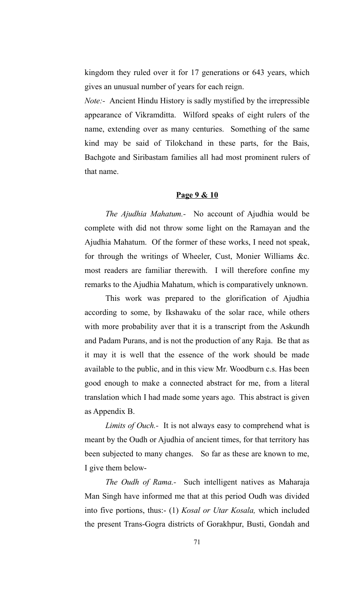kingdom they ruled over it for 17 generations or 643 years, which gives an unusual number of years for each reign.

*Note:-* Ancient Hindu History is sadly mystified by the irrepressible appearance of Vikramditta. Wilford speaks of eight rulers of the name, extending over as many centuries. Something of the same kind may be said of Tilokchand in these parts, for the Bais, Bachgote and Siribastam families all had most prominent rulers of that name.

## **Page 9 & 10**

*The Ajudhia Mahatum.-* No account of Ajudhia would be complete with did not throw some light on the Ramayan and the Ajudhia Mahatum. Of the former of these works, I need not speak, for through the writings of Wheeler, Cust, Monier Williams &c. most readers are familiar therewith. I will therefore confine my remarks to the Ajudhia Mahatum, which is comparatively unknown.

This work was prepared to the glorification of Ajudhia according to some, by Ikshawaku of the solar race, while others with more probability aver that it is a transcript from the Askundh and Padam Purans, and is not the production of any Raja. Be that as it may it is well that the essence of the work should be made available to the public, and in this view Mr. Woodburn c.s. Has been good enough to make a connected abstract for me, from a literal translation which I had made some years ago. This abstract is given as Appendix B.

*Limits of Ouch.-* It is not always easy to comprehend what is meant by the Oudh or Ajudhia of ancient times, for that territory has been subjected to many changes. So far as these are known to me, I give them below-

*The Oudh of Rama.-* Such intelligent natives as Maharaja Man Singh have informed me that at this period Oudh was divided into five portions, thus:- (1) *Kosal or Utar Kosala,* which included the present Trans-Gogra districts of Gorakhpur, Busti, Gondah and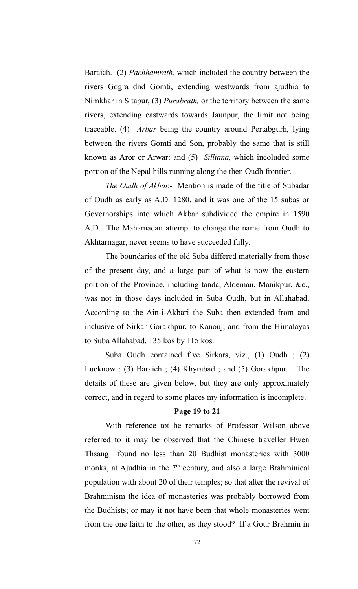Baraich. (2) *Pachhamrath,* which included the country between the rivers Gogra dnd Gomti, extending westwards from ajudhia to Nimkhar in Sitapur, (3) *Purabrath,* or the territory between the same rivers, extending eastwards towards Jaunpur, the limit not being traceable. (4) *Arbar* being the country around Pertabgurh, lying between the rivers Gomti and Son, probably the same that is still known as Aror or Arwar: and (5) *Silliana,* which incoluded some portion of the Nepal hills running along the then Oudh frontier.

*The Oudh of Akbar.-* Mention is made of the title of Subadar of Oudh as early as A.D. 1280, and it was one of the 15 subas or Governorships into which Akbar subdivided the empire in 1590 A.D. The Mahamadan attempt to change the name from Oudh to Akhtarnagar, never seems to have succeeded fully.

The boundaries of the old Suba differed materially from those of the present day, and a large part of what is now the eastern portion of the Province, including tanda, Aldemau, Manikpur, &c., was not in those days included in Suba Oudh, but in Allahabad. According to the Ain-i-Akbari the Suba then extended from and inclusive of Sirkar Gorakhpur, to Kanouj, and from the Himalayas to Suba Allahabad, 135 kos by 115 kos.

Suba Oudh contained five Sirkars, viz., (1) Oudh ; (2) Lucknow : (3) Baraich ; (4) Khyrabad ; and (5) Gorakhpur. The details of these are given below, but they are only approximately correct, and in regard to some places my information is incomplete.

#### **Page 19 to 21**

With reference tot he remarks of Professor Wilson above referred to it may be observed that the Chinese traveller Hwen Thsang found no less than 20 Budhist monasteries with 3000 monks, at Ajudhia in the  $7<sup>th</sup>$  century, and also a large Brahminical population with about 20 of their temples; so that after the revival of Brahminism the idea of monasteries was probably borrowed from the Budhists; or may it not have been that whole monasteries went from the one faith to the other, as they stood? If a Gour Brahmin in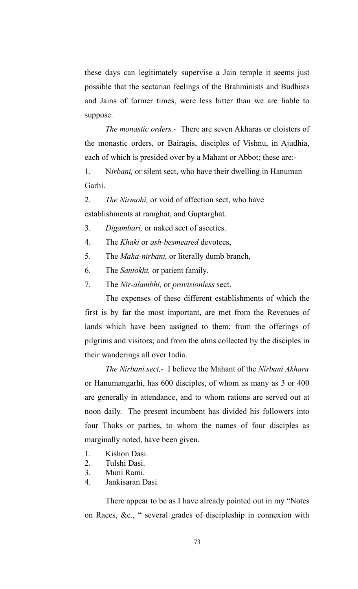these days can legitimately supervise a Jain temple it seems just possible that the sectarian feelings of the Brahminists and Budhists and Jains of former times, were less bitter than we are liable to suppose.

*The monastic orders.-* There are seven Akharas or cloisters of the monastic orders, or Bairagis, disciples of Vishnu, in Ajudhia, each of which is presided over by a Mahant or Abbot; these are:-

1. N*irbani,* or silent sect, who have their dwelling in Hanuman Garhi.

2. *The Nirmohi,* or void of affection sect, who have establishments at ramghat, and Guptarghat.

3. *Digambari,* or naked sect of ascetics.

4. The *Khaki* or *ash-besmeared* devotees,

- 5. The *Maha-nirbani,* or literally dumb branch,
- 6. The *Santokhi,* or patient family.
- 7. The *Nir-alambhi,* or *provisionless* sect.

The expenses of these different establishments of which the first is by far the most important, are met from the Revenues of lands which have been assigned to them; from the offerings of pilgrims and visitors; and from the alms collected by the disciples in their wanderings all over India.

*The Nirbani sect,-* I believe the Mahant of the *Nirbani Akhara* or Hanumangarhi, has 600 disciples, of whom as many as 3 or 400 are generally in attendance, and to whom rations are served out at noon daily. The present incumbent has divided his followers into four Thoks or parties, to whom the names of four disciples as marginally noted, have been given.

- 1. Kishon Dasi.
- 2. Tulshi Dasi.
- 3. Muni Rami.
- 4. Jankisaran Dasi.

There appear to be as I have already pointed out in my "Notes on Races, &c., " several grades of discipleship in connexion with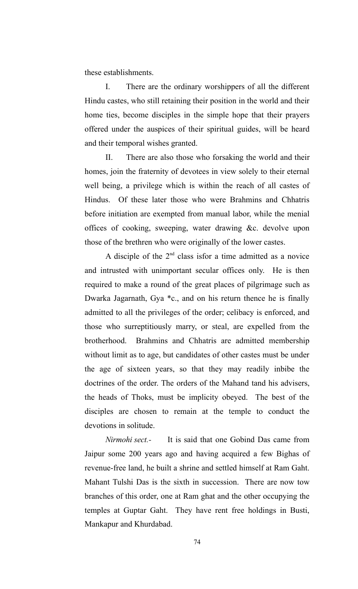these establishments.

I. There are the ordinary worshippers of all the different Hindu castes, who still retaining their position in the world and their home ties, become disciples in the simple hope that their prayers offered under the auspices of their spiritual guides, will be heard and their temporal wishes granted.

II. There are also those who forsaking the world and their homes, join the fraternity of devotees in view solely to their eternal well being, a privilege which is within the reach of all castes of Hindus. Of these later those who were Brahmins and Chhatris before initiation are exempted from manual labor, while the menial offices of cooking, sweeping, water drawing &c. devolve upon those of the brethren who were originally of the lower castes.

A disciple of the  $2<sup>nd</sup>$  class isfor a time admitted as a novice and intrusted with unimportant secular offices only. He is then required to make a round of the great places of pilgrimage such as Dwarka Jagarnath, Gya \*c., and on his return thence he is finally admitted to all the privileges of the order; celibacy is enforced, and those who surreptitiously marry, or steal, are expelled from the brotherhood. Brahmins and Chhatris are admitted membership without limit as to age, but candidates of other castes must be under the age of sixteen years, so that they may readily inbibe the doctrines of the order. The orders of the Mahand tand his advisers, the heads of Thoks, must be implicity obeyed. The best of the disciples are chosen to remain at the temple to conduct the devotions in solitude.

*Nirmohi sect.-* It is said that one Gobind Das came from Jaipur some 200 years ago and having acquired a few Bighas of revenue-free land, he built a shrine and settled himself at Ram Gaht. Mahant Tulshi Das is the sixth in succession. There are now tow branches of this order, one at Ram ghat and the other occupying the temples at Guptar Gaht. They have rent free holdings in Busti, Mankapur and Khurdabad.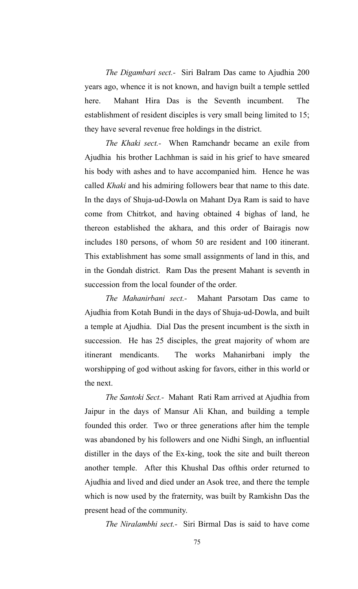*The Digambari sect.-* Siri Balram Das came to Ajudhia 200 years ago, whence it is not known, and havign built a temple settled here. Mahant Hira Das is the Seventh incumbent. The establishment of resident disciples is very small being limited to 15; they have several revenue free holdings in the district.

*The Khaki sect.-* When Ramchandr became an exile from Ajudhia his brother Lachhman is said in his grief to have smeared his body with ashes and to have accompanied him. Hence he was called *Khaki* and his admiring followers bear that name to this date. In the days of Shuja-ud-Dowla on Mahant Dya Ram is said to have come from Chitrkot, and having obtained 4 bighas of land, he thereon established the akhara, and this order of Bairagis now includes 180 persons, of whom 50 are resident and 100 itinerant. This extablishment has some small assignments of land in this, and in the Gondah district. Ram Das the present Mahant is seventh in succession from the local founder of the order.

*The Mahanirbani sect.-* Mahant Parsotam Das came to Ajudhia from Kotah Bundi in the days of Shuja-ud-Dowla, and built a temple at Ajudhia. Dial Das the present incumbent is the sixth in succession. He has 25 disciples, the great majority of whom are itinerant mendicants. The works Mahanirbani imply the worshipping of god without asking for favors, either in this world or the next.

*The Santoki Sect.-* Mahant Rati Ram arrived at Ajudhia from Jaipur in the days of Mansur Ali Khan, and building a temple founded this order. Two or three generations after him the temple was abandoned by his followers and one Nidhi Singh, an influential distiller in the days of the Ex-king, took the site and built thereon another temple. After this Khushal Das ofthis order returned to Ajudhia and lived and died under an Asok tree, and there the temple which is now used by the fraternity, was built by Ramkishn Das the present head of the community.

*The Niralambhi sect.-* Siri Birmal Das is said to have come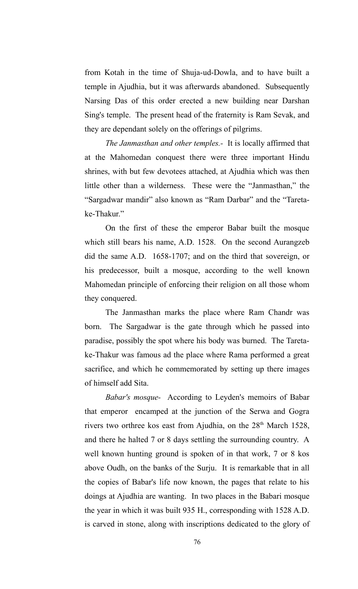from Kotah in the time of Shuja-ud-Dowla, and to have built a temple in Ajudhia, but it was afterwards abandoned. Subsequently Narsing Das of this order erected a new building near Darshan Sing's temple. The present head of the fraternity is Ram Sevak, and they are dependant solely on the offerings of pilgrims.

*The Janmasthan and other temples.-* It is locally affirmed that at the Mahomedan conquest there were three important Hindu shrines, with but few devotees attached, at Ajudhia which was then little other than a wilderness. These were the "Janmasthan," the "Sargadwar mandir" also known as "Ram Darbar" and the "Taretake-Thakur."

On the first of these the emperor Babar built the mosque which still bears his name, A.D. 1528. On the second Aurangzeb did the same A.D. 1658-1707; and on the third that sovereign, or his predecessor, built a mosque, according to the well known Mahomedan principle of enforcing their religion on all those whom they conquered.

The Janmasthan marks the place where Ram Chandr was born. The Sargadwar is the gate through which he passed into paradise, possibly the spot where his body was burned. The Taretake-Thakur was famous ad the place where Rama performed a great sacrifice, and which he commemorated by setting up there images of himself add Sita.

*Babar's mosque-* According to Leyden's memoirs of Babar that emperor encamped at the junction of the Serwa and Gogra rivers two orthree kos east from Ajudhia, on the  $28<sup>th</sup>$  March 1528, and there he halted 7 or 8 days settling the surrounding country. A well known hunting ground is spoken of in that work, 7 or 8 kos above Oudh, on the banks of the Surju. It is remarkable that in all the copies of Babar's life now known, the pages that relate to his doings at Ajudhia are wanting. In two places in the Babari mosque the year in which it was built 935 H., corresponding with 1528 A.D. is carved in stone, along with inscriptions dedicated to the glory of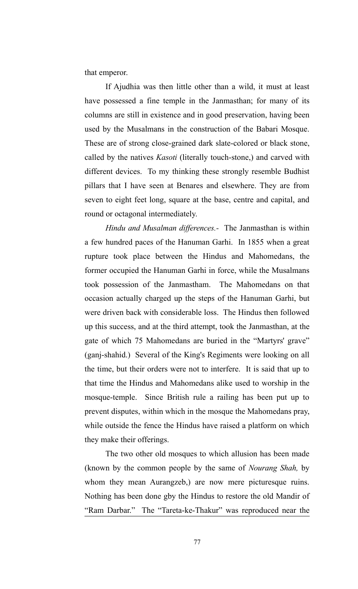that emperor.

If Ajudhia was then little other than a wild, it must at least have possessed a fine temple in the Janmasthan; for many of its columns are still in existence and in good preservation, having been used by the Musalmans in the construction of the Babari Mosque. These are of strong close-grained dark slate-colored or black stone, called by the natives *Kasoti* (literally touch-stone,) and carved with different devices. To my thinking these strongly resemble Budhist pillars that I have seen at Benares and elsewhere. They are from seven to eight feet long, square at the base, centre and capital, and round or octagonal intermediately.

*Hindu and Musalman differences.-* The Janmasthan is within a few hundred paces of the Hanuman Garhi. In 1855 when a great rupture took place between the Hindus and Mahomedans, the former occupied the Hanuman Garhi in force, while the Musalmans took possession of the Janmastham. The Mahomedans on that occasion actually charged up the steps of the Hanuman Garhi, but were driven back with considerable loss. The Hindus then followed up this success, and at the third attempt, took the Janmasthan, at the gate of which 75 Mahomedans are buried in the "Martyrs' grave" (ganj-shahid.) Several of the King's Regiments were looking on all the time, but their orders were not to interfere. It is said that up to that time the Hindus and Mahomedans alike used to worship in the mosque-temple. Since British rule a railing has been put up to prevent disputes, within which in the mosque the Mahomedans pray, while outside the fence the Hindus have raised a platform on which they make their offerings.

The two other old mosques to which allusion has been made (known by the common people by the same of *Nourang Shah,* by whom they mean Aurangzeb,) are now mere picturesque ruins. Nothing has been done gby the Hindus to restore the old Mandir of "Ram Darbar." The "Tareta-ke-Thakur" was reproduced near the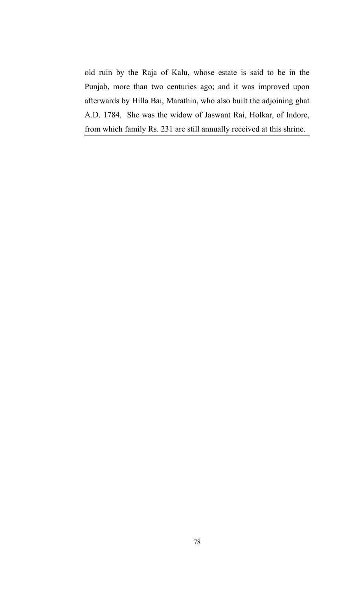old ruin by the Raja of Kalu, whose estate is said to be in the Punjab, more than two centuries ago; and it was improved upon afterwards by Hilla Bai, Marathin, who also built the adjoining ghat A.D. 1784. She was the widow of Jaswant Rai, Holkar, of Indore, from which family Rs. 231 are still annually received at this shrine.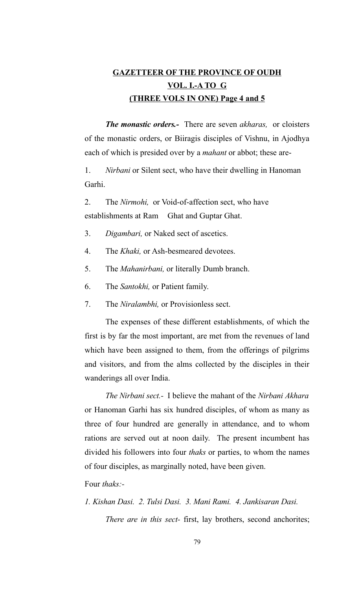## **GAZETTEER OF THE PROVINCE OF OUDH VOL. I.-A TO G (THREE VOLS IN ONE) Page 4 and 5**

*The monastic orders.-* There are seven *akharas,* or cloisters of the monastic orders, or Biiragis disciples of Vishnu, in Ajodhya each of which is presided over by a *mahant* or abbot; these are-

1. *Nirbani* or Silent sect, who have their dwelling in Hanoman Garhi.

2. The *Nirmohi,* or Void-of-affection sect, who have establishments at Ram Ghat and Guptar Ghat.

- 3. *Digambari,* or Naked sect of ascetics.
- 4. The *Khaki,* or Ash-besmeared devotees.
- 5. The *Mahanirbani,* or literally Dumb branch.
- 6. The *Santokhi,* or Patient family.
- 7. The *Niralambhi,* or Provisionless sect.

The expenses of these different establishments, of which the first is by far the most important, are met from the revenues of land which have been assigned to them, from the offerings of pilgrims and visitors, and from the alms collected by the disciples in their wanderings all over India.

*The Nirbani sect.-* I believe the mahant of the *Nirbani Akhara* or Hanoman Garhi has six hundred disciples, of whom as many as three of four hundred are generally in attendance, and to whom rations are served out at noon daily. The present incumbent has divided his followers into four *thaks* or parties, to whom the names of four disciples, as marginally noted, have been given.

Four *thaks:-*

*1. Kishan Dasi. 2. Tulsi Dasi. 3. Mani Rami. 4. Jankisaran Dasi. There are in this sect-* first, lay brothers, second anchorites;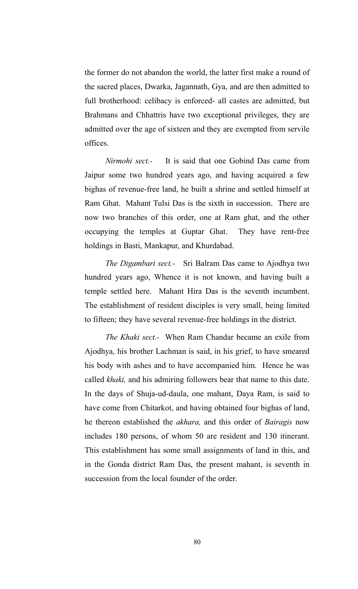the former do not abandon the world, the latter first make a round of the sacred places, Dwarka, Jagannath, Gya, and are then admitted to full brotherhood: celibacy is enforced- all castes are admitted, but Brahmans and Chhattris have two exceptional privileges, they are admitted over the age of sixteen and they are exempted from servile offices.

*Nirmohi sect.-* It is said that one Gobind Das came from Jaipur some two hundred years ago, and having acquired a few bighas of revenue-free land, he built a shrine and settled himself at Ram Ghat. Mahant Tulsi Das is the sixth in succession. There are now two branches of this order, one at Ram ghat, and the other occupying the temples at Guptar Ghat. They have rent-free holdings in Basti, Mankapur, and Khurdabad.

*The Digambari sect.-* Sri Balram Das came to Ajodhya two hundred years ago, Whence it is not known, and having built a temple settled here. Mahant Hira Das is the seventh incumbent. The establishment of resident disciples is very small, being limited to fifteen; they have several revenue-free holdings in the district.

*The Khaki sect.-* When Ram Chandar became an exile from Ajodhya, his brother Lachman is said, in his grief, to have smeared his body with ashes and to have accompanied him. Hence he was called *khaki,* and his admiring followers bear that name to this date. In the days of Shuja-ud-daula, one mahant, Daya Ram, is said to have come from Chitarkot, and having obtained four bighas of land, he thereon established the *akhara,* and this order of *Bairagis* now includes 180 persons, of whom 50 are resident and 130 itinerant. This establishment has some small assignments of land in this, and in the Gonda district Ram Das, the present mahant, is seventh in succession from the local founder of the order.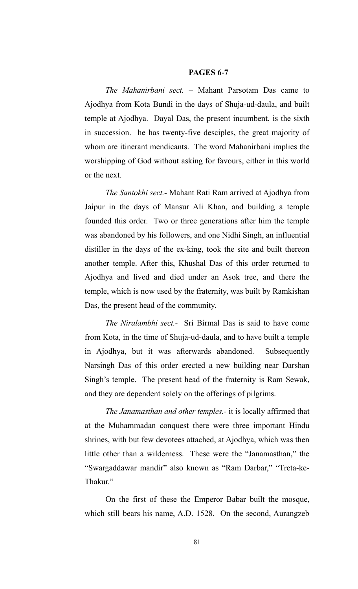#### **PAGES 6-7**

*The Mahanirbani sect. –* Mahant Parsotam Das came to Ajodhya from Kota Bundi in the days of Shuja-ud-daula, and built temple at Ajodhya. Dayal Das, the present incumbent, is the sixth in succession. he has twenty-five desciples, the great majority of whom are itinerant mendicants. The word Mahanirbani implies the worshipping of God without asking for favours, either in this world or the next.

*The Santokhi sect.-* Mahant Rati Ram arrived at Ajodhya from Jaipur in the days of Mansur Ali Khan, and building a temple founded this order. Two or three generations after him the temple was abandoned by his followers, and one Nidhi Singh, an influential distiller in the days of the ex-king, took the site and built thereon another temple. After this, Khushal Das of this order returned to Ajodhya and lived and died under an Asok tree, and there the temple, which is now used by the fraternity, was built by Ramkishan Das, the present head of the community.

*The Niralambhi sect.-* Sri Birmal Das is said to have come from Kota, in the time of Shuja-ud-daula, and to have built a temple in Ajodhya, but it was afterwards abandoned. Subsequently Narsingh Das of this order erected a new building near Darshan Singh's temple. The present head of the fraternity is Ram Sewak, and they are dependent solely on the offerings of pilgrims.

*The Janamasthan and other temples.-* it is locally affirmed that at the Muhammadan conquest there were three important Hindu shrines, with but few devotees attached, at Ajodhya, which was then little other than a wilderness. These were the "Janamasthan," the "Swargaddawar mandir" also known as "Ram Darbar," "Treta-ke-Thakur."

On the first of these the Emperor Babar built the mosque, which still bears his name, A.D. 1528. On the second, Aurangzeb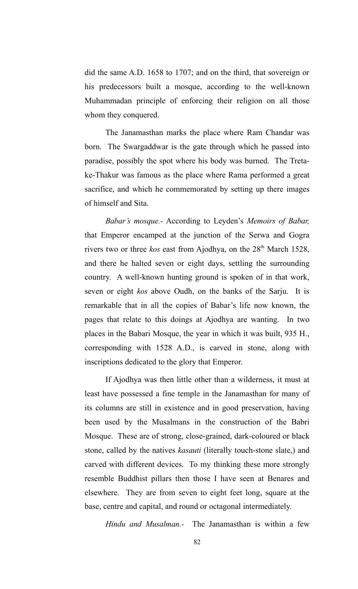did the same A.D. 1658 to 1707; and on the third, that sovereign or his predecessors built a mosque, according to the well-known Muhammadan principle of enforcing their religion on all those whom they conquered.

The Janamasthan marks the place where Ram Chandar was born. The Swargaddwar is the gate through which he passed into paradise, possibly the spot where his body was burned. The Tretake-Thakur was famous as the place where Rama performed a great sacrifice, and which he commemorated by setting up there images of himself and Sita.

*Babar's mosque.-* According to Leyden's *Memoirs of Babar,* that Emperor encamped at the junction of the Serwa and Gogra rivers two or three *kos* east from Ajodhya, on the 28<sup>th</sup> March 1528, and there he halted seven or eight days, settling the surrounding country. A well-known hunting ground is spoken of in that work, seven or eight *kos* above Oudh, on the banks of the Sarju. It is remarkable that in all the copies of Babar's life now known, the pages that relate to this doings at Ajodhya are wanting. In two places in the Babari Mosque, the year in which it was built, 935 H., corresponding with 1528 A.D., is carved in stone, along with inscriptions dedicated to the glory that Emperor.

If Ajodhya was then little other than a wilderness, it must at least have possessed a fine temple in the Janamasthan for many of its columns are still in existence and in good preservation, having been used by the Musalmans in the construction of the Babri Mosque. These are of strong, close-grained, dark-coloured or black stone, called by the natives *kasauti* (literally touch-stone slate,) and carved with different devices. To my thinking these more strongly resemble Buddhist pillars then those I have seen at Benares and elsewhere. They are from seven to eight feet long, square at the base, centre and capital, and round or octagonal intermediately.

*Hindu and Musalman.-* The Janamasthan is within a few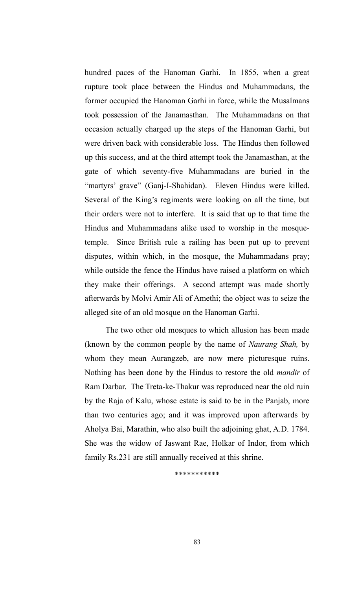hundred paces of the Hanoman Garhi. In 1855, when a great rupture took place between the Hindus and Muhammadans, the former occupied the Hanoman Garhi in force, while the Musalmans took possession of the Janamasthan. The Muhammadans on that occasion actually charged up the steps of the Hanoman Garhi, but were driven back with considerable loss. The Hindus then followed up this success, and at the third attempt took the Janamasthan, at the gate of which seventy-five Muhammadans are buried in the "martyrs' grave" (Ganj-I-Shahidan). Eleven Hindus were killed. Several of the King's regiments were looking on all the time, but their orders were not to interfere. It is said that up to that time the Hindus and Muhammadans alike used to worship in the mosquetemple. Since British rule a railing has been put up to prevent disputes, within which, in the mosque, the Muhammadans pray; while outside the fence the Hindus have raised a platform on which they make their offerings. A second attempt was made shortly afterwards by Molvi Amir Ali of Amethi; the object was to seize the alleged site of an old mosque on the Hanoman Garhi.

The two other old mosques to which allusion has been made (known by the common people by the name of *Naurang Shah,* by whom they mean Aurangzeb, are now mere picturesque ruins. Nothing has been done by the Hindus to restore the old *mandir* of Ram Darbar. The Treta-ke-Thakur was reproduced near the old ruin by the Raja of Kalu, whose estate is said to be in the Panjab, more than two centuries ago; and it was improved upon afterwards by Aholya Bai, Marathin, who also built the adjoining ghat, A.D. 1784. She was the widow of Jaswant Rae, Holkar of Indor, from which family Rs.231 are still annually received at this shrine.

\*\*\*\*\*\*\*\*\*\*\*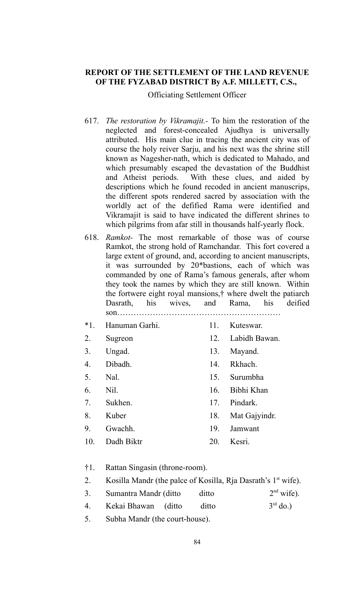## **REPORT OF THE SETTLEMENT OF THE LAND REVENUE OF THE FYZABAD DISTRICT By A.F. MILLETT, C.S.,**

Officiating Settlement Officer

- 617. *The restoration by Vikramajit.-* To him the restoration of the neglected and forest-concealed Ajudhya is universally attributed. His main clue in tracing the ancient city was of course the holy reiver Sarju, and his next was the shrine still known as Nagesher-nath, which is dedicated to Mahado, and which presumably escaped the devastation of the Buddhist and Atheist periods. With these clues, and aided by descriptions which he found recoded in ancient manuscrips, the different spots rendered sacred by association with the worldly act of the defified Rama were identified and Vikramajit is said to have indicated the different shrines to which pilgrims from afar still in thousands half-yearly flock.
- 618. *Ramkot-* The most remarkable of those was of course Ramkot, the strong hold of Ramchandar. This fort covered a large extent of ground, and, according to ancient manuscripts, it was surrounded by 20\*bastions, each of which was commanded by one of Rama's famous generals, after whom they took the names by which they are still known. Within the fortwere eight royal mansions,† where dwelt the patiarch Dasrath, his wives, and Rama, his deified son……………………………………………………
- \*1. Hanuman Garhi. 11. Kuteswar.
- 2. Sugreon 12. Labidh Bawan.
- 3. Ungad. 13. Mayand.
- 4. Dibadh. 14. Rkhach.
- 5. Nal. 15. Surumbha
- 6. Nil. 16. Bibhi Khan
- 
- 
- 
- 
- 
- 
- 
- 
- 7. Sukhen. 17. Pindark.
- 8. Kuber 18. Mat Gajyindr.
- 9. Gwachh. 19. Jamwant
- 10. Dadh Biktr 20. Kesri.
- †1. Rattan Singasin (throne-room).
- 2. Kosilla Mandr (the palce of Kosilla, Rja Dasrath's  $1<sup>st</sup>$  wife).
- 3. Sumantra Mandr (ditto ditto  $2<sup>nd</sup>$  wife).
- 4. Kekai Bhawan (ditto ditto 3rd do.)
- 5. Subha Mandr (the court-house).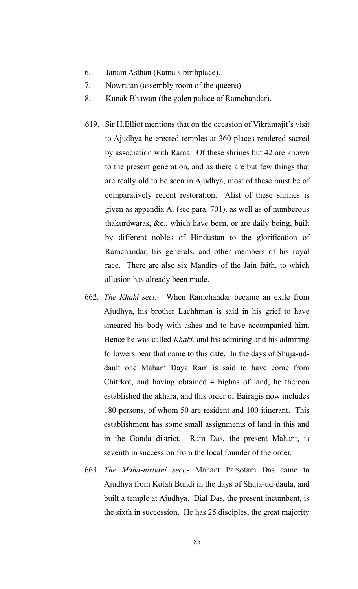- 6. Janam Asthan (Rama's birthplace).
- 7. Nowratan (assembly room of the queens).
- 8. Kunak Bhawan (the golen palace of Ramchandar).
- 619. Sir H.Elliot mentions that on the occasion of Vikramajit's visit to Ajudhya he erected temples at 360 places rendered sacred by association with Rama. Of these shrines but 42 are known to the present generation, and as there are but few things that are really old to be seen in Ajudhya, most of these must be of comparatively recent restoration. Alist of these shrines is given as appendix A. (see para. 701), as well as of numberous thakurdwaras, &c., which have been, or are daily being, built by different nobles of Hindustan to the glorification of Ramchandar, his generals, and other members of his royal race. There are also six Mandirs of the Jain faith, to which allusion has already been made.
- 662. *The Khaki sect.-* When Ramchandar became an exile from Ajudhya, his brother Lachhman is said in his grief to have smeared his body with ashes and to have accompanied him. Hence he was called *Khaki,* and his admiring and his admiring followers bear that name to this date. In the days of Shuja-uddault one Mahant Daya Ram is said to have come from Chitrkot, and having obtained 4 bighas of land, he thereon established the akhara, and this order of Bairagis now includes 180 persons, of whom 50 are resident and 100 itinerant. This establishment has some small assignments of land in this and in the Gonda district. Ram Das, the present Mahant, is seventh in succession from the local founder of the order.
- 663. *The Maha-nirbani sect*.- Mahant Parsotam Das came to Ajudhya from Kotah Bundi in the days of Shuja-ud-daula, and built a temple at Ajudhya. Dial Das, the present incumbent, is the sixth in succession. He has 25 disciples, the great majority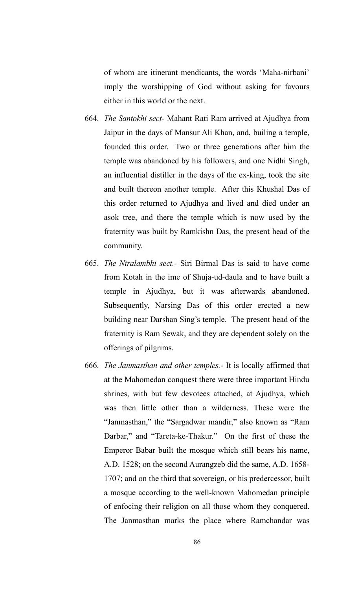of whom are itinerant mendicants, the words 'Maha-nirbani' imply the worshipping of God without asking for favours either in this world or the next.

- 664. *The Santokhi sect-* Mahant Rati Ram arrived at Ajudhya from Jaipur in the days of Mansur Ali Khan, and, builing a temple, founded this order. Two or three generations after him the temple was abandoned by his followers, and one Nidhi Singh, an influential distiller in the days of the ex-king, took the site and built thereon another temple. After this Khushal Das of this order returned to Ajudhya and lived and died under an asok tree, and there the temple which is now used by the fraternity was built by Ramkishn Das, the present head of the community.
- 665. *The Niralambhi sect.-* Siri Birmal Das is said to have come from Kotah in the ime of Shuja-ud-daula and to have built a temple in Ajudhya, but it was afterwards abandoned. Subsequently, Narsing Das of this order erected a new building near Darshan Sing's temple. The present head of the fraternity is Ram Sewak, and they are dependent solely on the offerings of pilgrims.
- 666. *The Janmasthan and other temples.* It is locally affirmed that at the Mahomedan conquest there were three important Hindu shrines, with but few devotees attached, at Ajudhya, which was then little other than a wilderness. These were the "Janmasthan," the "Sargadwar mandir," also known as "Ram Darbar," and "Tareta-ke-Thakur." On the first of these the Emperor Babar built the mosque which still bears his name, A.D. 1528; on the second Aurangzeb did the same, A.D. 1658- 1707; and on the third that sovereign, or his predercessor, built a mosque according to the well-known Mahomedan principle of enfocing their religion on all those whom they conquered. The Janmasthan marks the place where Ramchandar was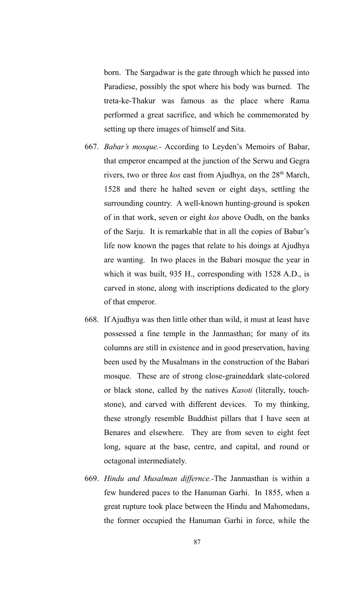born. The Sargadwar is the gate through which he passed into Paradiese, possibly the spot where his body was burned. The treta-ke-Thakur was famous as the place where Rama performed a great sacrifice, and which he commemorated by setting up there images of himself and Sita.

- 667. *Babar's mosque.-* According to Leyden's Memoirs of Babar, that emperor encamped at the junction of the Serwu and Gegra rivers, two or three *kos* east from Ajudhya, on the 28<sup>th</sup> March, 1528 and there he halted seven or eight days, settling the surrounding country. A well-known hunting-ground is spoken of in that work, seven or eight *kos* above Oudh, on the banks of the Sarju. It is remarkable that in all the copies of Babar's life now known the pages that relate to his doings at Ajudhya are wanting. In two places in the Babari mosque the year in which it was built, 935 H., corresponding with 1528 A.D., is carved in stone, along with inscriptions dedicated to the glory of that emperor.
- 668. If Ajudhya was then little other than wild, it must at least have possessed a fine temple in the Janmasthan; for many of its columns are still in existence and in good preservation, having been used by the Musalmans in the construction of the Babari mosque. These are of strong close-graineddark slate-colored or black stone, called by the natives *Kasoti* (literally, touchstone), and carved with different devices. To my thinking, these strongly resemble Buddhist pillars that I have seen at Benares and elsewhere. They are from seven to eight feet long, square at the base, centre, and capital, and round or octagonal intermediately.
- 669. *Hindu and Musalman differnce.-*The Janmasthan is within a few hundered paces to the Hanuman Garhi. In 1855, when a great rupture took place between the Hindu and Mahomedans, the former occupied the Hanuman Garhi in force, while the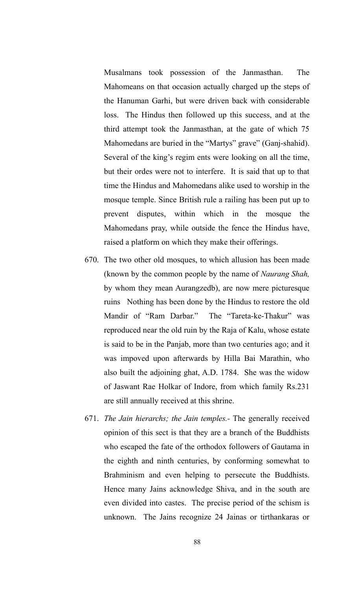Musalmans took possession of the Janmasthan. The Mahomeans on that occasion actually charged up the steps of the Hanuman Garhi, but were driven back with considerable loss. The Hindus then followed up this success, and at the third attempt took the Janmasthan, at the gate of which 75 Mahomedans are buried in the "Martys" grave" (Ganj-shahid). Several of the king's regim ents were looking on all the time, but their ordes were not to interfere. It is said that up to that time the Hindus and Mahomedans alike used to worship in the mosque temple. Since British rule a railing has been put up to prevent disputes, within which in the mosque the Mahomedans pray, while outside the fence the Hindus have, raised a platform on which they make their offerings.

- 670. The two other old mosques, to which allusion has been made (known by the common people by the name of *Naurang Shah,* by whom they mean Aurangzedb), are now mere picturesque ruins Nothing has been done by the Hindus to restore the old Mandir of "Ram Darbar." The "Tareta-ke-Thakur" was reproduced near the old ruin by the Raja of Kalu, whose estate is said to be in the Panjab, more than two centuries ago; and it was impoved upon afterwards by Hilla Bai Marathin, who also built the adjoining ghat, A.D. 1784. She was the widow of Jaswant Rae Holkar of Indore, from which family Rs.231 are still annually received at this shrine.
- 671. *The Jain hierarchs; the Jain temples.-* The generally received opinion of this sect is that they are a branch of the Buddhists who escaped the fate of the orthodox followers of Gautama in the eighth and ninth centuries, by conforming somewhat to Brahminism and even helping to persecute the Buddhists. Hence many Jains acknowledge Shiva, and in the south are even divided into castes. The precise period of the schism is unknown. The Jains recognize 24 Jainas or tirthankaras or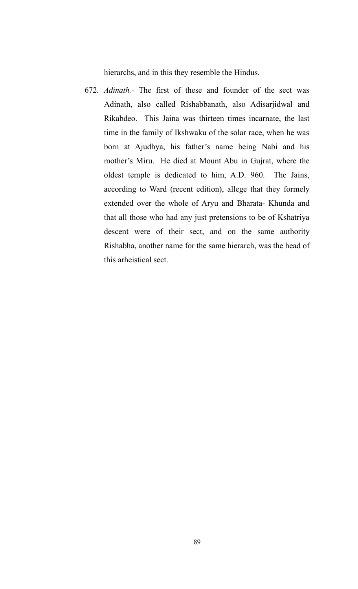hierarchs, and in this they resemble the Hindus.

672. *Adinath.-* The first of these and founder of the sect was Adinath, also called Rishabbanath, also Adisarjidwal and Rikabdeo. This Jaina was thirteen times incarnate, the last time in the family of Ikshwaku of the solar race, when he was born at Ajudhya, his father's name being Nabi and his mother's Miru. He died at Mount Abu in Gujrat, where the oldest temple is dedicated to him, A.D. 960. The Jains, according to Ward (recent edition), allege that they formely extended over the whole of Aryu and Bharata- Khunda and that all those who had any just pretensions to be of Kshatriya descent were of their sect, and on the same authority Rishabha, another name for the same hierarch, was the head of this arheistical sect.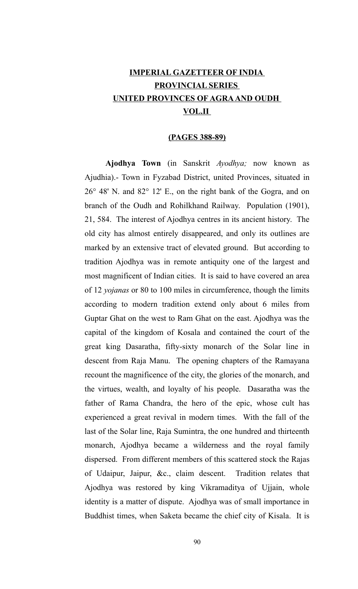## **IMPERIAL GAZETTEER OF INDIA PROVINCIAL SERIES UNITED PROVINCES OF AGRA AND OUDH VOL.II**

#### **(PAGES 388-89)**

**Ajodhya Town** (in Sanskrit *Ayodhya;* now known as Ajudhia).- Town in Fyzabad District, united Provinces, situated in 26° 48' N. and 82° 12' E., on the right bank of the Gogra, and on branch of the Oudh and Rohilkhand Railway. Population (1901), 21, 584. The interest of Ajodhya centres in its ancient history. The old city has almost entirely disappeared, and only its outlines are marked by an extensive tract of elevated ground. But according to tradition Ajodhya was in remote antiquity one of the largest and most magnificent of Indian cities. It is said to have covered an area of 12 *yojanas* or 80 to 100 miles in circumference, though the limits according to modern tradition extend only about 6 miles from Guptar Ghat on the west to Ram Ghat on the east. Ajodhya was the capital of the kingdom of Kosala and contained the court of the great king Dasaratha, fifty-sixty monarch of the Solar line in descent from Raja Manu. The opening chapters of the Ramayana recount the magnificence of the city, the glories of the monarch, and the virtues, wealth, and loyalty of his people. Dasaratha was the father of Rama Chandra, the hero of the epic, whose cult has experienced a great revival in modern times. With the fall of the last of the Solar line, Raja Sumintra, the one hundred and thirteenth monarch, Ajodhya became a wilderness and the royal family dispersed. From different members of this scattered stock the Rajas of Udaipur, Jaipur, &c., claim descent. Tradition relates that Ajodhya was restored by king Vikramaditya of Ujjain, whole identity is a matter of dispute. Ajodhya was of small importance in Buddhist times, when Saketa became the chief city of Kisala. It is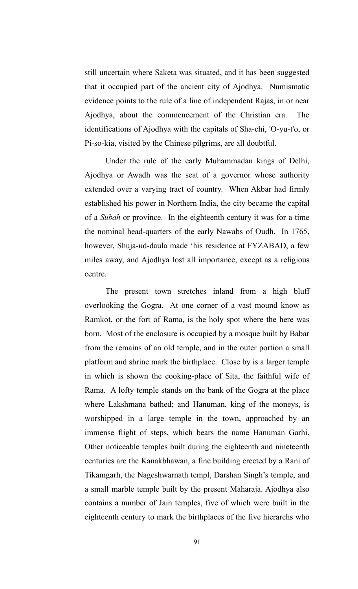still uncertain where Saketa was situated, and it has been suggested that it occupied part of the ancient city of Ajodhya. Numismatic evidence points to the rule of a line of independent Rajas, in or near Ajodhya, about the commencement of the Christian era. The identifications of Ajodhya with the capitals of Sha-chi, 'O-yu-t'o, or Pi-so-kia, visited by the Chinese pilgrims, are all doubtful.

Under the rule of the early Muhammadan kings of Delhi, Ajodhya or Awadh was the seat of a governor whose authority extended over a varying tract of country. When Akbar had firmly established his power in Northern India, the city became the capital of a *Subah* or province. In the eighteenth century it was for a time the nominal head-quarters of the early Nawabs of Oudh. In 1765, however, Shuja-ud-daula made 'his residence at FYZABAD, a few miles away, and Ajodhya lost all importance, except as a religious centre.

The present town stretches inland from a high bluff overlooking the Gogra. At one corner of a vast mound know as Ramkot, or the fort of Rama, is the holy spot where the here was born. Most of the enclosure is occupied by a mosque built by Babar from the remains of an old temple, and in the outer portion a small platform and shrine mark the birthplace. Close by is a larger temple in which is shown the cooking-place of Sita, the faithful wife of Rama. A lofty temple stands on the bank of the Gogra at the place where Lakshmana bathed; and Hanuman, king of the moneys, is worshipped in a large temple in the town, approached by an immense flight of steps, which bears the name Hanuman Garhi. Other noticeable temples built during the eighteenth and nineteenth centuries are the Kanakbhawan, a fine building erected by a Rani of Tikamgarh, the Nageshwarnath templ, Darshan Singh's temple, and a small marble temple built by the present Maharaja. Ajodhya also contains a number of Jain temples, five of which were built in the eighteenth century to mark the birthplaces of the five hierarchs who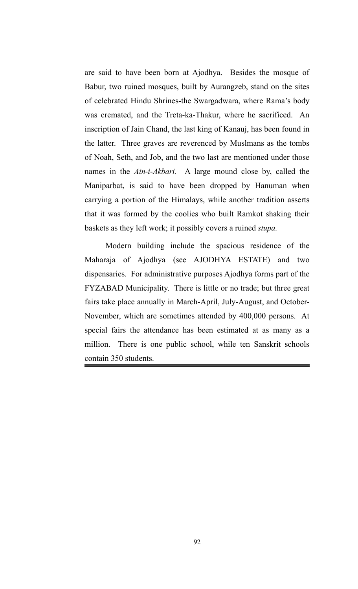are said to have been born at Ajodhya. Besides the mosque of Babur, two ruined mosques, built by Aurangzeb, stand on the sites of celebrated Hindu Shrines-the Swargadwara, where Rama's body was cremated, and the Treta-ka-Thakur, where he sacrificed. An inscription of Jain Chand, the last king of Kanauj, has been found in the latter. Three graves are reverenced by Muslmans as the tombs of Noah, Seth, and Job, and the two last are mentioned under those names in the *Ain-i-Akbari.* A large mound close by, called the Maniparbat, is said to have been dropped by Hanuman when carrying a portion of the Himalays, while another tradition asserts that it was formed by the coolies who built Ramkot shaking their baskets as they left work; it possibly covers a ruined *stupa.*

Modern building include the spacious residence of the Maharaja of Ajodhya (see AJODHYA ESTATE) and two dispensaries. For administrative purposes Ajodhya forms part of the FYZABAD Municipality. There is little or no trade; but three great fairs take place annually in March-April, July-August, and October-November, which are sometimes attended by 400,000 persons. At special fairs the attendance has been estimated at as many as a million. There is one public school, while ten Sanskrit schools contain 350 students.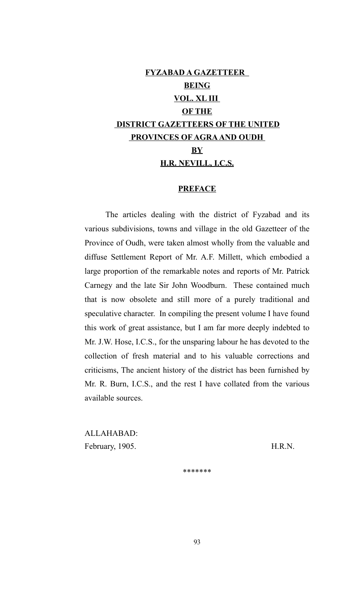# **FYZABAD A GAZETTEER BEING VOL. XL III OF THE DISTRICT GAZETTEERS OF THE UNITED PROVINCES OF AGRA AND OUDH BY H.R. NEVILL, I.C.S.**

### **PREFACE**

The articles dealing with the district of Fyzabad and its various subdivisions, towns and village in the old Gazetteer of the Province of Oudh, were taken almost wholly from the valuable and diffuse Settlement Report of Mr. A.F. Millett, which embodied a large proportion of the remarkable notes and reports of Mr. Patrick Carnegy and the late Sir John Woodburn. These contained much that is now obsolete and still more of a purely traditional and speculative character. In compiling the present volume I have found this work of great assistance, but I am far more deeply indebted to Mr. J.W. Hose, I.C.S., for the unsparing labour he has devoted to the collection of fresh material and to his valuable corrections and criticisms, The ancient history of the district has been furnished by Mr. R. Burn, I.C.S., and the rest I have collated from the various available sources.

ALLAHABAD: February, 1905. H.R.N.

\*\*\*\*\*\*\*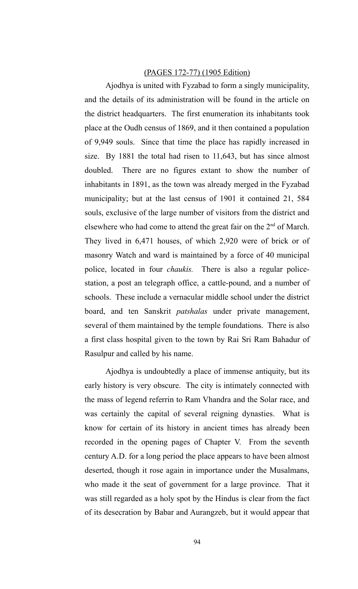#### (PAGES 172-77) (1905 Edition)

Ajodhya is united with Fyzabad to form a singly municipality, and the details of its administration will be found in the article on the district headquarters. The first enumeration its inhabitants took place at the Oudh census of 1869, and it then contained a population of 9,949 souls. Since that time the place has rapidly increased in size. By 1881 the total had risen to 11,643, but has since almost doubled. There are no figures extant to show the number of inhabitants in 1891, as the town was already merged in the Fyzabad municipality; but at the last census of 1901 it contained 21, 584 souls, exclusive of the large number of visitors from the district and elsewhere who had come to attend the great fair on the  $2<sup>nd</sup>$  of March. They lived in 6,471 houses, of which 2,920 were of brick or of masonry Watch and ward is maintained by a force of 40 municipal police, located in four *chaukis.* There is also a regular policestation, a post an telegraph office, a cattle-pound, and a number of schools. These include a vernacular middle school under the district board, and ten Sanskrit *patshalas* under private management, several of them maintained by the temple foundations. There is also a first class hospital given to the town by Rai Sri Ram Bahadur of Rasulpur and called by his name.

Ajodhya is undoubtedly a place of immense antiquity, but its early history is very obscure. The city is intimately connected with the mass of legend referrin to Ram Vhandra and the Solar race, and was certainly the capital of several reigning dynasties. What is know for certain of its history in ancient times has already been recorded in the opening pages of Chapter V. From the seventh century A.D. for a long period the place appears to have been almost deserted, though it rose again in importance under the Musalmans, who made it the seat of government for a large province. That it was still regarded as a holy spot by the Hindus is clear from the fact of its desecration by Babar and Aurangzeb, but it would appear that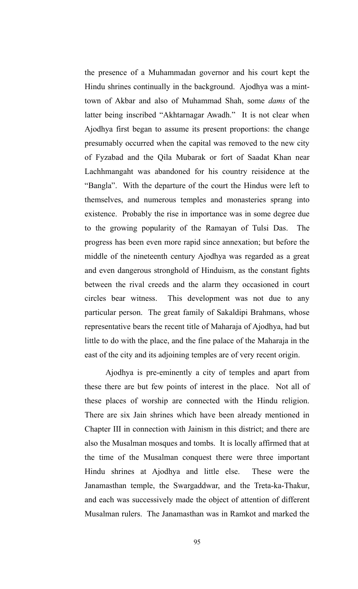the presence of a Muhammadan governor and his court kept the Hindu shrines continually in the background. Ajodhya was a minttown of Akbar and also of Muhammad Shah, some *dams* of the latter being inscribed "Akhtarnagar Awadh." It is not clear when Ajodhya first began to assume its present proportions: the change presumably occurred when the capital was removed to the new city of Fyzabad and the Qila Mubarak or fort of Saadat Khan near Lachhmangaht was abandoned for his country reisidence at the "Bangla". With the departure of the court the Hindus were left to themselves, and numerous temples and monasteries sprang into existence. Probably the rise in importance was in some degree due to the growing popularity of the Ramayan of Tulsi Das. The progress has been even more rapid since annexation; but before the middle of the nineteenth century Ajodhya was regarded as a great and even dangerous stronghold of Hinduism, as the constant fights between the rival creeds and the alarm they occasioned in court circles bear witness. This development was not due to any particular person. The great family of Sakaldipi Brahmans, whose representative bears the recent title of Maharaja of Ajodhya, had but little to do with the place, and the fine palace of the Maharaja in the east of the city and its adjoining temples are of very recent origin.

Ajodhya is pre-eminently a city of temples and apart from these there are but few points of interest in the place. Not all of these places of worship are connected with the Hindu religion. There are six Jain shrines which have been already mentioned in Chapter III in connection with Jainism in this district; and there are also the Musalman mosques and tombs. It is locally affirmed that at the time of the Musalman conquest there were three important Hindu shrines at Ajodhya and little else. These were the Janamasthan temple, the Swargaddwar, and the Treta-ka-Thakur, and each was successively made the object of attention of different Musalman rulers. The Janamasthan was in Ramkot and marked the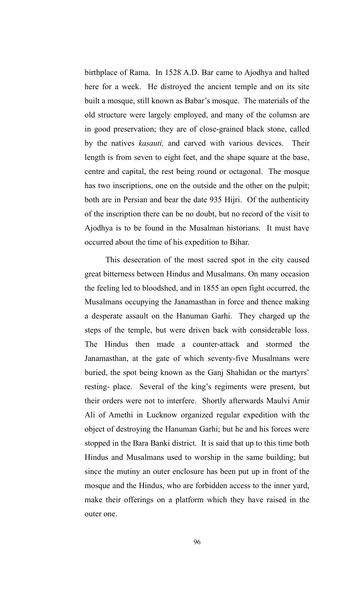birthplace of Rama. In 1528 A.D. Bar came to Ajodhya and halted here for a week. He distroyed the ancient temple and on its site built a mosque, still known as Babar's mosque. The materials of the old structure were largely employed, and many of the columsn are in good preservation; they are of close-grained black stone, called by the natives *kasauti,* and carved with various devices. Their length is from seven to eight feet, and the shape square at the base, centre and capital, the rest being round or octagonal. The mosque has two inscriptions, one on the outside and the other on the pulpit; both are in Persian and bear the date 935 Hijri. Of the authenticity of the inscription there can be no doubt, but no record of the visit to Ajodhya is to be found in the Musalman historians. It must have occurred about the time of his expedition to Bihar.

This desecration of the most sacred spot in the city caused great bitterness between Hindus and Musalmans. On many occasion the feeling led to bloodshed, and in 1855 an open fight occurred, the Musalmans occupying the Janamasthan in force and thence making a desperate assault on the Hanuman Garhi. They charged up the steps of the temple, but were driven back with considerable loss. The Hindus then made a counter-attack and stormed the Janamasthan, at the gate of which seventy-five Musalmans were buried, the spot being known as the Ganj Shahidan or the martyrs' resting- place. Several of the king's regiments were present, but their orders were not to interfere. Shortly afterwards Maulvi Amir Ali of Amethi in Lucknow organized regular expedition with the object of destroying the Hanuman Garhi; but he and his forces were stopped in the Bara Banki district. It is said that up to this time both Hindus and Musalmans used to worship in the same building; but since the mutiny an outer enclosure has been put up in front of the mosque and the Hindus, who are forbidden access to the inner yard, make their offerings on a platform which they have raised in the outer one.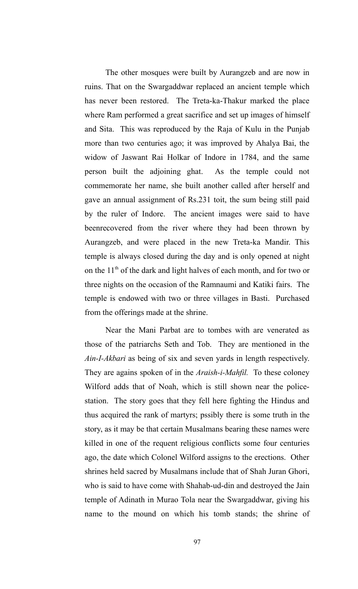The other mosques were built by Aurangzeb and are now in ruins. That on the Swargaddwar replaced an ancient temple which has never been restored. The Treta-ka-Thakur marked the place where Ram performed a great sacrifice and set up images of himself and Sita. This was reproduced by the Raja of Kulu in the Punjab more than two centuries ago; it was improved by Ahalya Bai, the widow of Jaswant Rai Holkar of Indore in 1784, and the same person built the adjoining ghat. As the temple could not commemorate her name, she built another called after herself and gave an annual assignment of Rs.231 toit, the sum being still paid by the ruler of Indore. The ancient images were said to have beenrecovered from the river where they had been thrown by Aurangzeb, and were placed in the new Treta-ka Mandir. This temple is always closed during the day and is only opened at night on the  $11<sup>th</sup>$  of the dark and light halves of each month, and for two or three nights on the occasion of the Ramnaumi and Katiki fairs. The temple is endowed with two or three villages in Basti. Purchased from the offerings made at the shrine.

Near the Mani Parbat are to tombes with are venerated as those of the patriarchs Seth and Tob. They are mentioned in the *Ain-I-Akbari* as being of six and seven yards in length respectively. They are agains spoken of in the *Araish-i-Mahfil.* To these coloney Wilford adds that of Noah, which is still shown near the policestation. The story goes that they fell here fighting the Hindus and thus acquired the rank of martyrs; pssibly there is some truth in the story, as it may be that certain Musalmans bearing these names were killed in one of the requent religious conflicts some four centuries ago, the date which Colonel Wilford assigns to the erections. Other shrines held sacred by Musalmans include that of Shah Juran Ghori, who is said to have come with Shahab-ud-din and destroyed the Jain temple of Adinath in Murao Tola near the Swargaddwar, giving his name to the mound on which his tomb stands; the shrine of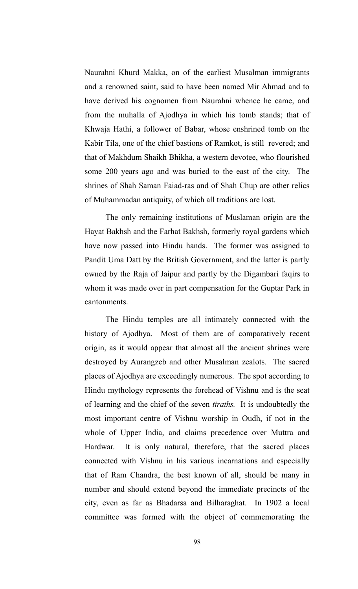Naurahni Khurd Makka, on of the earliest Musalman immigrants and a renowned saint, said to have been named Mir Ahmad and to have derived his cognomen from Naurahni whence he came, and from the muhalla of Ajodhya in which his tomb stands; that of Khwaja Hathi, a follower of Babar, whose enshrined tomb on the Kabir Tila, one of the chief bastions of Ramkot, is still revered; and that of Makhdum Shaikh Bhikha, a western devotee, who flourished some 200 years ago and was buried to the east of the city. The shrines of Shah Saman Faiad-ras and of Shah Chup are other relics of Muhammadan antiquity, of which all traditions are lost.

The only remaining institutions of Muslaman origin are the Hayat Bakhsh and the Farhat Bakhsh, formerly royal gardens which have now passed into Hindu hands. The former was assigned to Pandit Uma Datt by the British Government, and the latter is partly owned by the Raja of Jaipur and partly by the Digambari faqirs to whom it was made over in part compensation for the Guptar Park in cantonments.

The Hindu temples are all intimately connected with the history of Ajodhya. Most of them are of comparatively recent origin, as it would appear that almost all the ancient shrines were destroyed by Aurangzeb and other Musalman zealots. The sacred places of Ajodhya are exceedingly numerous. The spot according to Hindu mythology represents the forehead of Vishnu and is the seat of learning and the chief of the seven *tiraths.* It is undoubtedly the most important centre of Vishnu worship in Oudh, if not in the whole of Upper India, and claims precedence over Muttra and Hardwar. It is only natural, therefore, that the sacred places connected with Vishnu in his various incarnations and especially that of Ram Chandra, the best known of all, should be many in number and should extend beyond the immediate precincts of the city, even as far as Bhadarsa and Bilharaghat. In 1902 a local committee was formed with the object of commemorating the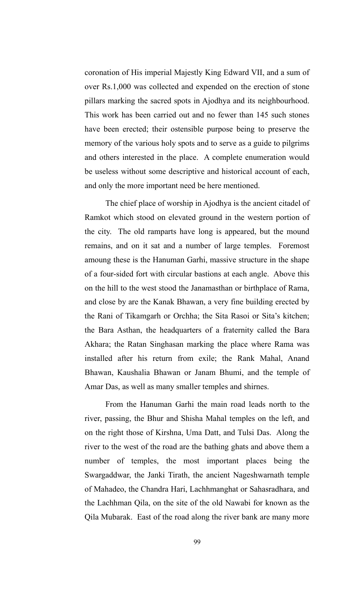coronation of His imperial Majestly King Edward VII, and a sum of over Rs.1,000 was collected and expended on the erection of stone pillars marking the sacred spots in Ajodhya and its neighbourhood. This work has been carried out and no fewer than 145 such stones have been erected; their ostensible purpose being to preserve the memory of the various holy spots and to serve as a guide to pilgrims and others interested in the place. A complete enumeration would be useless without some descriptive and historical account of each, and only the more important need be here mentioned.

The chief place of worship in Ajodhya is the ancient citadel of Ramkot which stood on elevated ground in the western portion of the city. The old ramparts have long is appeared, but the mound remains, and on it sat and a number of large temples. Foremost amoung these is the Hanuman Garhi, massive structure in the shape of a four-sided fort with circular bastions at each angle. Above this on the hill to the west stood the Janamasthan or birthplace of Rama, and close by are the Kanak Bhawan, a very fine building erected by the Rani of Tikamgarh or Orchha; the Sita Rasoi or Sita's kitchen; the Bara Asthan, the headquarters of a fraternity called the Bara Akhara; the Ratan Singhasan marking the place where Rama was installed after his return from exile; the Rank Mahal, Anand Bhawan, Kaushalia Bhawan or Janam Bhumi, and the temple of Amar Das, as well as many smaller temples and shirnes.

From the Hanuman Garhi the main road leads north to the river, passing, the Bhur and Shisha Mahal temples on the left, and on the right those of Kirshna, Uma Datt, and Tulsi Das. Along the river to the west of the road are the bathing ghats and above them a number of temples, the most important places being the Swargaddwar, the Janki Tirath, the ancient Nageshwarnath temple of Mahadeo, the Chandra Hari, Lachhmanghat or Sahasradhara, and the Lachhman Qila, on the site of the old Nawabi for known as the Qila Mubarak. East of the road along the river bank are many more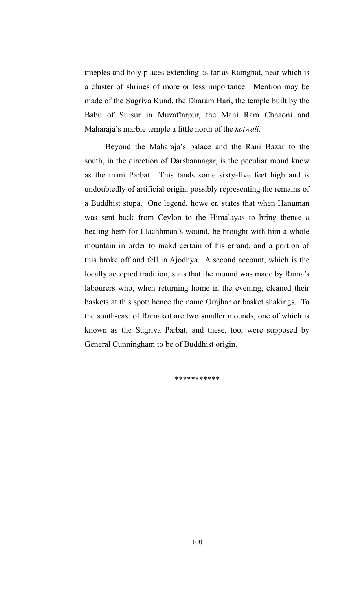tmeples and holy places extending as far as Ramghat, near which is a cluster of shrines of more or less importance. Mention may be made of the Sugriva Kund, the Dharam Hari, the temple built by the Babu of Sursur in Muzaffarpur, the Mani Ram Chhaoni and Maharaja's marble temple a little north of the *kotwali.*

Beyond the Maharaja's palace and the Rani Bazar to the south, in the direction of Darshannagar, is the peculiar mond know as the mani Parbat. This tands some sixty-five feet high and is undoubtedly of artificial origin, possibly representing the remains of a Buddhist stupa. One legend, howe er, states that when Hanuman was sent back from Ceylon to the Himalayas to bring thence a healing herb for Llachhman's wound, be brought with him a whole mountain in order to makd certain of his errand, and a portion of this broke off and fell in Ajodhya. A second account, which is the locally accepted tradition, stats that the mound was made by Rama's labourers who, when returning home in the evening, cleaned their baskets at this spot; hence the name Orajhar or basket shakings. To the south-east of Ramakot are two smaller mounds, one of which is known as the Sugriva Parbat; and these, too, were supposed by General Cunningham to be of Buddhist origin.

\*\*\*\*\*\*\*\*\*\*\*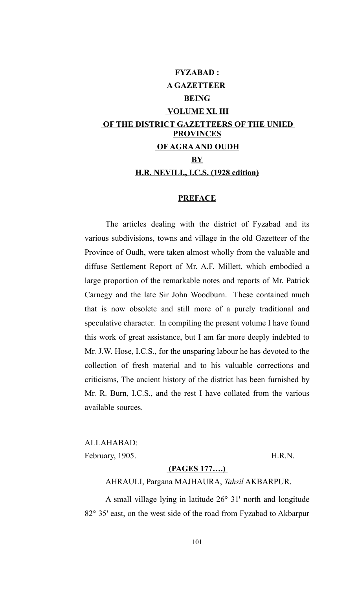# **FYZABAD : A GAZETTEER BEING VOLUME XL III OF THE DISTRICT GAZETTEERS OF THE UNIED PROVINCES OF AGRA AND OUDH BY H.R. NEVILI., I.C.S. (1928 edition)**

#### **PREFACE**

The articles dealing with the district of Fyzabad and its various subdivisions, towns and village in the old Gazetteer of the Province of Oudh, were taken almost wholly from the valuable and diffuse Settlement Report of Mr. A.F. Millett, which embodied a large proportion of the remarkable notes and reports of Mr. Patrick Carnegy and the late Sir John Woodburn. These contained much that is now obsolete and still more of a purely traditional and speculative character. In compiling the present volume I have found this work of great assistance, but I am far more deeply indebted to Mr. J.W. Hose, I.C.S., for the unsparing labour he has devoted to the collection of fresh material and to his valuable corrections and criticisms, The ancient history of the district has been furnished by Mr. R. Burn, I.C.S., and the rest I have collated from the various available sources.

ALLAHABAD: February, 1905. H.R.N.

#### **(PAGES 177….)**

AHRAULI, Pargana MAJHAURA, *Tahsil* AKBARPUR.

A small village lying in latitude 26° 31' north and longitude 82° 35' east, on the west side of the road from Fyzabad to Akbarpur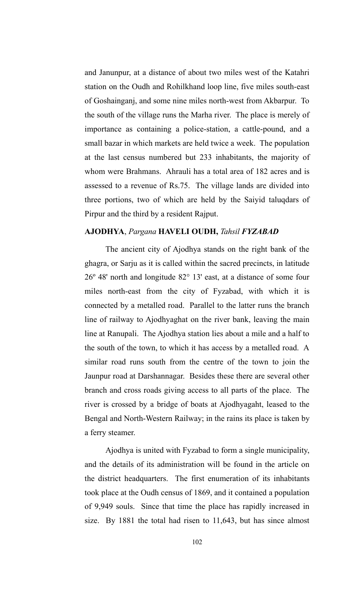and Janunpur, at a distance of about two miles west of the Katahri station on the Oudh and Rohilkhand loop line, five miles south-east of Goshainganj, and some nine miles north-west from Akbarpur. To the south of the village runs the Marha river. The place is merely of importance as containing a police-station, a cattle-pound, and a small bazar in which markets are held twice a week. The population at the last census numbered but 233 inhabitants, the majority of whom were Brahmans. Ahrauli has a total area of 182 acres and is assessed to a revenue of Rs.75. The village lands are divided into three portions, two of which are held by the Saiyid taluqdars of Pirpur and the third by a resident Rajput.

### **AJODHYA**, *Pargana* **HAVELI OUDH,** *Tahsil FYZABAD*

The ancient city of Ajodhya stands on the right bank of the ghagra, or Sarju as it is called within the sacred precincts, in latitude 26º 48' north and longitude 82° 13' east, at a distance of some four miles north-east from the city of Fyzabad, with which it is connected by a metalled road. Parallel to the latter runs the branch line of railway to Ajodhyaghat on the river bank, leaving the main line at Ranupali. The Ajodhya station lies about a mile and a half to the south of the town, to which it has access by a metalled road. A similar road runs south from the centre of the town to join the Jaunpur road at Darshannagar. Besides these there are several other branch and cross roads giving access to all parts of the place. The river is crossed by a bridge of boats at Ajodhyagaht, leased to the Bengal and North-Western Railway; in the rains its place is taken by a ferry steamer.

Ajodhya is united with Fyzabad to form a single municipality, and the details of its administration will be found in the article on the district headquarters. The first enumeration of its inhabitants took place at the Oudh census of 1869, and it contained a population of 9,949 souls. Since that time the place has rapidly increased in size. By 1881 the total had risen to 11,643, but has since almost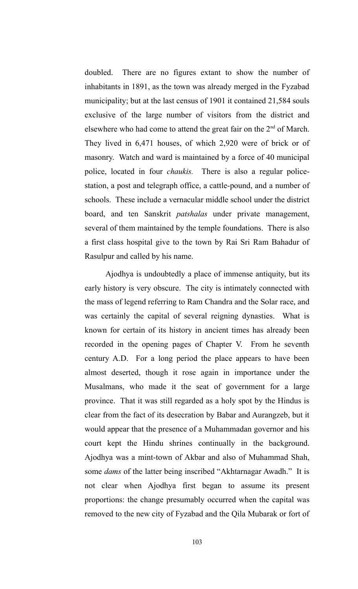doubled. There are no figures extant to show the number of inhabitants in 1891, as the town was already merged in the Fyzabad municipality; but at the last census of 1901 it contained 21,584 souls exclusive of the large number of visitors from the district and elsewhere who had come to attend the great fair on the  $2<sup>nd</sup>$  of March. They lived in 6,471 houses, of which 2,920 were of brick or of masonry. Watch and ward is maintained by a force of 40 municipal police, located in four *chaukis.* There is also a regular policestation, a post and telegraph office, a cattle-pound, and a number of schools. These include a vernacular middle school under the district board, and ten Sanskrit *patshalas* under private management, several of them maintained by the temple foundations. There is also a first class hospital give to the town by Rai Sri Ram Bahadur of Rasulpur and called by his name.

Ajodhya is undoubtedly a place of immense antiquity, but its early history is very obscure. The city is intimately connected with the mass of legend referring to Ram Chandra and the Solar race, and was certainly the capital of several reigning dynasties. What is known for certain of its history in ancient times has already been recorded in the opening pages of Chapter V. From he seventh century A.D. For a long period the place appears to have been almost deserted, though it rose again in importance under the Musalmans, who made it the seat of government for a large province. That it was still regarded as a holy spot by the Hindus is clear from the fact of its desecration by Babar and Aurangzeb, but it would appear that the presence of a Muhammadan governor and his court kept the Hindu shrines continually in the background. Ajodhya was a mint-town of Akbar and also of Muhammad Shah, some *dams* of the latter being inscribed "Akhtarnagar Awadh." It is not clear when Ajodhya first began to assume its present proportions: the change presumably occurred when the capital was removed to the new city of Fyzabad and the Qila Mubarak or fort of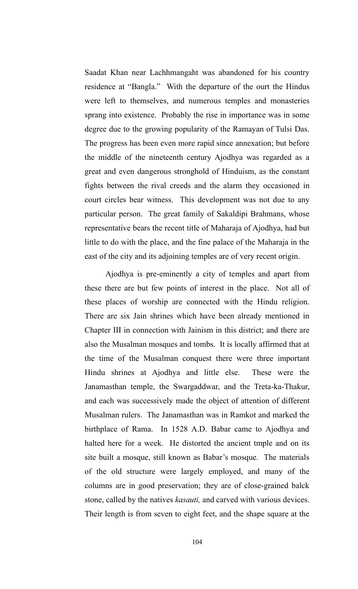Saadat Khan near Lachhmangaht was abandoned for his country residence at "Bangla." With the departure of the ourt the Hindus were left to themselves, and numerous temples and monasteries sprang into existence. Probably the rise in importance was in some degree due to the growing popularity of the Ramayan of Tulsi Das. The progress has been even more rapid since annexation; but before the middle of the nineteenth century Ajodhya was regarded as a great and even dangerous stronghold of Hinduism, as the constant fights between the rival creeds and the alarm they occasioned in court circles bear witness. This development was not due to any particular person. The great family of Sakaldipi Brahmans, whose representative bears the recent title of Maharaja of Ajodhya, had but little to do with the place, and the fine palace of the Maharaja in the east of the city and its adjoining temples are of very recent origin.

Ajodhya is pre-eminently a city of temples and apart from these there are but few points of interest in the place. Not all of these places of worship are connected with the Hindu religion. There are six Jain shrines which have been already mentioned in Chapter III in connection with Jainism in this district; and there are also the Musalman mosques and tombs. It is locally affirmed that at the time of the Musalman conquest there were three important Hindu shrines at Ajodhya and little else. These were the Janamasthan temple, the Swargaddwar, and the Treta-ka-Thakur, and each was successively made the object of attention of different Musalman rulers. The Janamasthan was in Ramkot and marked the birthplace of Rama. In 1528 A.D. Babar came to Ajodhya and halted here for a week. He distorted the ancient tmple and on its site built a mosque, still known as Babar's mosque. The materials of the old structure were largely employed, and many of the columns are in good preservation; they are of close-grained balck stone, called by the natives *kasauti,* and carved with various devices. Their length is from seven to eight feet, and the shape square at the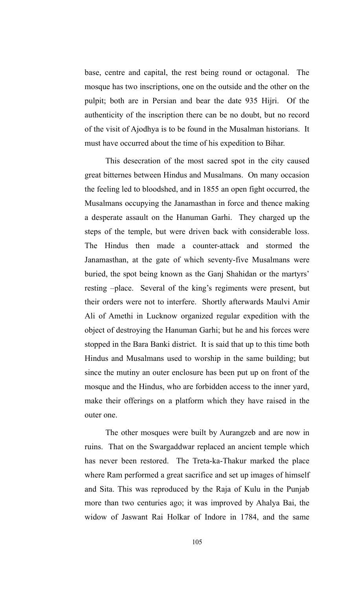base, centre and capital, the rest being round or octagonal. The mosque has two inscriptions, one on the outside and the other on the pulpit; both are in Persian and bear the date 935 Hijri. Of the authenticity of the inscription there can be no doubt, but no record of the visit of Ajodhya is to be found in the Musalman historians. It must have occurred about the time of his expedition to Bihar.

This desecration of the most sacred spot in the city caused great bitternes between Hindus and Musalmans. On many occasion the feeling led to bloodshed, and in 1855 an open fight occurred, the Musalmans occupying the Janamasthan in force and thence making a desperate assault on the Hanuman Garhi. They charged up the steps of the temple, but were driven back with considerable loss. The Hindus then made a counter-attack and stormed the Janamasthan, at the gate of which seventy-five Musalmans were buried, the spot being known as the Ganj Shahidan or the martyrs' resting –place. Several of the king's regiments were present, but their orders were not to interfere. Shortly afterwards Maulvi Amir Ali of Amethi in Lucknow organized regular expedition with the object of destroying the Hanuman Garhi; but he and his forces were stopped in the Bara Banki district. It is said that up to this time both Hindus and Musalmans used to worship in the same building; but since the mutiny an outer enclosure has been put up on front of the mosque and the Hindus, who are forbidden access to the inner yard, make their offerings on a platform which they have raised in the outer one.

The other mosques were built by Aurangzeb and are now in ruins. That on the Swargaddwar replaced an ancient temple which has never been restored. The Treta-ka-Thakur marked the place where Ram performed a great sacrifice and set up images of himself and Sita. This was reproduced by the Raja of Kulu in the Punjab more than two centuries ago; it was improved by Ahalya Bai, the widow of Jaswant Rai Holkar of Indore in 1784, and the same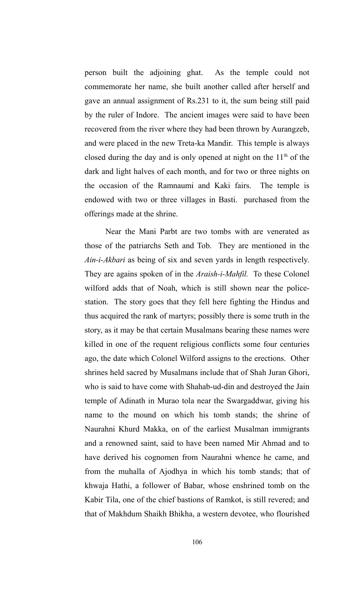person built the adjoining ghat. As the temple could not commemorate her name, she built another called after herself and gave an annual assignment of Rs.231 to it, the sum being still paid by the ruler of Indore. The ancient images were said to have been recovered from the river where they had been thrown by Aurangzeb, and were placed in the new Treta-ka Mandir. This temple is always closed during the day and is only opened at night on the  $11<sup>th</sup>$  of the dark and light halves of each month, and for two or three nights on the occasion of the Ramnaumi and Kaki fairs. The temple is endowed with two or three villages in Basti. purchased from the offerings made at the shrine.

Near the Mani Parbt are two tombs with are venerated as those of the patriarchs Seth and Tob. They are mentioned in the *Ain-i-Akbari* as being of six and seven yards in length respectively. They are agains spoken of in the *Araish-i-Mahfil.* To these Colonel wilford adds that of Noah, which is still shown near the policestation. The story goes that they fell here fighting the Hindus and thus acquired the rank of martyrs; possibly there is some truth in the story, as it may be that certain Musalmans bearing these names were killed in one of the requent religious conflicts some four centuries ago, the date which Colonel Wilford assigns to the erections. Other shrines held sacred by Musalmans include that of Shah Juran Ghori, who is said to have come with Shahab-ud-din and destroyed the Jain temple of Adinath in Murao tola near the Swargaddwar, giving his name to the mound on which his tomb stands; the shrine of Naurahni Khurd Makka, on of the earliest Musalman immigrants and a renowned saint, said to have been named Mir Ahmad and to have derived his cognomen from Naurahni whence he came, and from the muhalla of Ajodhya in which his tomb stands; that of khwaja Hathi, a follower of Babar, whose enshrined tomb on the Kabir Tila, one of the chief bastions of Ramkot, is still revered; and that of Makhdum Shaikh Bhikha, a western devotee, who flourished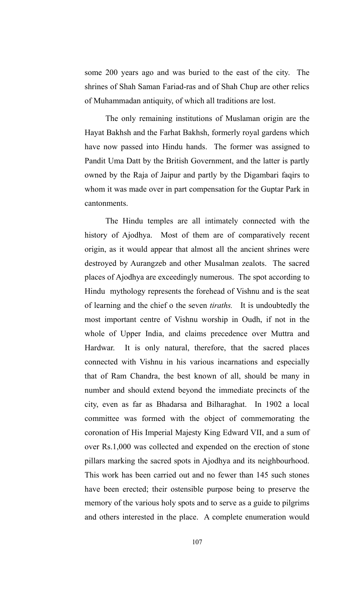some 200 years ago and was buried to the east of the city. The shrines of Shah Saman Fariad-ras and of Shah Chup are other relics of Muhammadan antiquity, of which all traditions are lost.

The only remaining institutions of Muslaman origin are the Hayat Bakhsh and the Farhat Bakhsh, formerly royal gardens which have now passed into Hindu hands. The former was assigned to Pandit Uma Datt by the British Government, and the latter is partly owned by the Raja of Jaipur and partly by the Digambari faqirs to whom it was made over in part compensation for the Guptar Park in cantonments.

The Hindu temples are all intimately connected with the history of Ajodhya. Most of them are of comparatively recent origin, as it would appear that almost all the ancient shrines were destroyed by Aurangzeb and other Musalman zealots. The sacred places of Ajodhya are exceedingly numerous. The spot according to Hindu mythology represents the forehead of Vishnu and is the seat of learning and the chief o the seven *tiraths.* It is undoubtedly the most important centre of Vishnu worship in Oudh, if not in the whole of Upper India, and claims precedence over Muttra and Hardwar. It is only natural, therefore, that the sacred places connected with Vishnu in his various incarnations and especially that of Ram Chandra, the best known of all, should be many in number and should extend beyond the immediate precincts of the city, even as far as Bhadarsa and Bilharaghat. In 1902 a local committee was formed with the object of commemorating the coronation of His Imperial Majesty King Edward VII, and a sum of over Rs.1,000 was collected and expended on the erection of stone pillars marking the sacred spots in Ajodhya and its neighbourhood. This work has been carried out and no fewer than 145 such stones have been erected; their ostensible purpose being to preserve the memory of the various holy spots and to serve as a guide to pilgrims and others interested in the place. A complete enumeration would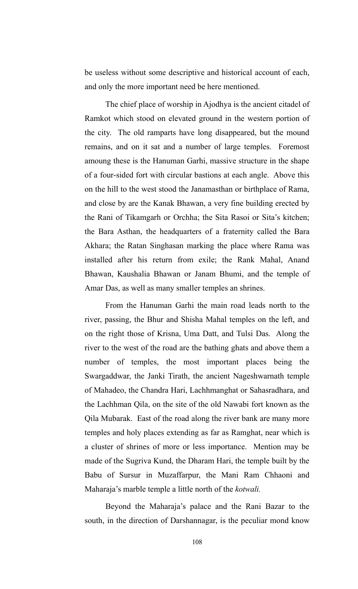be useless without some descriptive and historical account of each, and only the more important need be here mentioned.

The chief place of worship in Ajodhya is the ancient citadel of Ramkot which stood on elevated ground in the western portion of the city. The old ramparts have long disappeared, but the mound remains, and on it sat and a number of large temples. Foremost amoung these is the Hanuman Garhi, massive structure in the shape of a four-sided fort with circular bastions at each angle. Above this on the hill to the west stood the Janamasthan or birthplace of Rama, and close by are the Kanak Bhawan, a very fine building erected by the Rani of Tikamgarh or Orchha; the Sita Rasoi or Sita's kitchen; the Bara Asthan, the headquarters of a fraternity called the Bara Akhara; the Ratan Singhasan marking the place where Rama was installed after his return from exile; the Rank Mahal, Anand Bhawan, Kaushalia Bhawan or Janam Bhumi, and the temple of Amar Das, as well as many smaller temples an shrines.

From the Hanuman Garhi the main road leads north to the river, passing, the Bhur and Shisha Mahal temples on the left, and on the right those of Krisna, Uma Datt, and Tulsi Das. Along the river to the west of the road are the bathing ghats and above them a number of temples, the most important places being the Swargaddwar, the Janki Tirath, the ancient Nageshwarnath temple of Mahadeo, the Chandra Hari, Lachhmanghat or Sahasradhara, and the Lachhman Qila, on the site of the old Nawabi fort known as the Qila Mubarak. East of the road along the river bank are many more temples and holy places extending as far as Ramghat, near which is a cluster of shrines of more or less importance. Mention may be made of the Sugriva Kund, the Dharam Hari, the temple built by the Babu of Sursur in Muzaffarpur, the Mani Ram Chhaoni and Maharaja's marble temple a little north of the *kotwali.*

Beyond the Maharaja's palace and the Rani Bazar to the south, in the direction of Darshannagar, is the peculiar mond know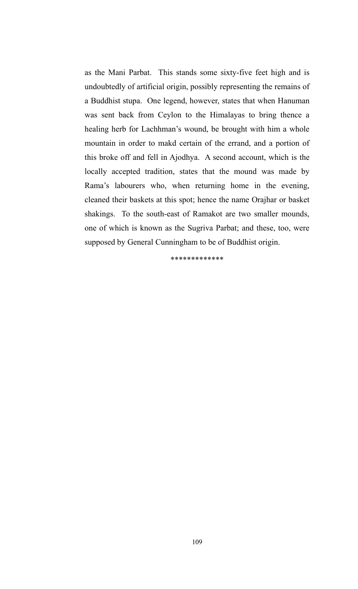as the Mani Parbat. This stands some sixty-five feet high and is undoubtedly of artificial origin, possibly representing the remains of a Buddhist stupa. One legend, however, states that when Hanuman was sent back from Ceylon to the Himalayas to bring thence a healing herb for Lachhman's wound, be brought with him a whole mountain in order to makd certain of the errand, and a portion of this broke off and fell in Ajodhya. A second account, which is the locally accepted tradition, states that the mound was made by Rama's labourers who, when returning home in the evening, cleaned their baskets at this spot; hence the name Orajhar or basket shakings. To the south-east of Ramakot are two smaller mounds, one of which is known as the Sugriva Parbat; and these, too, were supposed by General Cunningham to be of Buddhist origin.

\*\*\*\*\*\*\*\*\*\*\*\*\*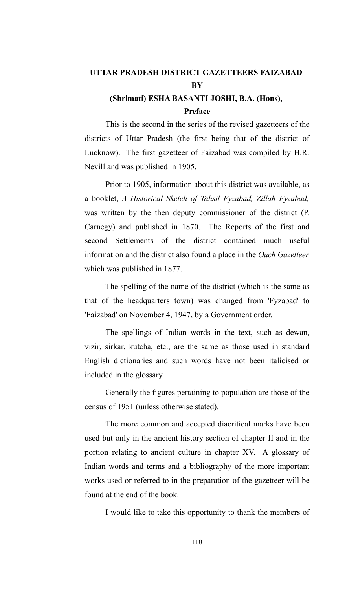# **UTTAR PRADESH DISTRICT GAZETTEERS FAIZABAD BY**

# **(Shrimati) ESHA BASANTI JOSHI, B.A. (Hons), Preface**

This is the second in the series of the revised gazetteers of the districts of Uttar Pradesh (the first being that of the district of Lucknow). The first gazetteer of Faizabad was compiled by H.R. Nevill and was published in 1905.

Prior to 1905, information about this district was available, as a booklet, *A Historical Sketch of Tahsil Fyzabad, Zillah Fyzabad,* was written by the then deputy commissioner of the district (P. Carnegy) and published in 1870. The Reports of the first and second Settlements of the district contained much useful information and the district also found a place in the *Ouch Gazetteer* which was published in 1877.

The spelling of the name of the district (which is the same as that of the headquarters town) was changed from 'Fyzabad' to 'Faizabad' on November 4, 1947, by a Government order.

The spellings of Indian words in the text, such as dewan, vizir, sirkar, kutcha, etc., are the same as those used in standard English dictionaries and such words have not been italicised or included in the glossary.

Generally the figures pertaining to population are those of the census of 1951 (unless otherwise stated).

The more common and accepted diacritical marks have been used but only in the ancient history section of chapter II and in the portion relating to ancient culture in chapter XV. A glossary of Indian words and terms and a bibliography of the more important works used or referred to in the preparation of the gazetteer will be found at the end of the book.

I would like to take this opportunity to thank the members of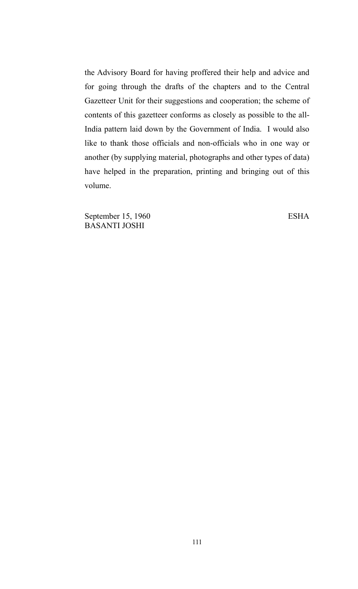the Advisory Board for having proffered their help and advice and for going through the drafts of the chapters and to the Central Gazetteer Unit for their suggestions and cooperation; the scheme of contents of this gazetteer conforms as closely as possible to the all-India pattern laid down by the Government of India. I would also like to thank those officials and non-officials who in one way or another (by supplying material, photographs and other types of data) have helped in the preparation, printing and bringing out of this volume.

September 15, 1960 ESHA BASANTI JOSHI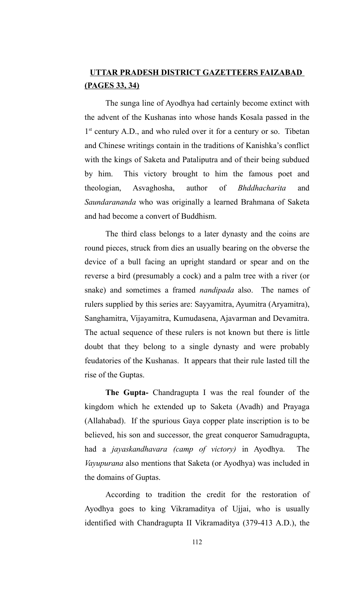# **UTTAR PRADESH DISTRICT GAZETTEERS FAIZABAD (PAGES 33, 34)**

The sunga line of Ayodhya had certainly become extinct with the advent of the Kushanas into whose hands Kosala passed in the 1<sup>st</sup> century A.D., and who ruled over it for a century or so. Tibetan and Chinese writings contain in the traditions of Kanishka's conflict with the kings of Saketa and Pataliputra and of their being subdued by him. This victory brought to him the famous poet and theologian, Asvaghosha, author of *Bhddhacharita* and *Saundarananda* who was originally a learned Brahmana of Saketa and had become a convert of Buddhism.

The third class belongs to a later dynasty and the coins are round pieces, struck from dies an usually bearing on the obverse the device of a bull facing an upright standard or spear and on the reverse a bird (presumably a cock) and a palm tree with a river (or snake) and sometimes a framed *nandipada* also. The names of rulers supplied by this series are: Sayyamitra, Ayumitra (Aryamitra), Sanghamitra, Vijayamitra, Kumudasena, Ajavarman and Devamitra. The actual sequence of these rulers is not known but there is little doubt that they belong to a single dynasty and were probably feudatories of the Kushanas. It appears that their rule lasted till the rise of the Guptas.

**The Gupta-** Chandragupta I was the real founder of the kingdom which he extended up to Saketa (Avadh) and Prayaga (Allahabad). If the spurious Gaya copper plate inscription is to be believed, his son and successor, the great conqueror Samudragupta, had a *jayaskandhavara (camp of victory)* in Ayodhya. The *Vayupurana* also mentions that Saketa (or Ayodhya) was included in the domains of Guptas.

According to tradition the credit for the restoration of Ayodhya goes to king Vikramaditya of Ujjai, who is usually identified with Chandragupta II Vikramaditya (379-413 A.D.), the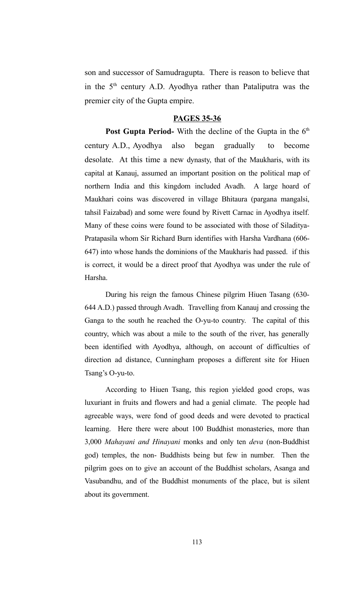son and successor of Samudragupta. There is reason to believe that in the  $5<sup>th</sup>$  century A.D. Ayodhya rather than Pataliputra was the premier city of the Gupta empire.

### **PAGES 35-36**

Post Gupta Period- With the decline of the Gupta in the 6<sup>th</sup> century A.D., Ayodhya also began gradually to become desolate. At this time a new dynasty, that of the Maukharis, with its capital at Kanauj, assumed an important position on the political map of northern India and this kingdom included Avadh. A large hoard of Maukhari coins was discovered in village Bhitaura (pargana mangalsi, tahsil Faizabad) and some were found by Rivett Carnac in Ayodhya itself. Many of these coins were found to be associated with those of Siladitya-Pratapasila whom Sir Richard Burn identifies with Harsha Vardhana (606- 647) into whose hands the dominions of the Maukharis had passed. if this is correct, it would be a direct proof that Ayodhya was under the rule of Harsha.

During his reign the famous Chinese pilgrim Hiuen Tasang (630- 644 A.D.) passed through Avadh. Travelling from Kanauj and crossing the Ganga to the south he reached the O-yu-to country. The capital of this country, which was about a mile to the south of the river, has generally been identified with Ayodhya, although, on account of difficulties of direction ad distance, Cunningham proposes a different site for Hiuen Tsang's O-yu-to.

According to Hiuen Tsang, this region yielded good crops, was luxuriant in fruits and flowers and had a genial climate. The people had agreeable ways, were fond of good deeds and were devoted to practical learning. Here there were about 100 Buddhist monasteries, more than 3,000 *Mahayani and Hinayani* monks and only ten *deva* (non-Buddhist god) temples, the non- Buddhists being but few in number. Then the pilgrim goes on to give an account of the Buddhist scholars, Asanga and Vasubandhu, and of the Buddhist monuments of the place, but is silent about its government.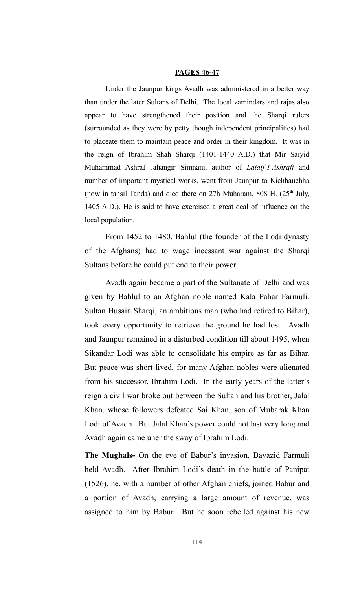#### **PAGES 46-47**

Under the Jaunpur kings Avadh was administered in a better way than under the later Sultans of Delhi. The local zamindars and rajas also appear to have strengthened their position and the Sharqi rulers (surrounded as they were by petty though independent principalities) had to placeate them to maintain peace and order in their kingdom. It was in the reign of Ibrahim Shah Sharqi (1401-1440 A.D.) that Mir Saiyid Muhammad Ashraf Jahangir Simnani, author of *Lataif-I-Ashrafi* and number of important mystical works, went from Jaunpur to Kichhauchha (now in tahsil Tanda) and died there on 27h Muharam, 808 H.  $(25<sup>th</sup>$  July, 1405 A.D.). He is said to have exercised a great deal of influence on the local population.

From 1452 to 1480, Bahlul (the founder of the Lodi dynasty of the Afghans) had to wage incessant war against the Sharqi Sultans before he could put end to their power.

Avadh again became a part of the Sultanate of Delhi and was given by Bahlul to an Afghan noble named Kala Pahar Farmuli. Sultan Husain Sharqi, an ambitious man (who had retired to Bihar), took every opportunity to retrieve the ground he had lost. Avadh and Jaunpur remained in a disturbed condition till about 1495, when Sikandar Lodi was able to consolidate his empire as far as Bihar. But peace was short-lived, for many Afghan nobles were alienated from his successor, Ibrahim Lodi. In the early years of the latter's reign a civil war broke out between the Sultan and his brother, Jalal Khan, whose followers defeated Sai Khan, son of Mubarak Khan Lodi of Avadh. But Jalal Khan's power could not last very long and Avadh again came uner the sway of Ibrahim Lodi.

**The Mughals-** On the eve of Babur's invasion, Bayazid Farmuli held Avadh. After Ibrahim Lodi's death in the battle of Panipat (1526), he, with a number of other Afghan chiefs, joined Babur and a portion of Avadh, carrying a large amount of revenue, was assigned to him by Babur. But he soon rebelled against his new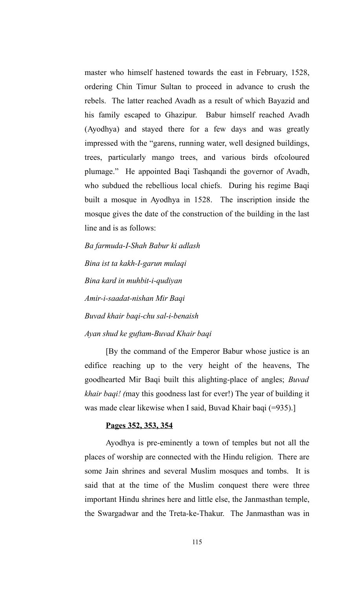master who himself hastened towards the east in February, 1528, ordering Chin Timur Sultan to proceed in advance to crush the rebels. The latter reached Avadh as a result of which Bayazid and his family escaped to Ghazipur. Babur himself reached Avadh (Ayodhya) and stayed there for a few days and was greatly impressed with the "garens, running water, well designed buildings, trees, particularly mango trees, and various birds ofcoloured plumage." He appointed Baqi Tashqandi the governor of Avadh, who subdued the rebellious local chiefs. During his regime Baqi built a mosque in Ayodhya in 1528. The inscription inside the mosque gives the date of the construction of the building in the last line and is as follows:

*Ba farmuda-I-Shah Babur ki adlash Bina ist ta kakh-I-garun mulaqi Bina kard in muhbit-i-qudiyan Amir-i-saadat-nishan Mir Baqi Buvad khair baqi-chu sal-i-benaish Ayan shud ke guftam-Buvad Khair baqi*

[By the command of the Emperor Babur whose justice is an edifice reaching up to the very height of the heavens, The goodhearted Mir Baqi built this alighting-place of angles; *Buvad khair baqi! (*may this goodness last for ever!) The year of building it was made clear likewise when I said, Buvad Khair baqi (=935).]

### **Pages 352, 353, 354**

Ayodhya is pre-eminently a town of temples but not all the places of worship are connected with the Hindu religion. There are some Jain shrines and several Muslim mosques and tombs. It is said that at the time of the Muslim conquest there were three important Hindu shrines here and little else, the Janmasthan temple, the Swargadwar and the Treta-ke-Thakur. The Janmasthan was in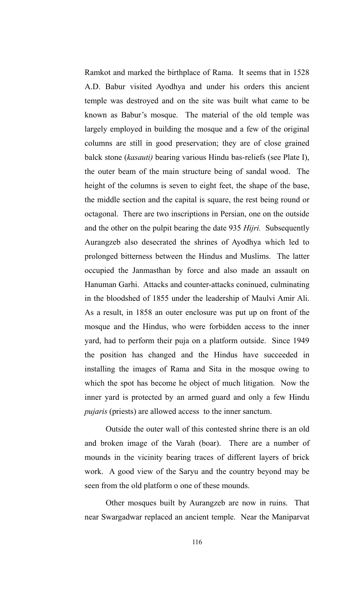Ramkot and marked the birthplace of Rama. It seems that in 1528 A.D. Babur visited Ayodhya and under his orders this ancient temple was destroyed and on the site was built what came to be known as Babur's mosque. The material of the old temple was largely employed in building the mosque and a few of the original columns are still in good preservation; they are of close grained balck stone (*kasauti)* bearing various Hindu bas-reliefs (see Plate I), the outer beam of the main structure being of sandal wood. The height of the columns is seven to eight feet, the shape of the base, the middle section and the capital is square, the rest being round or octagonal. There are two inscriptions in Persian, one on the outside and the other on the pulpit bearing the date 935 *Hijri.* Subsequently Aurangzeb also desecrated the shrines of Ayodhya which led to prolonged bitterness between the Hindus and Muslims. The latter occupied the Janmasthan by force and also made an assault on Hanuman Garhi. Attacks and counter-attacks coninued, culminating in the bloodshed of 1855 under the leadership of Maulvi Amir Ali. As a result, in 1858 an outer enclosure was put up on front of the mosque and the Hindus, who were forbidden access to the inner yard, had to perform their puja on a platform outside. Since 1949 the position has changed and the Hindus have succeeded in installing the images of Rama and Sita in the mosque owing to which the spot has become he object of much litigation. Now the inner yard is protected by an armed guard and only a few Hindu *pujaris* (priests) are allowed access to the inner sanctum.

Outside the outer wall of this contested shrine there is an old and broken image of the Varah (boar). There are a number of mounds in the vicinity bearing traces of different layers of brick work. A good view of the Saryu and the country beyond may be seen from the old platform o one of these mounds.

Other mosques built by Aurangzeb are now in ruins. That near Swargadwar replaced an ancient temple. Near the Maniparvat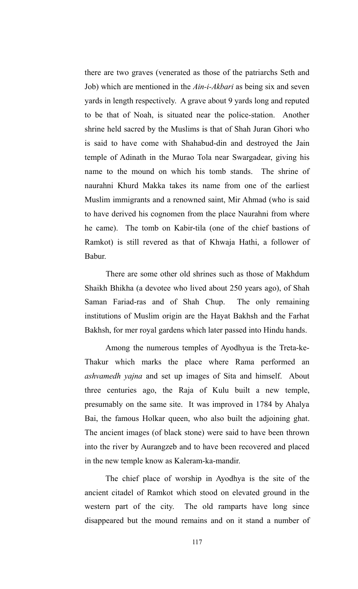there are two graves (venerated as those of the patriarchs Seth and Job) which are mentioned in the *Ain-i-Akbari* as being six and seven yards in length respectively. A grave about 9 yards long and reputed to be that of Noah, is situated near the police-station. Another shrine held sacred by the Muslims is that of Shah Juran Ghori who is said to have come with Shahabud-din and destroyed the Jain temple of Adinath in the Murao Tola near Swargadear, giving his name to the mound on which his tomb stands. The shrine of naurahni Khurd Makka takes its name from one of the earliest Muslim immigrants and a renowned saint, Mir Ahmad (who is said to have derived his cognomen from the place Naurahni from where he came). The tomb on Kabir-tila (one of the chief bastions of Ramkot) is still revered as that of Khwaja Hathi, a follower of Babur.

There are some other old shrines such as those of Makhdum Shaikh Bhikha (a devotee who lived about 250 years ago), of Shah Saman Fariad-ras and of Shah Chup. The only remaining institutions of Muslim origin are the Hayat Bakhsh and the Farhat Bakhsh, for mer royal gardens which later passed into Hindu hands.

Among the numerous temples of Ayodhyua is the Treta-ke-Thakur which marks the place where Rama performed an *ashvamedh yajna* and set up images of Sita and himself. About three centuries ago, the Raja of Kulu built a new temple, presumably on the same site. It was improved in 1784 by Ahalya Bai, the famous Holkar queen, who also built the adjoining ghat. The ancient images (of black stone) were said to have been thrown into the river by Aurangzeb and to have been recovered and placed in the new temple know as Kaleram-ka-mandir.

The chief place of worship in Ayodhya is the site of the ancient citadel of Ramkot which stood on elevated ground in the western part of the city. The old ramparts have long since disappeared but the mound remains and on it stand a number of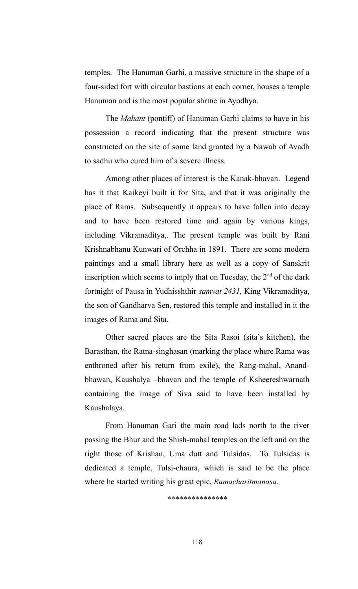temples. The Hanuman Garhi, a massive structure in the shape of a four-sided fort with circular bastions at each corner, houses a temple Hanuman and is the most popular shrine in Ayodhya.

The *Mahant* (pontiff) of Hanuman Garhi claims to have in his possession a record indicating that the present structure was constructed on the site of some land granted by a Nawab of Avadh to sadhu who cured him of a severe illness.

Among other places of interest is the Kanak-bhavan. Legend has it that Kaikeyi built it for Sita, and that it was originally the place of Rams. Subsequently it appears to have fallen into decay and to have been restored time and again by various kings, including Vikramaditya,. The present temple was built by Rani Krishnabhanu Kunwari of Orchha in 1891. There are some modern paintings and a small library here as well as a copy of Sanskrit inscription which seems to imply that on Tuesday, the  $2<sup>nd</sup>$  of the dark fortnight of Pausa in Yudhisshthir *samvat 2431,* King Vikramaditya, the son of Gandharva Sen, restored this temple and installed in it the images of Rama and Sita.

Other sacred places are the Sita Rasoi (sita's kitchen), the Barasthan, the Ratna-singhasan (marking the place where Rama was enthroned after his return from exile), the Rang-mahal, Anandbhawan, Kaushalya –bhavan and the temple of Ksheereshwarnath containing the image of Siva said to have been installed by Kaushalaya.

From Hanuman Gari the main road lads north to the river passing the Bhur and the Shish-mahal temples on the left and on the right those of Krishan, Uma dutt and Tulsidas. To Tulsidas is dedicated a temple, Tulsi-chaura, which is said to be the place where he started writing his great epic, *Ramacharitmanasa.*

*\*\*\*\*\*\*\*\*\*\*\*\*\*\*\**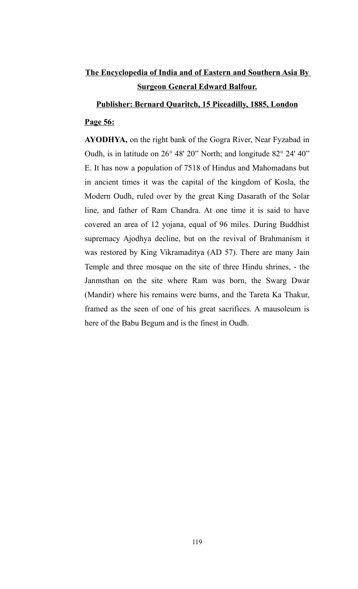# **The Encyclopedia of India and of Eastern and Southern Asia By Surgeon General Edward Balfour.**

### **Publisher: Bernard Quaritch, 15 Piceadilly, 1885, London**

## **Page 56:**

**AYODHYA,** on the right bank of the Gogra River, Near Fyzabad in Oudh, is in latitude on 26° 48' 20" North; and longitude 82° 24' 40" E. It has now a population of 7518 of Hindus and Mahomadans but in ancient times it was the capital of the kingdom of Kosla, the Modern Oudh, ruled over by the great King Dasarath of the Solar line, and father of Ram Chandra. At one time it is said to have covered an area of 12 yojana, equal of 96 miles. During Buddhist supremacy Ajodhya decline, but on the revival of Brahmanism it was restored by King Vikramaditya (AD 57). There are many Jain Temple and three mosque on the site of three Hindu shrines, - the Janmsthan on the site where Ram was born, the Swarg Dwar (Mandir) where his remains were burns, and the Tareta Ka Thakur, framed as the seen of one of his great sacrifices. A mausoleum is here of the Babu Begum and is the finest in Oudh.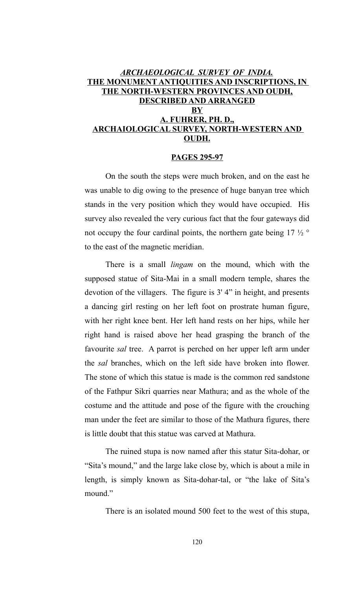### *ARCHAEOLOGICAL SURVEY OF INDIA.* **THE MONUMENT ANTIQUITIES AND INSCRIPTIONS, IN THE NORTH-WESTERN PROVINCES AND OUDH, DESCRIBED AND ARRANGED BY A. FUHRER, PH. D., ARCHAIOLOGICAL SURVEY, NORTH-WESTERN AND OUDH.**

### **PAGES 295-97**

On the south the steps were much broken, and on the east he was unable to dig owing to the presence of huge banyan tree which stands in the very position which they would have occupied. His survey also revealed the very curious fact that the four gateways did not occupy the four cardinal points, the northern gate being  $17 \frac{1}{2}$ to the east of the magnetic meridian.

There is a small *lingam* on the mound, which with the supposed statue of Sita-Mai in a small modern temple, shares the devotion of the villagers. The figure is 3' 4" in height, and presents a dancing girl resting on her left foot on prostrate human figure, with her right knee bent. Her left hand rests on her hips, while her right hand is raised above her head grasping the branch of the favourite *sal* tree. A parrot is perched on her upper left arm under the *sal* branches, which on the left side have broken into flower. The stone of which this statue is made is the common red sandstone of the Fathpur Sikri quarries near Mathura; and as the whole of the costume and the attitude and pose of the figure with the crouching man under the feet are similar to those of the Mathura figures, there is little doubt that this statue was carved at Mathura.

The ruined stupa is now named after this statur Sita-dohar, or "Sita's mound," and the large lake close by, which is about a mile in length, is simply known as Sita-dohar-tal, or "the lake of Sita's mound."

There is an isolated mound 500 feet to the west of this stupa,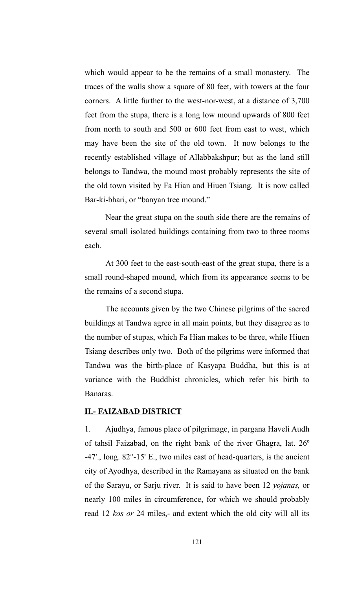which would appear to be the remains of a small monastery. The traces of the walls show a square of 80 feet, with towers at the four corners. A little further to the west-nor-west, at a distance of 3,700 feet from the stupa, there is a long low mound upwards of 800 feet from north to south and 500 or 600 feet from east to west, which may have been the site of the old town. It now belongs to the recently established village of Allabbakshpur; but as the land still belongs to Tandwa, the mound most probably represents the site of the old town visited by Fa Hian and Hiuen Tsiang. It is now called Bar-ki-bhari, or "banyan tree mound."

Near the great stupa on the south side there are the remains of several small isolated buildings containing from two to three rooms each.

At 300 feet to the east-south-east of the great stupa, there is a small round-shaped mound, which from its appearance seems to be the remains of a second stupa.

The accounts given by the two Chinese pilgrims of the sacred buildings at Tandwa agree in all main points, but they disagree as to the number of stupas, which Fa Hian makes to be three, while Hiuen Tsiang describes only two. Both of the pilgrims were informed that Tandwa was the birth-place of Kasyapa Buddha, but this is at variance with the Buddhist chronicles, which refer his birth to Banaras.

### **II.- FAIZABAD DISTRICT**

1. Ajudhya, famous place of pilgrimage, in pargana Haveli Audh of tahsil Faizabad, on the right bank of the river Ghagra, lat. 26º -47'., long. 82°-15' E., two miles east of head-quarters, is the ancient city of Ayodhya, described in the Ramayana as situated on the bank of the Sarayu, or Sarju river. It is said to have been 12 *yojanas,* or nearly 100 miles in circumference, for which we should probably read 12 *kos or* 24 miles,- and extent which the old city will all its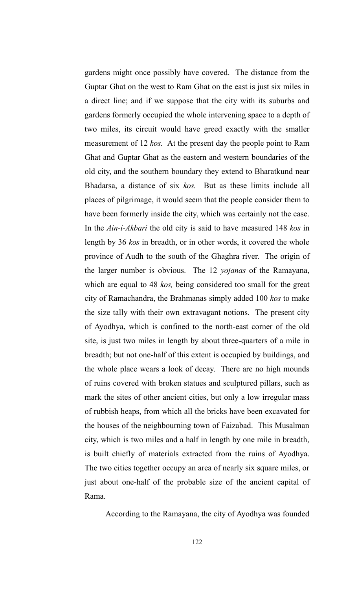gardens might once possibly have covered. The distance from the Guptar Ghat on the west to Ram Ghat on the east is just six miles in a direct line; and if we suppose that the city with its suburbs and gardens formerly occupied the whole intervening space to a depth of two miles, its circuit would have greed exactly with the smaller measurement of 12 *kos.* At the present day the people point to Ram Ghat and Guptar Ghat as the eastern and western boundaries of the old city, and the southern boundary they extend to Bharatkund near Bhadarsa, a distance of six *kos.* But as these limits include all places of pilgrimage, it would seem that the people consider them to have been formerly inside the city, which was certainly not the case. In the *Ain-i-Akbari* the old city is said to have measured 148 *kos* in length by 36 *kos* in breadth, or in other words, it covered the whole province of Audh to the south of the Ghaghra river. The origin of the larger number is obvious. The 12 *yojanas* of the Ramayana, which are equal to 48 *kos,* being considered too small for the great city of Ramachandra, the Brahmanas simply added 100 *kos* to make the size tally with their own extravagant notions. The present city of Ayodhya, which is confined to the north-east corner of the old site, is just two miles in length by about three-quarters of a mile in breadth; but not one-half of this extent is occupied by buildings, and the whole place wears a look of decay. There are no high mounds of ruins covered with broken statues and sculptured pillars, such as mark the sites of other ancient cities, but only a low irregular mass of rubbish heaps, from which all the bricks have been excavated for the houses of the neighbourning town of Faizabad. This Musalman city, which is two miles and a half in length by one mile in breadth, is built chiefly of materials extracted from the ruins of Ayodhya. The two cities together occupy an area of nearly six square miles, or just about one-half of the probable size of the ancient capital of Rama.

According to the Ramayana, the city of Ayodhya was founded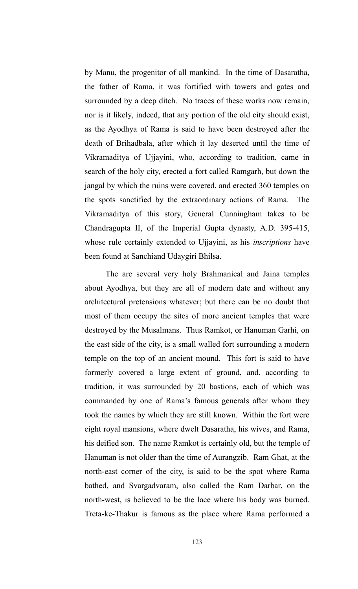by Manu, the progenitor of all mankind. In the time of Dasaratha, the father of Rama, it was fortified with towers and gates and surrounded by a deep ditch. No traces of these works now remain, nor is it likely, indeed, that any portion of the old city should exist, as the Ayodhya of Rama is said to have been destroyed after the death of Brihadbala, after which it lay deserted until the time of Vikramaditya of Ujjayini, who, according to tradition, came in search of the holy city, erected a fort called Ramgarh, but down the jangal by which the ruins were covered, and erected 360 temples on the spots sanctified by the extraordinary actions of Rama. The Vikramaditya of this story, General Cunningham takes to be Chandragupta II, of the Imperial Gupta dynasty, A.D. 395-415, whose rule certainly extended to Ujjayini, as his *inscriptions* have been found at Sanchiand Udaygiri Bhilsa.

The are several very holy Brahmanical and Jaina temples about Ayodhya, but they are all of modern date and without any architectural pretensions whatever; but there can be no doubt that most of them occupy the sites of more ancient temples that were destroyed by the Musalmans. Thus Ramkot, or Hanuman Garhi, on the east side of the city, is a small walled fort surrounding a modern temple on the top of an ancient mound. This fort is said to have formerly covered a large extent of ground, and, according to tradition, it was surrounded by 20 bastions, each of which was commanded by one of Rama's famous generals after whom they took the names by which they are still known. Within the fort were eight royal mansions, where dwelt Dasaratha, his wives, and Rama, his deified son. The name Ramkot is certainly old, but the temple of Hanuman is not older than the time of Aurangzib. Ram Ghat, at the north-east corner of the city, is said to be the spot where Rama bathed, and Svargadvaram, also called the Ram Darbar, on the north-west, is believed to be the lace where his body was burned. Treta-ke-Thakur is famous as the place where Rama performed a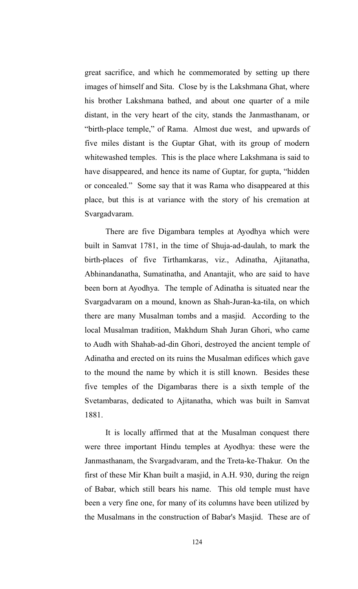great sacrifice, and which he commemorated by setting up there images of himself and Sita. Close by is the Lakshmana Ghat, where his brother Lakshmana bathed, and about one quarter of a mile distant, in the very heart of the city, stands the Janmasthanam, or "birth-place temple," of Rama. Almost due west, and upwards of five miles distant is the Guptar Ghat, with its group of modern whitewashed temples. This is the place where Lakshmana is said to have disappeared, and hence its name of Guptar, for gupta, "hidden or concealed." Some say that it was Rama who disappeared at this place, but this is at variance with the story of his cremation at Svargadvaram.

There are five Digambara temples at Ayodhya which were built in Samvat 1781, in the time of Shuja-ad-daulah, to mark the birth-places of five Tirthamkaras, viz., Adinatha, Ajitanatha, Abhinandanatha, Sumatinatha, and Anantajit, who are said to have been born at Ayodhya. The temple of Adinatha is situated near the Svargadvaram on a mound, known as Shah-Juran-ka-tila, on which there are many Musalman tombs and a masjid. According to the local Musalman tradition, Makhdum Shah Juran Ghori, who came to Audh with Shahab-ad-din Ghori, destroyed the ancient temple of Adinatha and erected on its ruins the Musalman edifices which gave to the mound the name by which it is still known. Besides these five temples of the Digambaras there is a sixth temple of the Svetambaras, dedicated to Ajitanatha, which was built in Samvat 1881.

It is locally affirmed that at the Musalman conquest there were three important Hindu temples at Ayodhya: these were the Janmasthanam, the Svargadvaram, and the Treta-ke-Thakur. On the first of these Mir Khan built a masjid, in A.H. 930, during the reign of Babar, which still bears his name. This old temple must have been a very fine one, for many of its columns have been utilized by the Musalmans in the construction of Babar's Masjid. These are of